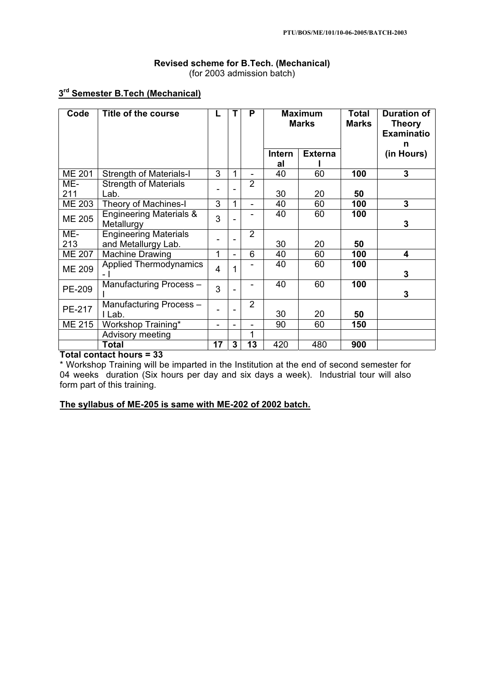# **Revised scheme for B.Tech. (Mechanical)**  (for 2003 admission batch)

# **3rd Semester B.Tech (Mechanical)**

| Code          | Title of the course                                 |                |                          | P              |               | <b>Maximum</b><br><b>Marks</b> |     | <b>Duration of</b><br><b>Theory</b><br><b>Examinatio</b><br>n |
|---------------|-----------------------------------------------------|----------------|--------------------------|----------------|---------------|--------------------------------|-----|---------------------------------------------------------------|
|               |                                                     |                |                          |                | <b>Intern</b> | <b>Externa</b>                 |     | (in Hours)                                                    |
|               |                                                     |                |                          |                | al            |                                |     |                                                               |
| <b>ME 201</b> | <b>Strength of Materials-I</b>                      | 3              | 1                        | $\blacksquare$ | 40            | 60                             | 100 | $\overline{3}$                                                |
| ME-           | <b>Strength of Materials</b>                        |                |                          | $\overline{2}$ |               |                                |     |                                                               |
| 211           | Lab.                                                |                |                          |                | 30            | 20                             | 50  |                                                               |
| <b>ME 203</b> | Theory of Machines-I                                | 3              | 1                        | $\blacksquare$ | 40            | 60                             | 100 | 3                                                             |
| <b>ME 205</b> | <b>Engineering Materials &amp;</b><br>Metallurgy    | 3              |                          |                | 40            | 60                             | 100 | 3                                                             |
| ME-<br>213    | <b>Engineering Materials</b><br>and Metallurgy Lab. |                |                          | $\overline{2}$ | 30            | 20                             | 50  |                                                               |
| <b>ME 207</b> | Machine Drawing                                     | 1              |                          | 6              | 40            | 60                             | 100 | 4                                                             |
| <b>ME 209</b> | <b>Applied Thermodynamics</b><br>- 1                | $\overline{4}$ | 1                        |                | 40            | 60                             | 100 | 3                                                             |
| <b>PE-209</b> | Manufacturing Process-                              | 3              |                          | -              | 40            | 60                             | 100 | 3                                                             |
| <b>PE-217</b> | Manufacturing Process-<br>I Lab.                    |                |                          | $\overline{2}$ | 30            | 20                             | 50  |                                                               |
| ME 215        | Workshop Training*                                  |                | $\overline{\phantom{0}}$ | $\blacksquare$ | 90            | 60                             | 150 |                                                               |
|               | Advisory meeting                                    |                |                          | 1              |               |                                |     |                                                               |
|               | Total                                               | 17             | 3                        | 13             | 420           | 480                            | 900 |                                                               |

**Total contact hours = 33** 

\* Workshop Training will be imparted in the Institution at the end of second semester for 04 weeks duration (Six hours per day and six days a week). Industrial tour will also form part of this training.

**The syllabus of ME-205 is same with ME-202 of 2002 batch.**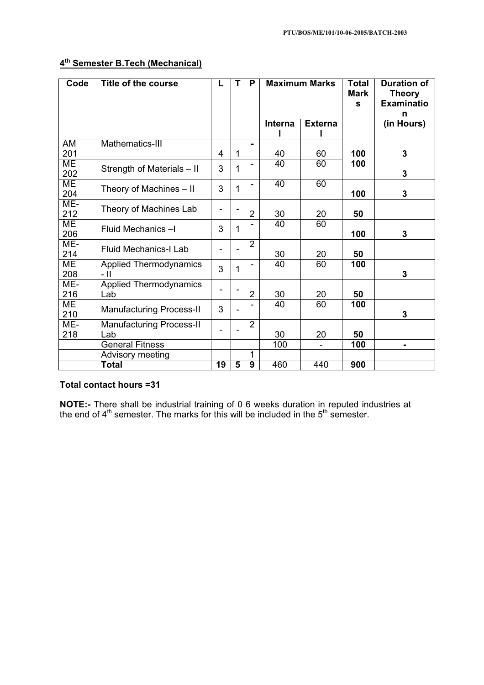# **4th Semester B.Tech (Mechanical)**

| Code       | <b>Title of the course</b>             | L              | т           | P                        | <b>Maximum Marks</b> |                | <b>Total</b><br>Mark<br>$\mathbf{s}$ | <b>Duration of</b><br><b>Theory</b><br><b>Examinatio</b><br>n |
|------------|----------------------------------------|----------------|-------------|--------------------------|----------------------|----------------|--------------------------------------|---------------------------------------------------------------|
|            |                                        |                |             |                          | Interna              | <b>Externa</b> |                                      | (in Hours)                                                    |
| AM<br>201  | Mathematics-III                        | 4              | $\mathbf 1$ | $\blacksquare$           | 40                   | 60             | 100                                  | 3                                                             |
| ME<br>202  | Strength of Materials - II             | 3              | 1           | $\blacksquare$           | 40                   | 60             | 100                                  | 3                                                             |
| МE<br>204  | Theory of Machines - II                | 3              | 1           | $\overline{\phantom{a}}$ | 40                   | 60             | 100                                  | 3                                                             |
| ME-<br>212 | Theory of Machines Lab                 | ۰              |             | $\overline{2}$           | 30                   | 20             | 50                                   |                                                               |
| ME<br>206  | Fluid Mechanics-I                      | 3              | 1           |                          | 40                   | 60             | 100                                  | 3                                                             |
| ME-<br>214 | <b>Fluid Mechanics-I Lab</b>           | -              |             | $\overline{2}$           | 30                   | 20             | 50                                   |                                                               |
| ME<br>208  | <b>Applied Thermodynamics</b><br>- 11  | 3              | 1           |                          | 40                   | 60             | 100                                  | 3                                                             |
| ME-<br>216 | <b>Applied Thermodynamics</b><br>Lab   |                |             | 2                        | 30                   | 20             | 50                                   |                                                               |
| ME<br>210  | <b>Manufacturing Process-II</b>        | 3              |             |                          | 40                   | 60             | 100                                  | 3                                                             |
| ME-<br>218 | <b>Manufacturing Process-II</b><br>Lab | $\blacksquare$ |             | $\overline{2}$           | 30                   | 20             | 50                                   |                                                               |
|            | <b>General Fitness</b>                 |                |             |                          | 100                  |                | 100                                  | ۰                                                             |
|            | Advisory meeting                       |                |             | 1                        |                      |                |                                      |                                                               |
|            | Total                                  | 19             | 5           | $\boldsymbol{9}$         | 460                  | 440            | 900                                  |                                                               |

# **Total contact hours =31**

**NOTE:-** There shall be industrial training of 0 6 weeks duration in reputed industries at the end of 4<sup>th</sup> semester. The marks for this will be included in the 5<sup>th</sup> semester.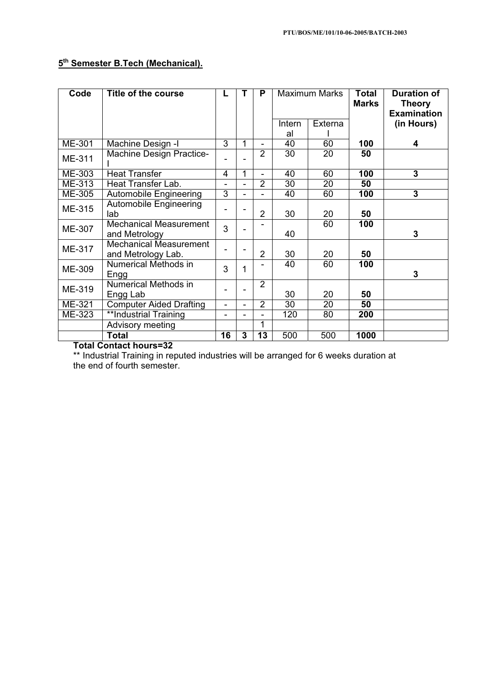# **5th Semester B.Tech (Mechanical).**

| Code          | Title of the course                                 | L                            | т | P                        | <b>Maximum Marks</b> |         | <b>Total</b><br><b>Marks</b> | <b>Duration of</b><br><b>Theory</b><br><b>Examination</b> |
|---------------|-----------------------------------------------------|------------------------------|---|--------------------------|----------------------|---------|------------------------------|-----------------------------------------------------------|
|               |                                                     |                              |   |                          | Intern               | Externa |                              | (in Hours)                                                |
|               |                                                     |                              |   |                          | al                   |         |                              |                                                           |
| ME-301        | Machine Design -I                                   | 3                            | 1 |                          | 40                   | 60      | 100                          | 4                                                         |
| ME-311        | <b>Machine Design Practice-</b>                     | $\qquad \qquad \blacksquare$ |   | $\overline{2}$           | 30                   | 20      | 50                           |                                                           |
| ME-303        | <b>Heat Transfer</b>                                | 4                            | 1 |                          | 40                   | 60      | 100                          | 3                                                         |
| ME-313        | Heat Transfer Lab.                                  | $\blacksquare$               |   | $\overline{2}$           | 30                   | 20      | 50                           |                                                           |
| ME-305        | <b>Automobile Engineering</b>                       | 3                            |   |                          | 40                   | 60      | 100                          | 3                                                         |
| ME-315        | <b>Automobile Engineering</b><br>lab                |                              |   | $\overline{2}$           | 30                   | 20      | 50                           |                                                           |
| <b>ME-307</b> | <b>Mechanical Measurement</b><br>and Metrology      | 3                            |   |                          | 40                   | 60      | 100                          | 3                                                         |
| ME-317        | <b>Mechanical Measurement</b><br>and Metrology Lab. |                              |   | $\overline{2}$           | 30                   | 20      | 50                           |                                                           |
| ME-309        | Numerical Methods in<br>Engg                        | 3                            | 1 |                          | 40                   | 60      | 100                          | 3                                                         |
| ME-319        | Numerical Methods in<br>Engg Lab                    | $\overline{\phantom{0}}$     |   | $\overline{2}$           | 30                   | 20      | 50                           |                                                           |
| ME-321        | <b>Computer Aided Drafting</b>                      | $\overline{\phantom{a}}$     |   | $\overline{2}$           | 30                   | 20      | 50                           |                                                           |
| ME-323        | **Industrial Training                               | $\blacksquare$               |   | $\overline{\phantom{0}}$ | 120                  | 80      | 200                          |                                                           |
|               | Advisory meeting                                    |                              |   | 1                        |                      |         |                              |                                                           |
|               | <b>Total</b>                                        | 16                           | 3 | 13                       | 500                  | 500     | 1000                         |                                                           |

**Total Contact hours=32** 

\*\* Industrial Training in reputed industries will be arranged for 6 weeks duration at the end of fourth semester.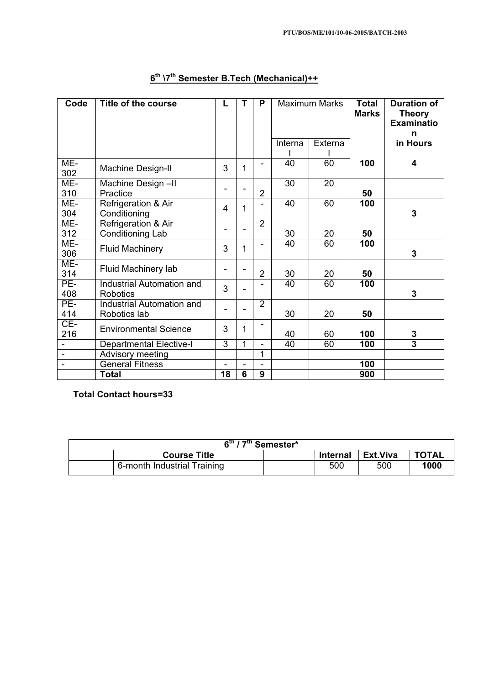| Code           | <b>Title of the course</b>                | L                        | Т              | P              | <b>Maximum Marks</b> |         | <b>Total</b><br><b>Marks</b> | <b>Duration of</b><br><b>Theory</b><br><b>Examinatio</b><br>n |
|----------------|-------------------------------------------|--------------------------|----------------|----------------|----------------------|---------|------------------------------|---------------------------------------------------------------|
|                |                                           |                          |                |                | Interna              | Externa |                              | in Hours                                                      |
| ME-<br>302     | <b>Machine Design-II</b>                  | 3                        | 1              | ۳              | 40                   | 60      | 100                          | 4                                                             |
| ME-<br>310     | Machine Design-II<br>Practice             | ۰                        |                | $\overline{2}$ | 30                   | 20      | 50                           |                                                               |
| ME-<br>304     | Refrigeration & Air<br>Conditioning       | 4                        | 1              |                | 40                   | 60      | 100                          | 3                                                             |
| ME-<br>312     | Refrigeration & Air<br>Conditioning Lab   | $\overline{\phantom{a}}$ | $\blacksquare$ | $\overline{2}$ | 30                   | 20      | 50                           |                                                               |
| ME-<br>306     | <b>Fluid Machinery</b>                    | 3                        | 1              | ۳              | 40                   | 60      | 100                          | $\overline{3}$                                                |
| ME-<br>314     | Fluid Machinery lab                       | ۰                        |                | $\overline{2}$ | 30                   | 20      | 50                           |                                                               |
| PE-<br>408     | Industrial Automation and<br>Robotics     | 3                        | $\blacksquare$ |                | 40                   | 60      | 100                          | 3                                                             |
| PE-<br>414     | Industrial Automation and<br>Robotics lab |                          |                | $\overline{2}$ | 30                   | 20      | 50                           |                                                               |
| $CE-$<br>216   | <b>Environmental Science</b>              | 3                        | 1              |                | 40                   | 60      | 100                          | 3                                                             |
| $\blacksquare$ | <b>Departmental Elective-I</b>            | $\overline{3}$           | 1              |                | 40                   | 60      | 100                          | $\overline{3}$                                                |
|                | Advisory meeting                          |                          |                | 1              |                      |         |                              |                                                               |
|                | <b>General Fitness</b>                    | $\blacksquare$           | $\blacksquare$ |                |                      |         | 100                          |                                                               |
|                | <b>Total</b>                              | 18                       | $\overline{6}$ | 9              |                      |         | 900                          |                                                               |

# **6th \7th Semester B.Tech (Mechanical)++**

**Total Contact hours=33** 

| 6 <sup>th</sup> / 7 <sup>th</sup> Semester* |                             |  |                 |          |              |  |  |  |
|---------------------------------------------|-----------------------------|--|-----------------|----------|--------------|--|--|--|
|                                             | <b>Course Title</b>         |  | <b>Internal</b> | Ext.Viva | <b>TOTAL</b> |  |  |  |
|                                             | 6-month Industrial Training |  | 500             | 500      | 1000         |  |  |  |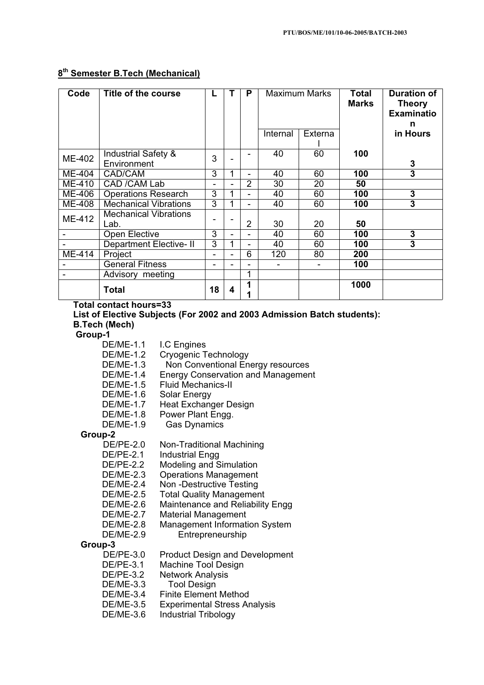# **8th Semester B.Tech (Mechanical)**

| Code   | Title of the course                           |                |   | P | Maximum Marks |                          | <b>Total</b><br><b>Marks</b> | <b>Duration of</b><br><b>Theory</b><br><b>Examinatio</b><br>n |
|--------|-----------------------------------------------|----------------|---|---|---------------|--------------------------|------------------------------|---------------------------------------------------------------|
|        |                                               |                |   |   | Internal      | Externa                  |                              | in Hours                                                      |
| ME-402 | <b>Industrial Safety &amp;</b><br>Environment | 3              |   |   | 40            | 60                       | 100                          | 3                                                             |
| ME-404 | CAD/CAM                                       | 3              | 1 |   | 40            | 60                       | 100                          | 3                                                             |
| ME-410 | CAD / CAM Lab                                 | $\blacksquare$ |   | 2 | 30            | 20                       | 50                           |                                                               |
| ME-406 | <b>Operations Research</b>                    | 3              |   |   | 40            | 60                       | 100                          | 3                                                             |
| ME-408 | <b>Mechanical Vibrations</b>                  | 3              |   | - | 40            | 60                       | 100                          | 3                                                             |
| ME-412 | <b>Mechanical Vibrations</b><br>Lab.          | -              |   | 2 | 30            | 20                       | 50                           |                                                               |
|        | <b>Open Elective</b>                          | 3              |   |   | 40            | 60                       | 100                          | 3                                                             |
|        | <b>Department Elective-II</b>                 | 3              |   | - | 40            | 60                       | 100                          | 3                                                             |
| ME-414 | Project                                       | -              |   | 6 | 120           | 80                       | 200                          |                                                               |
|        | <b>General Fitness</b>                        | -              |   |   |               | $\overline{\phantom{a}}$ | 100                          |                                                               |
|        | Advisory meeting                              |                |   | 1 |               |                          |                              |                                                               |
|        | Total                                         | 18             | 4 |   |               |                          | 1000                         |                                                               |

**Total contact hours=33** 

**List of Elective Subjects (For 2002 and 2003 Admission Batch students): B.Tech (Mech)** 

 **Group-1** 

DE/ME-1.1 I.C Engines

- DE/ME-1.2 Cryogenic Technology
- DE/ME-1.3 Non Conventional Energy resources
- DE/ME-1.4 Energy Conservation and Management<br>DE/ME-1.5 Fluid Mechanics-II
	- **Fluid Mechanics-II**
- DE/ME-1.6 Solar Energy<br>DE/ME-1.7 Heat Exchang
	- Heat Exchanger Design
- DE/ME-1.8 Power Plant Engg.
- DE/ME-1.9 Gas Dynamics

### **Group-2**

- DE/PE-2.0 Non-Traditional Machining
- DE/PE-2.1 Industrial Engg
- DE/PE-2.2 Modeling and Simulation<br>DE/ME-2.3 Operations Management
- **Operations Management**
- DE/ME-2.4 Non -Destructive Testing
- DE/ME-2.5 Total Quality Management
- DE/ME-2.6 Maintenance and Reliability Engg
	-
- DE/ME-2.7 Material Management<br>DE/ME-2.8 Management Informati **Management Information System**
- DE/ME-2.9 Entrepreneurship

### **Group-3**

- DE/PE-3.0 Product Design and Development
- DE/PE-3.1 Machine Tool Design<br>DE/PE-3.2 Network Analysis
	- **Network Analysis**
- DE/ME-3.3 Tool Design
- 
- DE/ME-3.4 Finite Element Method<br>DE/ME-3.5 Experimental Stress Ar **Experimental Stress Analysis**
- DE/ME-3.6 Industrial Tribology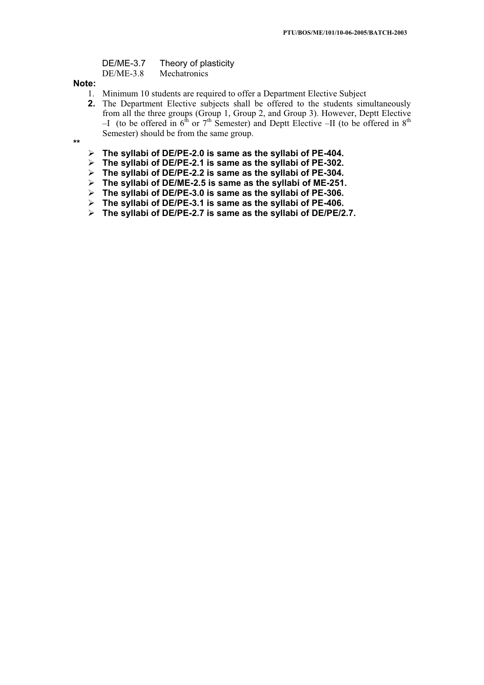| DE/ME-3.7   | Theory of plasticity |
|-------------|----------------------|
| $DE/ME-3.8$ | Mechatronics         |

### **Note:**

- 1. Minimum 10 students are required to offer a Department Elective Subject
- **2.** The Department Elective subjects shall be offered to the students simultaneously from all the three groups (Group 1, Group 2, and Group 3). However, Deptt Elective –I (to be offered in  $6<sup>th</sup>$  or  $7<sup>th</sup>$  Semester) and Deptt Elective –II (to be offered in  $8<sup>th</sup>$ Semester) should be from the same group.
- **\*\***
- ¾**The syllabi of DE/PE-2.0 is same as the syllabi of PE-404.**
- ¾**The syllabi of DE/PE-2.1 is same as the syllabi of PE-302.**
- ¾**The syllabi of DE/PE-2.2 is same as the syllabi of PE-304.**
- ¾**The syllabi of DE/ME-2.5 is same as the syllabi of ME-251.**
- ¾**The syllabi of DE/PE-3.0 is same as the syllabi of PE-306.**
- ¾**The syllabi of DE/PE-3.1 is same as the syllabi of PE-406.**
- ¾**The syllabi of DE/PE-2.7 is same as the syllabi of DE/PE/2.7.**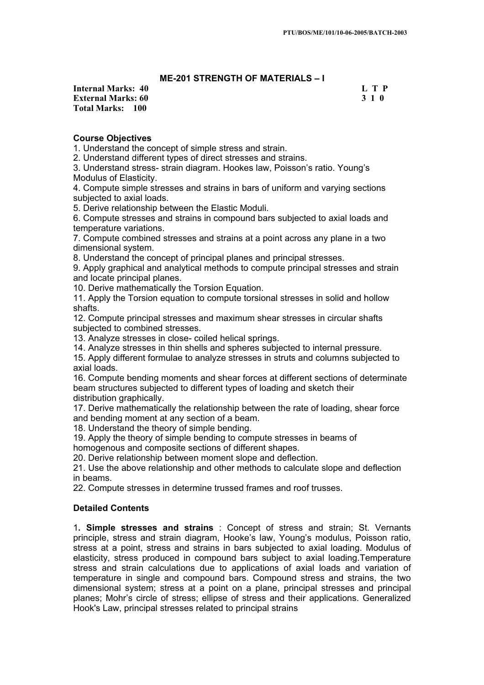# **ME-201 STRENGTH OF MATERIALS – I**

**Internal Marks: 40 L T P L L T P External Marks: 60 3 1 0 Total Marks: 100**

# **Course Objectives**

1. Understand the concept of simple stress and strain.

2. Understand different types of direct stresses and strains.

3. Understand stress- strain diagram. Hookes law, Poisson's ratio. Young's Modulus of Elasticity.

4. Compute simple stresses and strains in bars of uniform and varying sections subjected to axial loads.

5. Derive relationship between the Elastic Moduli.

6. Compute stresses and strains in compound bars subjected to axial loads and temperature variations.

7. Compute combined stresses and strains at a point across any plane in a two dimensional system.

8. Understand the concept of principal planes and principal stresses.

9. Apply graphical and analytical methods to compute principal stresses and strain and locate principal planes.

10. Derive mathematically the Torsion Equation.

11. Apply the Torsion equation to compute torsional stresses in solid and hollow shafts.

12. Compute principal stresses and maximum shear stresses in circular shafts subjected to combined stresses.

13. Analyze stresses in close- coiled helical springs.

14. Analyze stresses in thin shells and spheres subjected to internal pressure.

15. Apply different formulae to analyze stresses in struts and columns subjected to axial loads.

16. Compute bending moments and shear forces at different sections of determinate beam structures subjected to different types of loading and sketch their distribution graphically.

17. Derive mathematically the relationship between the rate of loading, shear force and bending moment at any section of a beam.

18. Understand the theory of simple bending.

19. Apply the theory of simple bending to compute stresses in beams of homogenous and composite sections of different shapes.

20. Derive relationship between moment slope and deflection.

21. Use the above relationship and other methods to calculate slope and deflection in beams.

22. Compute stresses in determine trussed frames and roof trusses.

### **Detailed Contents**

1**. Simple stresses and strains** : Concept of stress and strain; St. Vernants principle, stress and strain diagram, Hooke's law, Young's modulus, Poisson ratio, stress at a point, stress and strains in bars subjected to axial loading. Modulus of elasticity, stress produced in compound bars subject to axial loading.Temperature stress and strain calculations due to applications of axial loads and variation of temperature in single and compound bars. Compound stress and strains, the two dimensional system; stress at a point on a plane, principal stresses and principal planes; Mohr's circle of stress; ellipse of stress and their applications. Generalized Hook's Law, principal stresses related to principal strains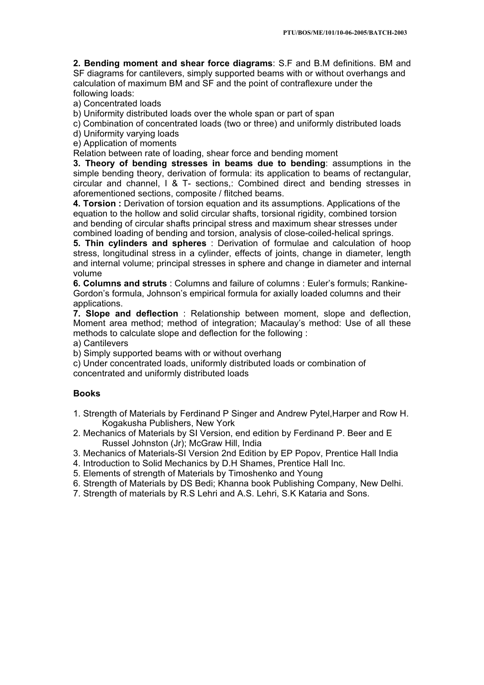**2. Bending moment and shear force diagrams**: S.F and B.M definitions. BM and SF diagrams for cantilevers, simply supported beams with or without overhangs and calculation of maximum BM and SF and the point of contraflexure under the following loads:

a) Concentrated loads

b) Uniformity distributed loads over the whole span or part of span

c) Combination of concentrated loads (two or three) and uniformly distributed loads

d) Uniformity varying loads

e) Application of moments

Relation between rate of loading, shear force and bending moment

**3. Theory of bending stresses in beams due to bending**: assumptions in the simple bending theory, derivation of formula: its application to beams of rectangular, circular and channel, I & T- sections,: Combined direct and bending stresses in aforementioned sections, composite / flitched beams.

**4. Torsion :** Derivation of torsion equation and its assumptions. Applications of the equation to the hollow and solid circular shafts, torsional rigidity, combined torsion and bending of circular shafts principal stress and maximum shear stresses under combined loading of bending and torsion, analysis of close-coiled-helical springs.

**5. Thin cylinders and spheres** : Derivation of formulae and calculation of hoop stress, longitudinal stress in a cylinder, effects of joints, change in diameter, length and internal volume; principal stresses in sphere and change in diameter and internal volume

**6. Columns and struts** : Columns and failure of columns : Euler's formuls; Rankine-Gordon's formula, Johnson's empirical formula for axially loaded columns and their applications.

**7. Slope and deflection** : Relationship between moment, slope and deflection, Moment area method; method of integration; Macaulay's method: Use of all these methods to calculate slope and deflection for the following :

a) Cantilevers

b) Simply supported beams with or without overhang

c) Under concentrated loads, uniformly distributed loads or combination of concentrated and uniformly distributed loads

# **Books**

- 1. Strength of Materials by Ferdinand P Singer and Andrew Pytel,Harper and Row H. Kogakusha Publishers, New York
- 2. Mechanics of Materials by SI Version, end edition by Ferdinand P. Beer and E Russel Johnston (Jr); McGraw Hill, India
- 3. Mechanics of Materials-SI Version 2nd Edition by EP Popov, Prentice Hall India
- 4. Introduction to Solid Mechanics by D.H Shames, Prentice Hall Inc.
- 5. Elements of strength of Materials by Timoshenko and Young
- 6. Strength of Materials by DS Bedi; Khanna book Publishing Company, New Delhi.
- 7. Strength of materials by R.S Lehri and A.S. Lehri, S.K Kataria and Sons.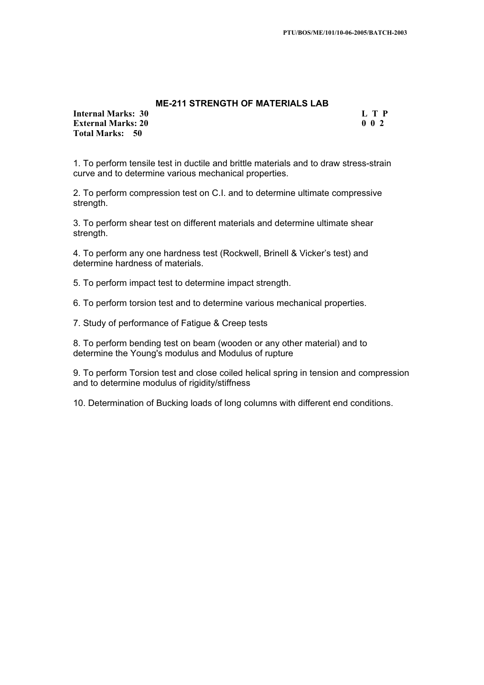# **ME-211 STRENGTH OF MATERIALS LAB**

**Internal Marks: 30 L T P External Marks: 20** 0 0 2 **Total Marks: 50**

1. To perform tensile test in ductile and brittle materials and to draw stress-strain curve and to determine various mechanical properties.

2. To perform compression test on C.I. and to determine ultimate compressive strength.

3. To perform shear test on different materials and determine ultimate shear strength.

4. To perform any one hardness test (Rockwell, Brinell & Vicker's test) and determine hardness of materials.

5. To perform impact test to determine impact strength.

6. To perform torsion test and to determine various mechanical properties.

7. Study of performance of Fatigue & Creep tests

8. To perform bending test on beam (wooden or any other material) and to determine the Young's modulus and Modulus of rupture

9. To perform Torsion test and close coiled helical spring in tension and compression and to determine modulus of rigidity/stiffness

10. Determination of Bucking loads of long columns with different end conditions.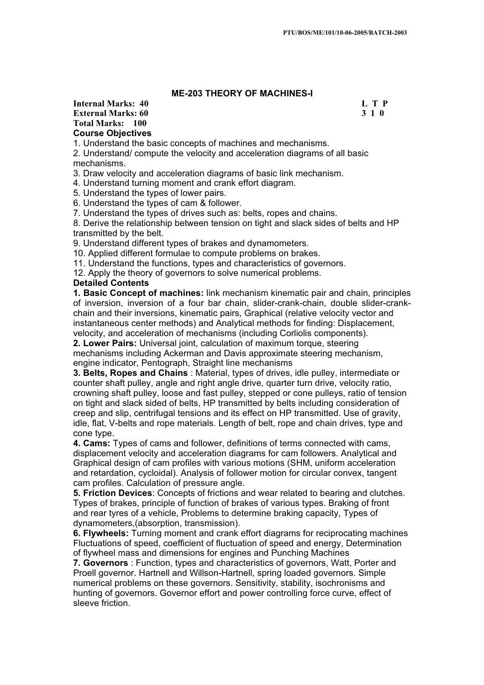# **ME-203 THEORY OF MACHINES-I**

### **Internal Marks: 40 L T P L T P External Marks: 60 3 1 0 3 2 3 3 4 6 3 4 5 4 4 4 4 4 5 4 7 4 4 5 4 5 4 7 6 7 7 8 4 5 6 7 7 8 7 7 8 7 7 8 7 7 8 7 7 8 7 7 8 7 7 8 7 7 8 7 7 8 7 7 8 7 7 8 7 7 8 7 7 8 7 7 8 7 7 8 7 7 8 7 7 8 7 7 8 7 7 8 7 7 8 7 7 8 7 7 8 7 Total Marks: 100 Course Objectives**

1. Understand the basic concepts of machines and mechanisms.

2. Understand/ compute the velocity and acceleration diagrams of all basic mechanisms.

3. Draw velocity and acceleration diagrams of basic link mechanism.

4. Understand turning moment and crank effort diagram.

5. Understand the types of lower pairs.

6. Understand the types of cam & follower.

7. Understand the types of drives such as: belts, ropes and chains.

8. Derive the relationship between tension on tight and slack sides of belts and HP transmitted by the belt.

9. Understand different types of brakes and dynamometers.

10. Applied different formulae to compute problems on brakes.

11. Understand the functions, types and characteristics of governors.

12. Apply the theory of governors to solve numerical problems.

### **Detailed Contents**

**1. Basic Concept of machines:** link mechanism kinematic pair and chain, principles of inversion, inversion of a four bar chain, slider-crank-chain, double slider-crankchain and their inversions, kinematic pairs, Graphical (relative velocity vector and instantaneous center methods) and Analytical methods for finding: Displacement, velocity, and acceleration of mechanisms (including Corliolis components).

**2. Lower Pairs:** Universal joint, calculation of maximum torque, steering mechanisms including Ackerman and Davis approximate steering mechanism, engine indicator, Pentograph, Straight line mechanisms

**3. Belts, Ropes and Chains** : Material, types of drives, idle pulley, intermediate or counter shaft pulley, angle and right angle drive, quarter turn drive, velocity ratio, crowning shaft pulley, loose and fast pulley, stepped or cone pulleys, ratio of tension on tight and slack sided of belts, HP transmitted by belts including consideration of creep and slip, centrifugal tensions and its effect on HP transmitted. Use of gravity, idle, flat, V-belts and rope materials. Length of belt, rope and chain drives, type and cone type.

**4. Cams:** Types of cams and follower, definitions of terms connected with cams, displacement velocity and acceleration diagrams for cam followers. Analytical and Graphical design of cam profiles with various motions (SHM, uniform acceleration and retardation, cycloidal). Analysis of follower motion for circular convex, tangent cam profiles. Calculation of pressure angle.

**5. Friction Devices**: Concepts of frictions and wear related to bearing and clutches. Types of brakes, principle of function of brakes of various types. Braking of front and rear tyres of a vehicle, Problems to determine braking capacity, Types of dynamometers,(absorption, transmission).

**6. Flywheels:** Turning moment and crank effort diagrams for reciprocating machines Fluctuations of speed, coefficient of fluctuation of speed and energy, Determination of flywheel mass and dimensions for engines and Punching Machines

**7. Governors** : Function, types and characteristics of governors, Watt, Porter and Proell governor. Hartnell and Willson-Hartnell, spring loaded governors. Simple numerical problems on these governors. Sensitivity, stability, isochronisms and hunting of governors. Governor effort and power controlling force curve, effect of sleeve friction.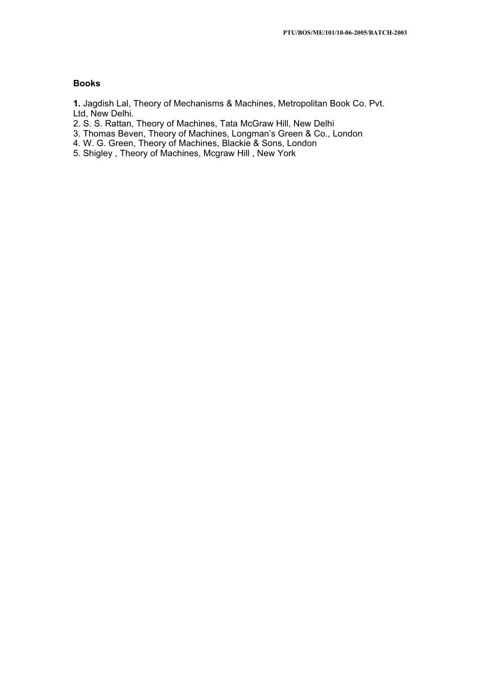# **Books**

**1.** Jagdish Lal, Theory of Mechanisms & Machines, Metropolitan Book Co. Pvt. Ltd, New Delhi.

- 2. S. S. Rattan, Theory of Machines, Tata McGraw Hill, New Delhi
- 3. Thomas Beven, Theory of Machines, Longman's Green & Co., London
- 4. W. G. Green, Theory of Machines, Blackie & Sons, London
- 5. Shigley , Theory of Machines, Mcgraw Hill , New York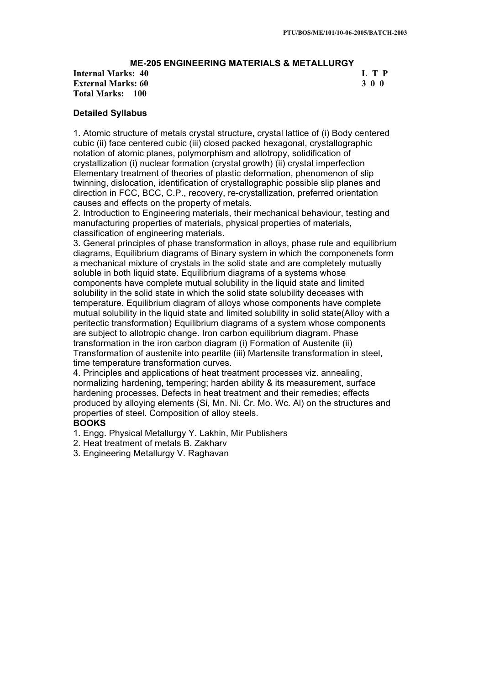# **ME-205 ENGINEERING MATERIALS & METALLURGY**

**Internal Marks: 40 L T P I** L T P **External Marks: 60 3 0 0 Total Marks: 100**

### **Detailed Syllabus**

1. Atomic structure of metals crystal structure, crystal lattice of (i) Body centered cubic (ii) face centered cubic (iii) closed packed hexagonal, crystallographic notation of atomic planes, polymorphism and allotropy, solidification of crystallization (i) nuclear formation (crystal growth) (ii) crystal imperfection Elementary treatment of theories of plastic deformation, phenomenon of slip twinning, dislocation, identification of crystallographic possible slip planes and direction in FCC, BCC, C.P., recovery, re-crystallization, preferred orientation causes and effects on the property of metals.

2. Introduction to Engineering materials, their mechanical behaviour, testing and manufacturing properties of materials, physical properties of materials, classification of engineering materials.

3. General principles of phase transformation in alloys, phase rule and equilibrium diagrams, Equilibrium diagrams of Binary system in which the componenets form a mechanical mixture of crystals in the solid state and are completely mutually soluble in both liquid state. Equilibrium diagrams of a systems whose components have complete mutual solubility in the liquid state and limited solubility in the solid state in which the solid state solubility deceases with temperature. Equilibrium diagram of alloys whose components have complete mutual solubility in the liquid state and limited solubility in solid state(Alloy with a peritectic transformation) Equilibrium diagrams of a system whose components are subject to allotropic change. Iron carbon equilibrium diagram. Phase transformation in the iron carbon diagram (i) Formation of Austenite (ii) Transformation of austenite into pearlite (iii) Martensite transformation in steel, time temperature transformation curves.

4. Principles and applications of heat treatment processes viz. annealing, normalizing hardening, tempering; harden ability & its measurement, surface hardening processes. Defects in heat treatment and their remedies; effects produced by alloying elements (Si, Mn. Ni. Cr. Mo. Wc. Al) on the structures and properties of steel. Composition of alloy steels.

### **BOOKS**

- 1. Engg. Physical Metallurgy Y. Lakhin, Mir Publishers
- 2. Heat treatment of metals B. Zakharv
- 3. Engineering Metallurgy V. Raghavan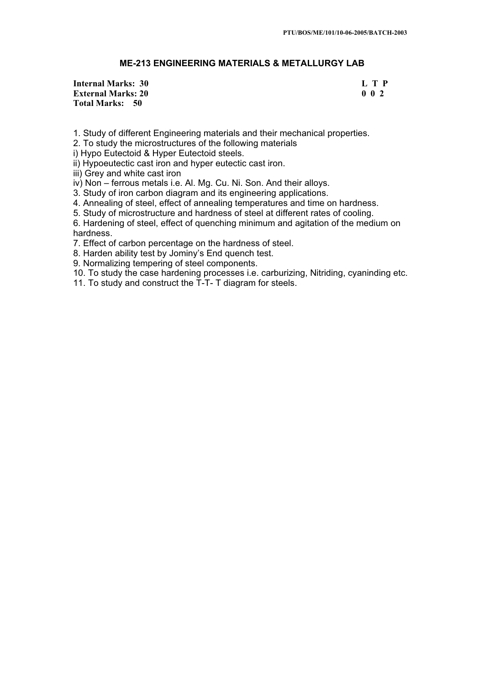# **ME-213 ENGINEERING MATERIALS & METALLURGY LAB**

**Internal Marks: 30 L T P External Marks: 20** 0 0 2 **Total Marks: 50**

1. Study of different Engineering materials and their mechanical properties.

2. To study the microstructures of the following materials

i) Hypo Eutectoid & Hyper Eutectoid steels.

ii) Hypoeutectic cast iron and hyper eutectic cast iron.

iii) Grey and white cast iron

iv) Non – ferrous metals i.e. Al. Mg. Cu. Ni. Son. And their alloys.

3. Study of iron carbon diagram and its engineering applications.

4. Annealing of steel, effect of annealing temperatures and time on hardness.

5. Study of microstructure and hardness of steel at different rates of cooling.

6. Hardening of steel, effect of quenching minimum and agitation of the medium on hardness.

7. Effect of carbon percentage on the hardness of steel.

8. Harden ability test by Jominy's End quench test.

9. Normalizing tempering of steel components.

10. To study the case hardening processes i.e. carburizing, Nitriding, cyaninding etc.

11. To study and construct the T-T- T diagram for steels.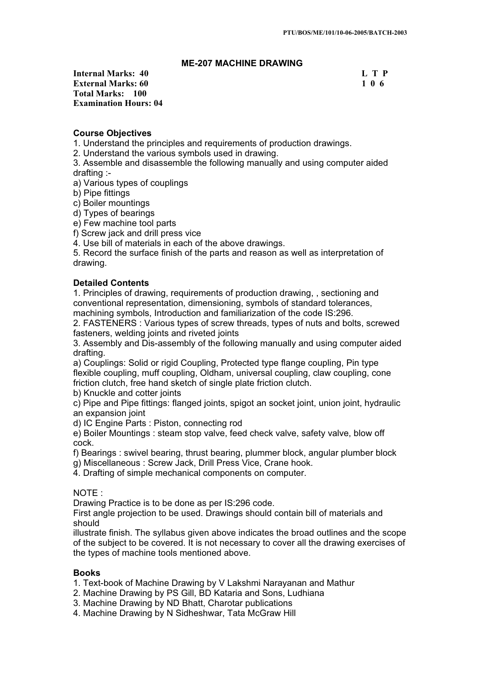# **ME-207 MACHINE DRAWING**

### **Internal Marks: 40 L T P I** L T P **External Marks: 60 1 0 6 <b>1 0 6 1 0 6 1 0 6 1 0 6 1 0 6 1 0 6 1 0 6 1 0 6 1 0 6 1 0 6 1 0 6 1 0 6 1 0 6 <b>1 <b>1 0 6 1 0 6 <b>1 1 0 6 1 1 0 6 1 1 <b>1 1 1 1 1 1 1 1 Total Marks: 100 Examination Hours: 04**

# **Course Objectives**

1. Understand the principles and requirements of production drawings.

2. Understand the various symbols used in drawing.

3. Assemble and disassemble the following manually and using computer aided drafting :-

a) Various types of couplings

b) Pipe fittings

c) Boiler mountings

d) Types of bearings

e) Few machine tool parts

f) Screw jack and drill press vice

4. Use bill of materials in each of the above drawings.

5. Record the surface finish of the parts and reason as well as interpretation of drawing.

# **Detailed Contents**

1. Principles of drawing, requirements of production drawing, , sectioning and conventional representation, dimensioning, symbols of standard tolerances, machining symbols, Introduction and familiarization of the code IS:296.

2. FASTENERS : Various types of screw threads, types of nuts and bolts, screwed fasteners, welding joints and riveted joints

3. Assembly and Dis-assembly of the following manually and using computer aided drafting.

a) Couplings: Solid or rigid Coupling, Protected type flange coupling, Pin type flexible coupling, muff coupling, Oldham, universal coupling, claw coupling, cone friction clutch, free hand sketch of single plate friction clutch.

b) Knuckle and cotter joints

c) Pipe and Pipe fittings: flanged joints, spigot an socket joint, union joint, hydraulic an expansion joint

d) IC Engine Parts : Piston, connecting rod

e) Boiler Mountings : steam stop valve, feed check valve, safety valve, blow off cock.

f) Bearings : swivel bearing, thrust bearing, plummer block, angular plumber block

g) Miscellaneous : Screw Jack, Drill Press Vice, Crane hook.

4. Drafting of simple mechanical components on computer.

## NOTE :

Drawing Practice is to be done as per IS:296 code.

First angle projection to be used. Drawings should contain bill of materials and should

illustrate finish. The syllabus given above indicates the broad outlines and the scope of the subject to be covered. It is not necessary to cover all the drawing exercises of the types of machine tools mentioned above.

# **Books**

- 1. Text-book of Machine Drawing by V Lakshmi Narayanan and Mathur
- 2. Machine Drawing by PS Gill, BD Kataria and Sons, Ludhiana
- 3. Machine Drawing by ND Bhatt, Charotar publications
- 4. Machine Drawing by N Sidheshwar, Tata McGraw Hill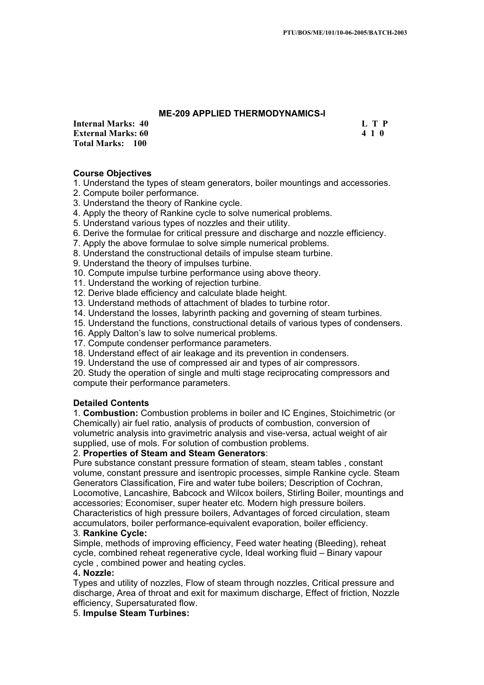# **ME-209 APPLIED THERMODYNAMICS-I**

**Internal Marks: 40 L T P L T P External Marks: 60 4 1 0 Total Marks: 100**

# **Course Objectives**

1. Understand the types of steam generators, boiler mountings and accessories.

- 2. Compute boiler performance.
- 3. Understand the theory of Rankine cycle.
- 4. Apply the theory of Rankine cycle to solve numerical problems.
- 5. Understand various types of nozzles and their utility.
- 6. Derive the formulae for critical pressure and discharge and nozzle efficiency.
- 7. Apply the above formulae to solve simple numerical problems.
- 8. Understand the constructional details of impulse steam turbine.
- 9. Understand the theory of impulses turbine.
- 10. Compute impulse turbine performance using above theory.
- 11. Understand the working of rejection turbine.
- 12. Derive blade efficiency and calculate blade height.
- 13. Understand methods of attachment of blades to turbine rotor.
- 14. Understand the losses, labyrinth packing and governing of steam turbines.
- 15. Understand the functions, constructional details of various types of condensers.
- 16. Apply Dalton's law to solve numerical problems.
- 17. Compute condenser performance parameters.
- 18. Understand effect of air leakage and its prevention in condensers.
- 19. Understand the use of compressed air and types of air compressors.

20. Study the operation of single and multi stage reciprocating compressors and compute their performance parameters.

### **Detailed Contents**

1. **Combustion:** Combustion problems in boiler and IC Engines, Stoichimetric (or Chemically) air fuel ratio, analysis of products of combustion, conversion of volumetric analysis into gravimetric analysis and vise-versa, actual weight of air supplied, use of mols. For solution of combustion problems.

### 2. **Properties of Steam and Steam Generators**:

Pure substance constant pressure formation of steam, steam tables , constant volume, constant pressure and isentropic processes, simple Rankine cycle. Steam Generators Classification, Fire and water tube boilers; Description of Cochran, Locomotive, Lancashire, Babcock and Wilcox boilers, Stirling Boiler, mountings and accessories; Economiser, super heater etc. Modern high pressure boilers. Characteristics of high pressure boilers, Advantages of forced circulation, steam accumulators, boiler performance-equivalent evaporation, boiler efficiency.

# 3. **Rankine Cycle:**

Simple, methods of improving efficiency, Feed water heating (Bleeding), reheat cycle, combined reheat regenerative cycle, Ideal working fluid – Binary vapour cycle , combined power and heating cycles.

### 4**. Nozzle:**

Types and utility of nozzles, Flow of steam through nozzles, Critical pressure and discharge, Area of throat and exit for maximum discharge, Effect of friction, Nozzle efficiency, Supersaturated flow.

5. **Impulse Steam Turbines:**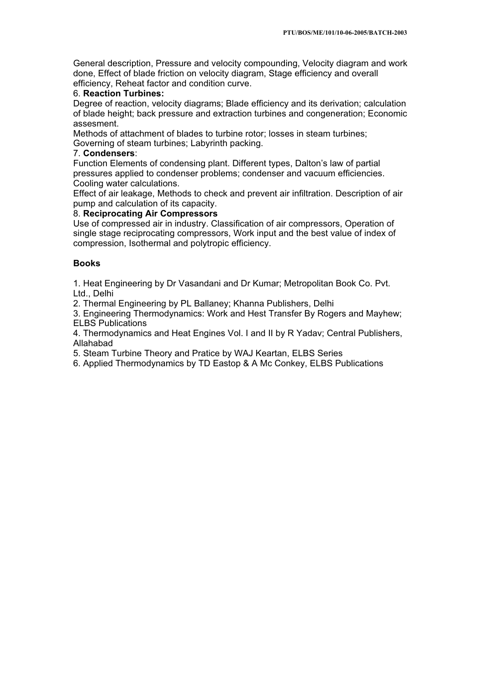General description, Pressure and velocity compounding, Velocity diagram and work done, Effect of blade friction on velocity diagram, Stage efficiency and overall efficiency, Reheat factor and condition curve.

# 6. **Reaction Turbines:**

Degree of reaction, velocity diagrams; Blade efficiency and its derivation; calculation of blade height; back pressure and extraction turbines and congeneration; Economic assesment.

Methods of attachment of blades to turbine rotor; losses in steam turbines; Governing of steam turbines; Labyrinth packing.

# 7. **Condensers**:

Function Elements of condensing plant. Different types, Dalton's law of partial pressures applied to condenser problems; condenser and vacuum efficiencies. Cooling water calculations.

Effect of air leakage, Methods to check and prevent air infiltration. Description of air pump and calculation of its capacity.

# 8. **Reciprocating Air Compressors**

Use of compressed air in industry. Classification of air compressors, Operation of single stage reciprocating compressors, Work input and the best value of index of compression, Isothermal and polytropic efficiency.

# **Books**

1. Heat Engineering by Dr Vasandani and Dr Kumar; Metropolitan Book Co. Pvt. Ltd., Delhi

2. Thermal Engineering by PL Ballaney; Khanna Publishers, Delhi

3. Engineering Thermodynamics: Work and Hest Transfer By Rogers and Mayhew; ELBS Publications

4. Thermodynamics and Heat Engines Vol. I and II by R Yadav; Central Publishers, Allahabad

5. Steam Turbine Theory and Pratice by WAJ Keartan, ELBS Series

6. Applied Thermodynamics by TD Eastop & A Mc Conkey, ELBS Publications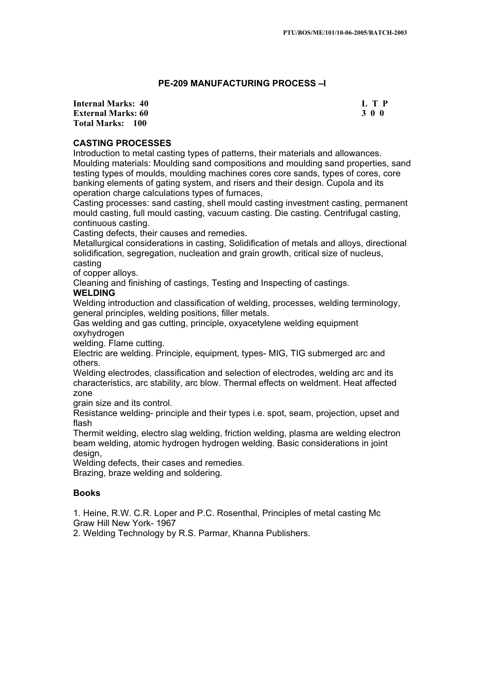# **PE-209 MANUFACTURING PROCESS –I**

**Internal Marks: 40 L T P L T P External Marks: 60 3 0 0 Total Marks: 100**

# **CASTING PROCESSES**

Introduction to metal casting types of patterns, their materials and allowances. Moulding materials: Moulding sand compositions and moulding sand properties, sand testing types of moulds, moulding machines cores core sands, types of cores, core banking elements of gating system, and risers and their design. Cupola and its operation charge calculations types of furnaces,

Casting processes: sand casting, shell mould casting investment casting, permanent mould casting, full mould casting, vacuum casting. Die casting. Centrifugal casting, continuous casting.

Casting defects, their causes and remedies.

Metallurgical considerations in casting, Solidification of metals and alloys, directional solidification, segregation, nucleation and grain growth, critical size of nucleus, casting

of copper alloys.

Cleaning and finishing of castings, Testing and Inspecting of castings.

# **WELDING**

Welding introduction and classification of welding, processes, welding terminology, general principles, welding positions, filler metals.

Gas welding and gas cutting, principle, oxyacetylene welding equipment oxyhydrogen

welding. Flame cutting.

Electric are welding. Principle, equipment, types- MIG, TIG submerged arc and others.

Welding electrodes, classification and selection of electrodes, welding arc and its characteristics, arc stability, arc blow. Thermal effects on weldment. Heat affected zone

grain size and its control.

Resistance welding- principle and their types i.e. spot, seam, projection, upset and flash

Thermit welding, electro slag welding, friction welding, plasma are welding electron beam welding, atomic hydrogen hydrogen welding. Basic considerations in joint design,

Welding defects, their cases and remedies.

Brazing, braze welding and soldering.

# **Books**

1. Heine, R.W. C.R. Loper and P.C. Rosenthal, Principles of metal casting Mc Graw Hill New York- 1967

2. Welding Technology by R.S. Parmar, Khanna Publishers.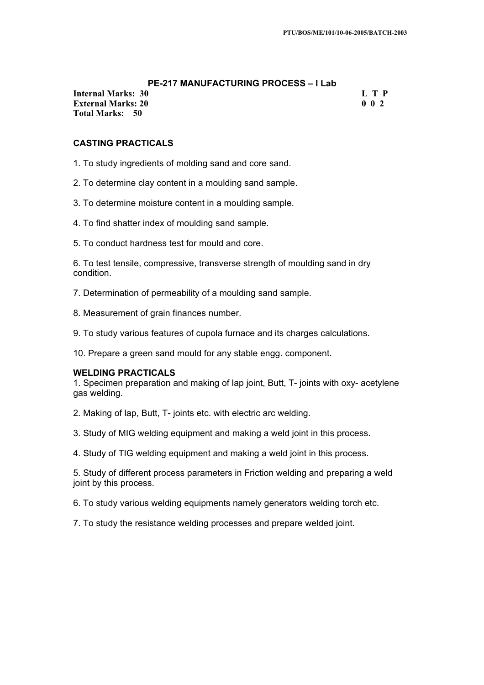# **PE-217 MANUFACTURING PROCESS – I Lab**

**Internal Marks: 30 L T P L T P External Marks: 20 0 0 2 Total Marks: 50**

# **CASTING PRACTICALS**

- 1. To study ingredients of molding sand and core sand.
- 2. To determine clay content in a moulding sand sample.
- 3. To determine moisture content in a moulding sample.
- 4. To find shatter index of moulding sand sample.
- 5. To conduct hardness test for mould and core.

6. To test tensile, compressive, transverse strength of moulding sand in dry condition.

- 7. Determination of permeability of a moulding sand sample.
- 8. Measurement of grain finances number.
- 9. To study various features of cupola furnace and its charges calculations.
- 10. Prepare a green sand mould for any stable engg. component.

### **WELDING PRACTICALS**

1. Specimen preparation and making of lap joint, Butt, T- joints with oxy- acetylene gas welding.

- 2. Making of lap, Butt, T- joints etc. with electric arc welding.
- 3. Study of MIG welding equipment and making a weld joint in this process.
- 4. Study of TIG welding equipment and making a weld joint in this process.

5. Study of different process parameters in Friction welding and preparing a weld joint by this process.

- 6. To study various welding equipments namely generators welding torch etc.
- 7. To study the resistance welding processes and prepare welded joint.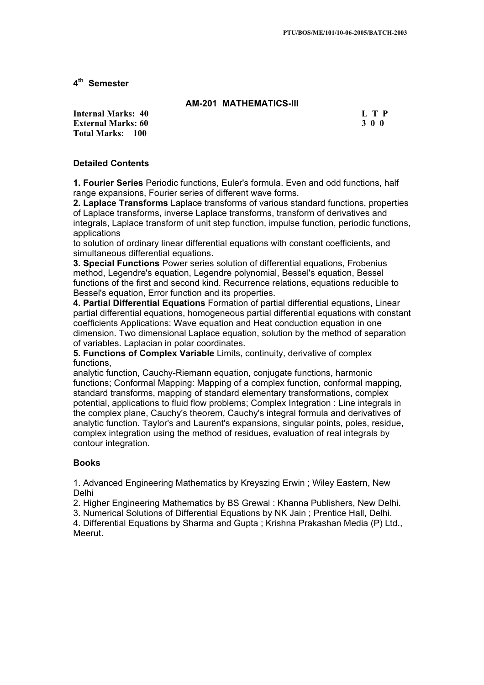**4th Semester** 

# **AM-201 MATHEMATICS-III**

**Internal Marks: 40 L T P L L T P External Marks: 60 3 0 0 Total Marks: 100**

# **Detailed Contents**

**1. Fourier Series** Periodic functions, Euler's formula. Even and odd functions, half range expansions, Fourier series of different wave forms.

**2. Laplace Transforms** Laplace transforms of various standard functions, properties of Laplace transforms, inverse Laplace transforms, transform of derivatives and integrals, Laplace transform of unit step function, impulse function, periodic functions, applications

to solution of ordinary linear differential equations with constant coefficients, and simultaneous differential equations.

**3. Special Functions** Power series solution of differential equations, Frobenius method, Legendre's equation, Legendre polynomial, Bessel's equation, Bessel functions of the first and second kind. Recurrence relations, equations reducible to Bessel's equation, Error function and its properties.

**4. Partial Differential Equations** Formation of partial differential equations, Linear partial differential equations, homogeneous partial differential equations with constant coefficients Applications: Wave equation and Heat conduction equation in one dimension. Two dimensional Laplace equation, solution by the method of separation of variables. Laplacian in polar coordinates.

**5. Functions of Complex Variable** Limits, continuity, derivative of complex functions,

analytic function, Cauchy-Riemann equation, conjugate functions, harmonic functions; Conformal Mapping: Mapping of a complex function, conformal mapping, standard transforms, mapping of standard elementary transformations, complex potential, applications to fluid flow problems; Complex Integration : Line integrals in the complex plane, Cauchy's theorem, Cauchy's integral formula and derivatives of analytic function. Taylor's and Laurent's expansions, singular points, poles, residue, complex integration using the method of residues, evaluation of real integrals by contour integration.

# **Books**

1. Advanced Engineering Mathematics by Kreyszing Erwin ; Wiley Eastern, New Delhi

2. Higher Engineering Mathematics by BS Grewal : Khanna Publishers, New Delhi.

3. Numerical Solutions of Differential Equations by NK Jain ; Prentice Hall, Delhi.

4. Differential Equations by Sharma and Gupta ; Krishna Prakashan Media (P) Ltd., Meerut.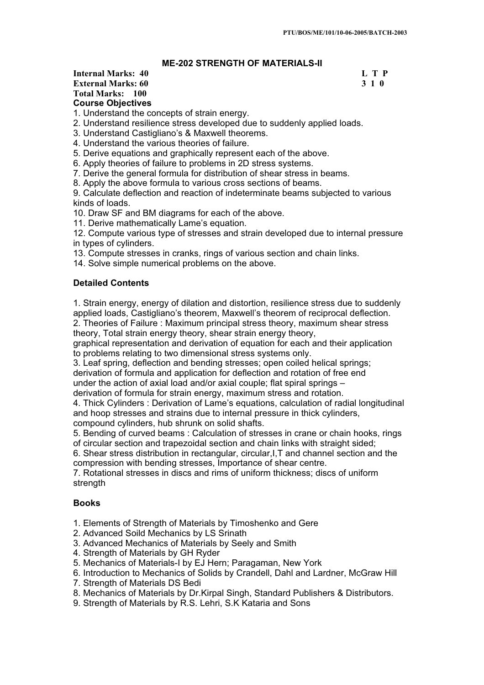# **ME-202 STRENGTH OF MATERIALS-II**

# **Internal Marks: 40 L T P L T P External Marks: 60 3 1 0 Total Marks: 100 Course Objectives**

1. Understand the concepts of strain energy.

2. Understand resilience stress developed due to suddenly applied loads.

3. Understand Castigliano's & Maxwell theorems.

4. Understand the various theories of failure.

5. Derive equations and graphically represent each of the above.

6. Apply theories of failure to problems in 2D stress systems.

7. Derive the general formula for distribution of shear stress in beams.

8. Apply the above formula to various cross sections of beams.

9. Calculate deflection and reaction of indeterminate beams subjected to various kinds of loads.

10. Draw SF and BM diagrams for each of the above.

11. Derive mathematically Lame's equation.

12. Compute various type of stresses and strain developed due to internal pressure in types of cylinders.

13. Compute stresses in cranks, rings of various section and chain links.

14. Solve simple numerical problems on the above.

# **Detailed Contents**

1. Strain energy, energy of dilation and distortion, resilience stress due to suddenly applied loads, Castigliano's theorem, Maxwell's theorem of reciprocal deflection.

2. Theories of Failure : Maximum principal stress theory, maximum shear stress theory, Total strain energy theory, shear strain energy theory,

graphical representation and derivation of equation for each and their application to problems relating to two dimensional stress systems only.

3. Leaf spring, deflection and bending stresses; open coiled helical springs; derivation of formula and application for deflection and rotation of free end under the action of axial load and/or axial couple; flat spiral springs –

derivation of formula for strain energy, maximum stress and rotation.

4. Thick Cylinders : Derivation of Lame's equations, calculation of radial longitudinal and hoop stresses and strains due to internal pressure in thick cylinders, compound cylinders, hub shrunk on solid shafts.

5. Bending of curved beams : Calculation of stresses in crane or chain hooks, rings of circular section and trapezoidal section and chain links with straight sided;

6. Shear stress distribution in rectangular, circular,I,T and channel section and the compression with bending stresses, Importance of shear centre.

7. Rotational stresses in discs and rims of uniform thickness; discs of uniform strength

### **Books**

1. Elements of Strength of Materials by Timoshenko and Gere

2. Advanced Soild Mechanics by LS Srinath

3. Advanced Mechanics of Materials by Seely and Smith

4. Strength of Materials by GH Ryder

5. Mechanics of Materials-I by EJ Hern; Paragaman, New York

6. Introduction to Mechanics of Solids by Crandell, Dahl and Lardner, McGraw Hill

7. Strength of Materials DS Bedi

8. Mechanics of Materials by Dr.Kirpal Singh, Standard Publishers & Distributors.

9. Strength of Materials by R.S. Lehri, S.K Kataria and Sons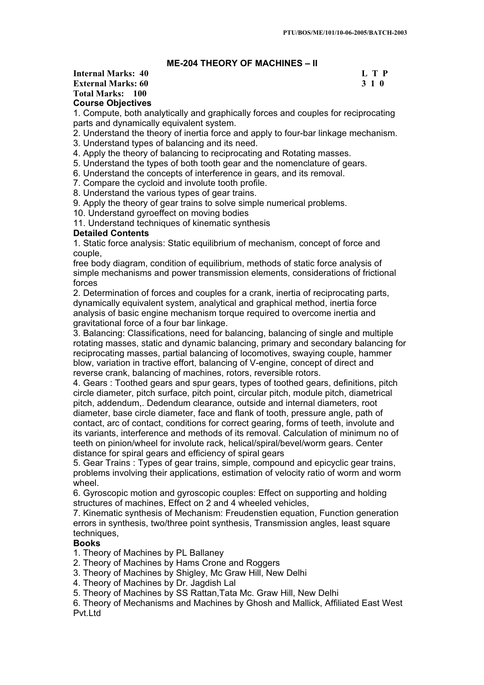# **ME-204 THEORY OF MACHINES – II**

# **Internal Marks: 40 L T P L T P External Marks: 60 3 1 0 Total Marks: 100 Course Objectives**

1. Compute, both analytically and graphically forces and couples for reciprocating parts and dynamically equivalent system.

- 2. Understand the theory of inertia force and apply to four-bar linkage mechanism.
- 3. Understand types of balancing and its need.

4. Apply the theory of balancing to reciprocating and Rotating masses.

5. Understand the types of both tooth gear and the nomenclature of gears.

- 6. Understand the concepts of interference in gears, and its removal.
- 7. Compare the cycloid and involute tooth profile.
- 8. Understand the various types of gear trains.

9. Apply the theory of gear trains to solve simple numerical problems.

10. Understand gyroeffect on moving bodies

11. Understand techniques of kinematic synthesis

### **Detailed Contents**

1. Static force analysis: Static equilibrium of mechanism, concept of force and couple,

free body diagram, condition of equilibrium, methods of static force analysis of simple mechanisms and power transmission elements, considerations of frictional forces

2. Determination of forces and couples for a crank, inertia of reciprocating parts, dynamically equivalent system, analytical and graphical method, inertia force analysis of basic engine mechanism torque required to overcome inertia and gravitational force of a four bar linkage.

3. Balancing: Classifications, need for balancing, balancing of single and multiple rotating masses, static and dynamic balancing, primary and secondary balancing for reciprocating masses, partial balancing of locomotives, swaying couple, hammer blow, variation in tractive effort, balancing of V-engine, concept of direct and reverse crank, balancing of machines, rotors, reversible rotors.

4. Gears : Toothed gears and spur gears, types of toothed gears, definitions, pitch circle diameter, pitch surface, pitch point, circular pitch, module pitch, diametrical pitch, addendum,. Dedendum clearance, outside and internal diameters, root diameter, base circle diameter, face and flank of tooth, pressure angle, path of contact, arc of contact, conditions for correct gearing, forms of teeth, involute and its variants, interference and methods of its removal. Calculation of minimum no of teeth on pinion/wheel for involute rack, helical/spiral/bevel/worm gears. Center distance for spiral gears and efficiency of spiral gears

5. Gear Trains : Types of gear trains, simple, compound and epicyclic gear trains, problems involving their applications, estimation of velocity ratio of worm and worm wheel.

6. Gyroscopic motion and gyroscopic couples: Effect on supporting and holding structures of machines, Effect on 2 and 4 wheeled vehicles,

7. Kinematic synthesis of Mechanism: Freudenstien equation, Function generation errors in synthesis, two/three point synthesis, Transmission angles, least square techniques,

### **Books**

1. Theory of Machines by PL Ballaney

- 2. Theory of Machines by Hams Crone and Roggers
- 3. Theory of Machines by Shigley, Mc Graw Hill, New Delhi
- 4. Theory of Machines by Dr. Jagdish Lal

5. Theory of Machines by SS Rattan,Tata Mc. Graw Hill, New Delhi

6. Theory of Mechanisms and Machines by Ghosh and Mallick, Affiliated East West Pvt I td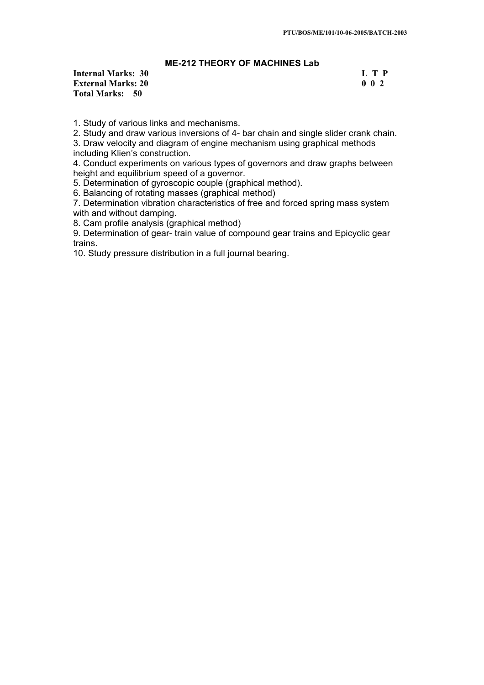# **ME-212 THEORY OF MACHINES Lab**

**Internal Marks: 30 L T P I External Marks: 20 0 0 2 Total Marks: 50**

1. Study of various links and mechanisms.

2. Study and draw various inversions of 4- bar chain and single slider crank chain.

3. Draw velocity and diagram of engine mechanism using graphical methods including Klien's construction.

4. Conduct experiments on various types of governors and draw graphs between height and equilibrium speed of a governor.

5. Determination of gyroscopic couple (graphical method).

6. Balancing of rotating masses (graphical method)

7. Determination vibration characteristics of free and forced spring mass system with and without damping.

8. Cam profile analysis (graphical method)

9. Determination of gear- train value of compound gear trains and Epicyclic gear trains.

10. Study pressure distribution in a full journal bearing.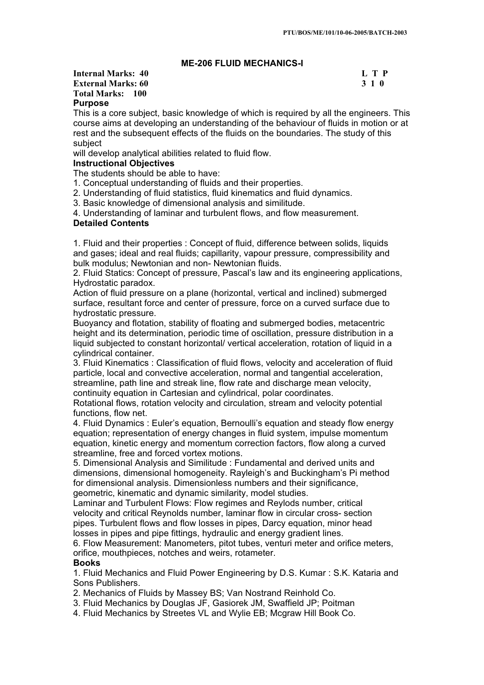# **ME-206 FLUID MECHANICS-I**

# **Internal Marks: 40 L T P L T P External Marks: 60 3 1 0 Total Marks: 100 Purpose**

This is a core subject, basic knowledge of which is required by all the engineers. This course aims at developing an understanding of the behaviour of fluids in motion or at rest and the subsequent effects of the fluids on the boundaries. The study of this subject

will develop analytical abilities related to fluid flow.

### **Instructional Objectives**

The students should be able to have:

1. Conceptual understanding of fluids and their properties.

2. Understanding of fluid statistics, fluid kinematics and fluid dynamics.

3. Basic knowledge of dimensional analysis and similitude.

4. Understanding of laminar and turbulent flows, and flow measurement.

### **Detailed Contents**

1. Fluid and their properties : Concept of fluid, difference between solids, liquids and gases; ideal and real fluids; capillarity, vapour pressure, compressibility and bulk modulus; Newtonian and non- Newtonian fluids.

2. Fluid Statics: Concept of pressure, Pascal's law and its engineering applications, Hydrostatic paradox.

Action of fluid pressure on a plane (horizontal, vertical and inclined) submerged surface, resultant force and center of pressure, force on a curved surface due to hydrostatic pressure.

Buoyancy and flotation, stability of floating and submerged bodies, metacentric height and its determination, periodic time of oscillation, pressure distribution in a liquid subjected to constant horizontal/ vertical acceleration, rotation of liquid in a cylindrical container.

3. Fluid Kinematics : Classification of fluid flows, velocity and acceleration of fluid particle, local and convective acceleration, normal and tangential acceleration, streamline, path line and streak line, flow rate and discharge mean velocity, continuity equation in Cartesian and cylindrical, polar coordinates.

Rotational flows, rotation velocity and circulation, stream and velocity potential functions, flow net.

4. Fluid Dynamics : Euler's equation, Bernoulli's equation and steady flow energy equation; representation of energy changes in fluid system, impulse momentum equation, kinetic energy and momentum correction factors, flow along a curved streamline, free and forced vortex motions.

5. Dimensional Analysis and Similitude : Fundamental and derived units and dimensions, dimensional homogeneity. Rayleigh's and Buckingham's Pi method for dimensional analysis. Dimensionless numbers and their significance, geometric, kinematic and dynamic similarity, model studies.

Laminar and Turbulent Flows: Flow regimes and Reylods number, critical velocity and critical Reynolds number, laminar flow in circular cross- section pipes. Turbulent flows and flow losses in pipes, Darcy equation, minor head losses in pipes and pipe fittings, hydraulic and energy gradient lines.

6. Flow Measurement: Manometers, pitot tubes, venturi meter and orifice meters, orifice, mouthpieces, notches and weirs, rotameter.

### **Books**

1. Fluid Mechanics and Fluid Power Engineering by D.S. Kumar : S.K. Kataria and Sons Publishers.

2. Mechanics of Fluids by Massey BS; Van Nostrand Reinhold Co.

3. Fluid Mechanics by Douglas JF, Gasiorek JM, Swaffield JP; Poitman

4. Fluid Mechanics by Streetes VL and Wylie EB; Mcgraw Hill Book Co.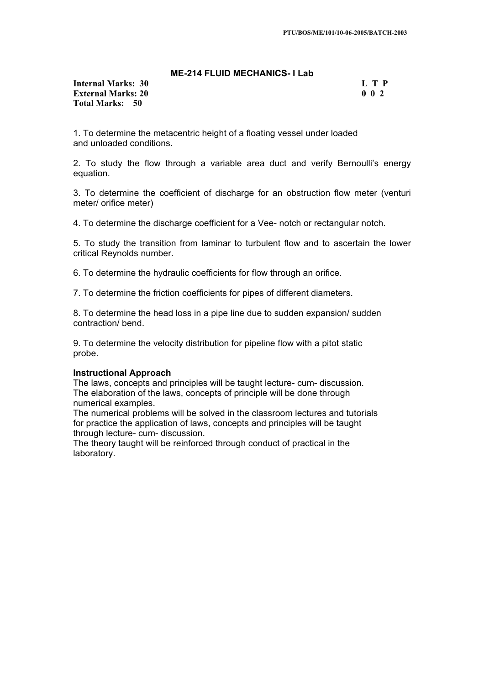### **ME-214 FLUID MECHANICS- I Lab**

### **Internal Marks: 30 L T P L T P External Marks: 20** 0 0 2 **Total Marks: 50**

1. To determine the metacentric height of a floating vessel under loaded and unloaded conditions.

2. To study the flow through a variable area duct and verify Bernoulli's energy equation.

3. To determine the coefficient of discharge for an obstruction flow meter (venturi meter/ orifice meter)

4. To determine the discharge coefficient for a Vee- notch or rectangular notch.

5. To study the transition from laminar to turbulent flow and to ascertain the lower critical Reynolds number.

6. To determine the hydraulic coefficients for flow through an orifice.

7. To determine the friction coefficients for pipes of different diameters.

8. To determine the head loss in a pipe line due to sudden expansion/ sudden contraction/ bend.

9. To determine the velocity distribution for pipeline flow with a pitot static probe.

### **Instructional Approach**

The laws, concepts and principles will be taught lecture- cum- discussion. The elaboration of the laws, concepts of principle will be done through numerical examples.

The numerical problems will be solved in the classroom lectures and tutorials for practice the application of laws, concepts and principles will be taught through lecture- cum- discussion.

The theory taught will be reinforced through conduct of practical in the laboratory.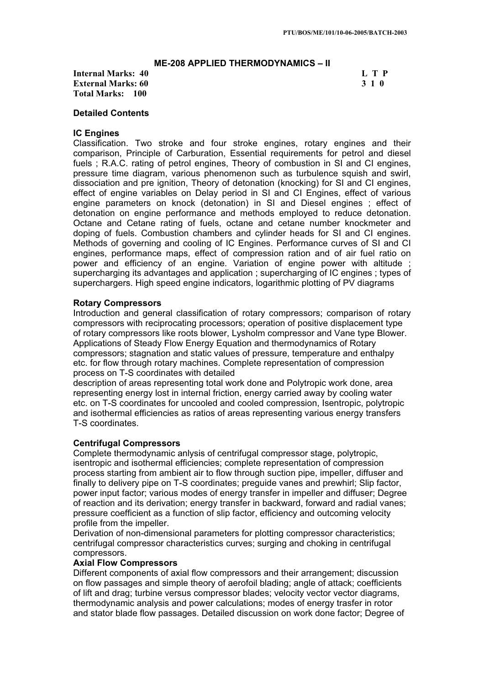### **ME-208 APPLIED THERMODYNAMICS – II**

**Internal Marks: 40 L T P L T P External Marks: 60 3 1 0 Total Marks: 100**

# **Detailed Contents**

### **IC Engines**

Classification. Two stroke and four stroke engines, rotary engines and their comparison, Principle of Carburation, Essential requirements for petrol and diesel fuels; R.A.C. rating of petrol engines, Theory of combustion in SI and CI engines, pressure time diagram, various phenomenon such as turbulence squish and swirl, dissociation and pre ignition, Theory of detonation (knocking) for SI and CI engines, effect of engine variables on Delay period in SI and CI Engines, effect of various engine parameters on knock (detonation) in SI and Diesel engines ; effect of detonation on engine performance and methods employed to reduce detonation. Octane and Cetane rating of fuels, octane and cetane number knockmeter and doping of fuels. Combustion chambers and cylinder heads for SI and CI engines. Methods of governing and cooling of IC Engines. Performance curves of SI and CI engines, performance maps, effect of compression ration and of air fuel ratio on power and efficiency of an engine. Variation of engine power with altitude supercharging its advantages and application ; supercharging of IC engines ; types of superchargers. High speed engine indicators, logarithmic plotting of PV diagrams

### **Rotary Compressors**

Introduction and general classification of rotary compressors; comparison of rotary compressors with reciprocating processors; operation of positive displacement type of rotary compressors like roots blower, Lysholm compressor and Vane type Blower. Applications of Steady Flow Energy Equation and thermodynamics of Rotary compressors; stagnation and static values of pressure, temperature and enthalpy etc. for flow through rotary machines. Complete representation of compression process on T-S coordinates with detailed

description of areas representing total work done and Polytropic work done, area representing energy lost in internal friction, energy carried away by cooling water etc. on T-S coordinates for uncooled and cooled compression, Isentropic, polytropic and isothermal efficiencies as ratios of areas representing various energy transfers T-S coordinates.

### **Centrifugal Compressors**

Complete thermodynamic anlysis of centrifugal compressor stage, polytropic, isentropic and isothermal efficiencies; complete representation of compression process starting from ambient air to flow through suction pipe, impeller, diffuser and finally to delivery pipe on T-S coordinates; preguide vanes and prewhirl; Slip factor, power input factor; various modes of energy transfer in impeller and diffuser; Degree of reaction and its derivation; energy transfer in backward, forward and radial vanes; pressure coefficient as a function of slip factor, efficiency and outcoming velocity profile from the impeller.

Derivation of non-dimensional parameters for plotting compressor characteristics; centrifugal compressor characteristics curves; surging and choking in centrifugal compressors.

### **Axial Flow Compressors**

Different components of axial flow compressors and their arrangement; discussion on flow passages and simple theory of aerofoil blading; angle of attack; coefficients of lift and drag; turbine versus compressor blades; velocity vector vector diagrams, thermodynamic analysis and power calculations; modes of energy trasfer in rotor and stator blade flow passages. Detailed discussion on work done factor; Degree of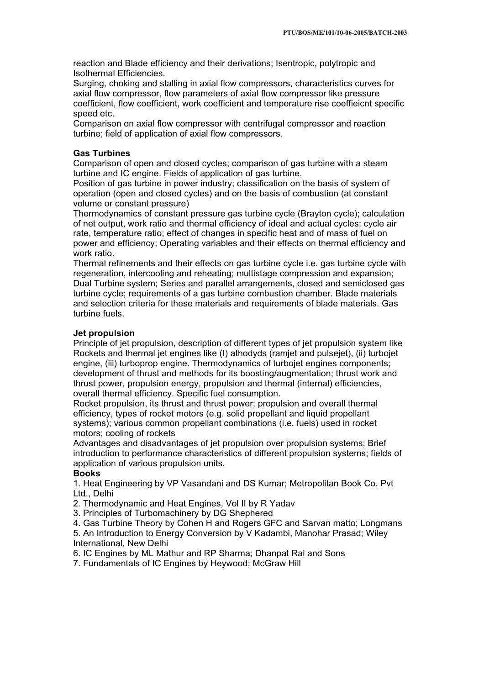reaction and Blade efficiency and their derivations; Isentropic, polytropic and Isothermal Efficiencies.

Surging, choking and stalling in axial flow compressors, characteristics curves for axial flow compressor, flow parameters of axial flow compressor like pressure coefficient, flow coefficient, work coefficient and temperature rise coeffieicnt specific speed etc.

Comparison on axial flow compressor with centrifugal compressor and reaction turbine; field of application of axial flow compressors.

# **Gas Turbines**

Comparison of open and closed cycles; comparison of gas turbine with a steam turbine and IC engine. Fields of application of gas turbine.

Position of gas turbine in power industry; classification on the basis of system of operation (open and closed cycles) and on the basis of combustion (at constant volume or constant pressure)

Thermodynamics of constant pressure gas turbine cycle (Brayton cycle); calculation of net output, work ratio and thermal efficiency of ideal and actual cycles; cycle air rate, temperature ratio; effect of changes in specific heat and of mass of fuel on power and efficiency; Operating variables and their effects on thermal efficiency and work ratio.

Thermal refinements and their effects on gas turbine cycle i.e. gas turbine cycle with regeneration, intercooling and reheating; multistage compression and expansion; Dual Turbine system; Series and parallel arrangements, closed and semiclosed gas turbine cycle; requirements of a gas turbine combustion chamber. Blade materials and selection criteria for these materials and requirements of blade materials. Gas turbine fuels.

# **Jet propulsion**

Principle of jet propulsion, description of different types of jet propulsion system like Rockets and thermal jet engines like (I) athodyds (ramjet and pulsejet), (ii) turbojet engine, (iii) turboprop engine. Thermodynamics of turbojet engines components; development of thrust and methods for its boosting/augmentation; thrust work and thrust power, propulsion energy, propulsion and thermal (internal) efficiencies, overall thermal efficiency. Specific fuel consumption.

Rocket propulsion, its thrust and thrust power; propulsion and overall thermal efficiency, types of rocket motors (e.g. solid propellant and liquid propellant systems); various common propellant combinations (i.e. fuels) used in rocket motors; cooling of rockets

Advantages and disadvantages of jet propulsion over propulsion systems; Brief introduction to performance characteristics of different propulsion systems; fields of application of various propulsion units.

### **Books**

1. Heat Engineering by VP Vasandani and DS Kumar; Metropolitan Book Co. Pvt Ltd., Delhi

2. Thermodynamic and Heat Engines, Vol II by R Yadav

3. Principles of Turbomachinery by DG Shephered

4. Gas Turbine Theory by Cohen H and Rogers GFC and Sarvan matto; Longmans

5. An Introduction to Energy Conversion by V Kadambi, Manohar Prasad; Wiley International, New Delhi

6. IC Engines by ML Mathur and RP Sharma; Dhanpat Rai and Sons

7. Fundamentals of IC Engines by Heywood; McGraw Hill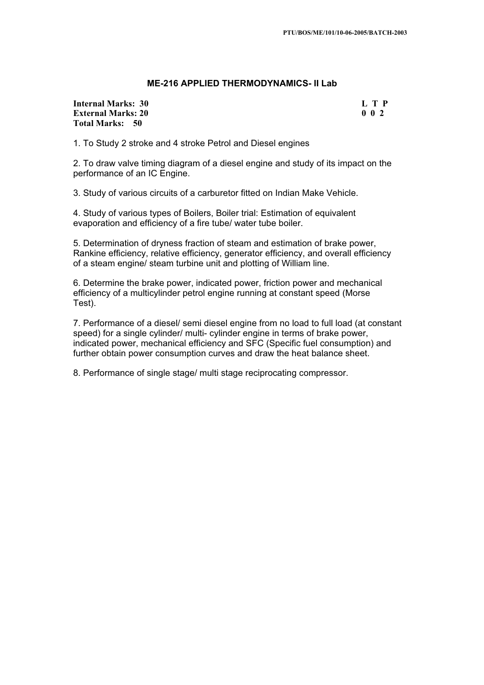### **ME-216 APPLIED THERMODYNAMICS- II Lab**

### **Internal Marks: 30 External Marks: 20 Total Marks: 50**

|  | L T P       |
|--|-------------|
|  | $0 \t0 \t2$ |

1. To Study 2 stroke and 4 stroke Petrol and Diesel engines

2. To draw valve timing diagram of a diesel engine and study of its impact on the performance of an IC Engine.

3. Study of various circuits of a carburetor fitted on Indian Make Vehicle.

4. Study of various types of Boilers, Boiler trial: Estimation of equivalent evaporation and efficiency of a fire tube/ water tube boiler.

5. Determination of dryness fraction of steam and estimation of brake power, Rankine efficiency, relative efficiency, generator efficiency, and overall efficiency of a steam engine/ steam turbine unit and plotting of William line.

6. Determine the brake power, indicated power, friction power and mechanical efficiency of a multicylinder petrol engine running at constant speed (Morse Test).

7. Performance of a diesel/ semi diesel engine from no load to full load (at constant speed) for a single cylinder/ multi- cylinder engine in terms of brake power, indicated power, mechanical efficiency and SFC (Specific fuel consumption) and further obtain power consumption curves and draw the heat balance sheet.

8. Performance of single stage/ multi stage reciprocating compressor.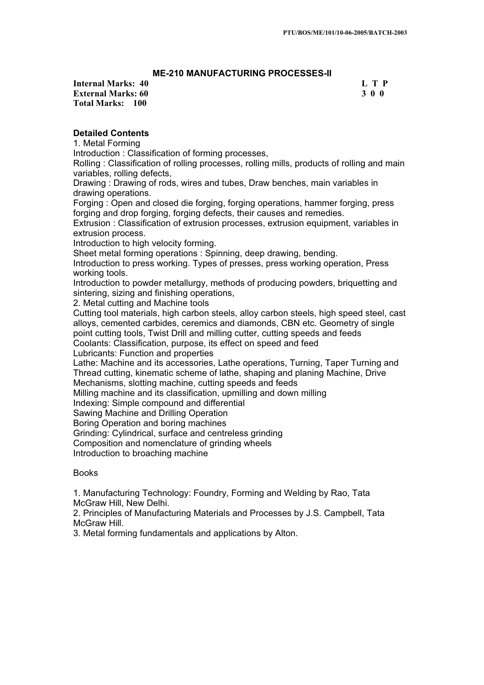# **ME-210 MANUFACTURING PROCESSES-II**

**Internal Marks: 40 L T P L T P External Marks: 60 3 0 0 Total Marks: 100**

# **Detailed Contents**

1. Metal Forming

Introduction : Classification of forming processes,

Rolling : Classification of rolling processes, rolling mills, products of rolling and main variables, rolling defects,

Drawing : Drawing of rods, wires and tubes, Draw benches, main variables in drawing operations.

Forging : Open and closed die forging, forging operations, hammer forging, press forging and drop forging, forging defects, their causes and remedies.

Extrusion : Classification of extrusion processes, extrusion equipment, variables in extrusion process.

Introduction to high velocity forming.

Sheet metal forming operations : Spinning, deep drawing, bending.

Introduction to press working. Types of presses, press working operation, Press working tools.

Introduction to powder metallurgy, methods of producing powders, briquetting and sintering, sizing and finishing operations,

2. Metal cutting and Machine tools

Cutting tool materials, high carbon steels, alloy carbon steels, high speed steel, cast alloys, cemented carbides, ceremics and diamonds, CBN etc. Geometry of single point cutting tools, Twist Drill and milling cutter, cutting speeds and feeds

Coolants: Classification, purpose, its effect on speed and feed

Lubricants: Function and properties

Lathe: Machine and its accessories, Lathe operations, Turning, Taper Turning and Thread cutting, kinematic scheme of lathe, shaping and planing Machine, Drive Mechanisms, slotting machine, cutting speeds and feeds

Milling machine and its classification, upmilling and down milling

Indexing: Simple compound and differential

Sawing Machine and Drilling Operation

Boring Operation and boring machines

Grinding: Cylindrical, surface and centreless grinding

Composition and nomenclature of grinding wheels

Introduction to broaching machine

### Books

1. Manufacturing Technology: Foundry, Forming and Welding by Rao, Tata McGraw Hill, New Delhi.

2. Principles of Manufacturing Materials and Processes by J.S. Campbell, Tata McGraw Hill.

3. Metal forming fundamentals and applications by Alton.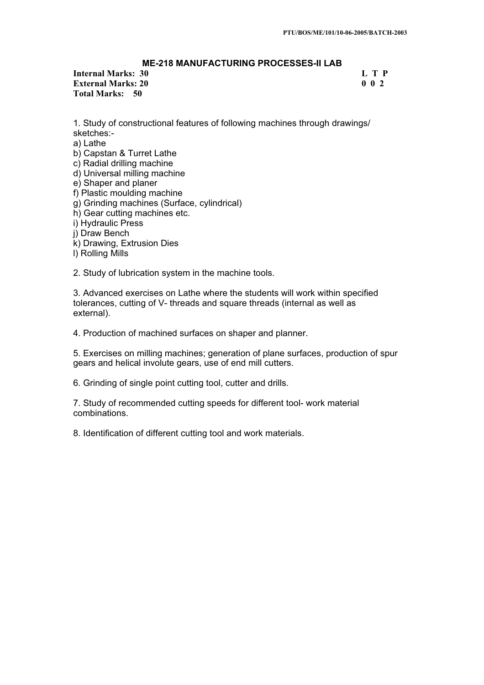# **ME-218 MANUFACTURING PROCESSES-II LAB**

# **Internal Marks: 30 L T P L T P External Marks: 20 0 0 2 Total Marks: 50**

1. Study of constructional features of following machines through drawings/ sketches:-

a) Lathe

b) Capstan & Turret Lathe

c) Radial drilling machine

d) Universal milling machine

e) Shaper and planer

f) Plastic moulding machine

g) Grinding machines (Surface, cylindrical)

h) Gear cutting machines etc.

i) Hydraulic Press

j) Draw Bench

k) Drawing, Extrusion Dies

l) Rolling Mills

2. Study of lubrication system in the machine tools.

3. Advanced exercises on Lathe where the students will work within specified tolerances, cutting of V- threads and square threads (internal as well as external).

4. Production of machined surfaces on shaper and planner.

5. Exercises on milling machines; generation of plane surfaces, production of spur gears and helical involute gears, use of end mill cutters.

6. Grinding of single point cutting tool, cutter and drills.

7. Study of recommended cutting speeds for different tool- work material combinations.

8. Identification of different cutting tool and work materials.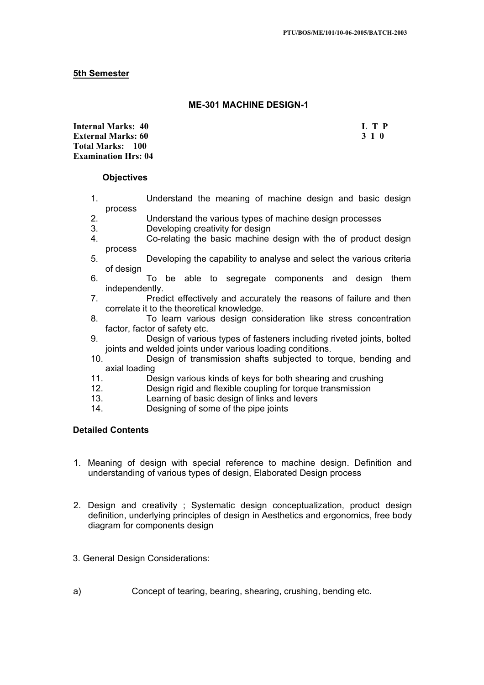# **5th Semester**

# **ME-301 MACHINE DESIGN-1**

**Internal Marks: 40 L T P I** L T P **External Marks: 60 3 1 0 3 2 3 3 4 6 3 4 5 4 4 4 4 4 5 4 7 4 4 5 4 5 4 7 6 7 7 8 4 5 6 7 7 8 7 7 8 7 7 8 7 7 8 7 7 8 7 7 8 7 7 8 7 7 8 7 7 8 7 7 8 7 7 8 7 7 8 7 7 8 7 7 8 7 7 8 7 7 8 7 7 8 7 7 8 7 7 8 7 7 8 7 7 8 7 7 8 7 Total Marks: 100 Examination Hrs: 04** 

### **Objectives**

- 1. Understand the meaning of machine design and basic design process
- 2. Understand the various types of machine design processes
- 3. Developing creativity for design<br>4 Co-relating the basic machine
- Co-relating the basic machine design with the of product design process
- 5. Developing the capability to analyse and select the various criteria of design
- 6. To be able to segregate components and design them independently.
- 7. Predict effectively and accurately the reasons of failure and then correlate it to the theoretical knowledge.
- 8. To learn various design consideration like stress concentration factor, factor of safety etc.
- 9. Design of various types of fasteners including riveted joints, bolted joints and welded joints under various loading conditions.
- 10. Design of transmission shafts subjected to torque, bending and axial loading
- 11. Design various kinds of keys for both shearing and crushing
- 12. Design rigid and flexible coupling for torque transmission
- 13. Learning of basic design of links and levers
- 14. Designing of some of the pipe joints

### **Detailed Contents**

- 1. Meaning of design with special reference to machine design. Definition and understanding of various types of design, Elaborated Design process
- 2. Design and creativity ; Systematic design conceptualization, product design definition, underlying principles of design in Aesthetics and ergonomics, free body diagram for components design
- 3. General Design Considerations:
- a) Concept of tearing, bearing, shearing, crushing, bending etc.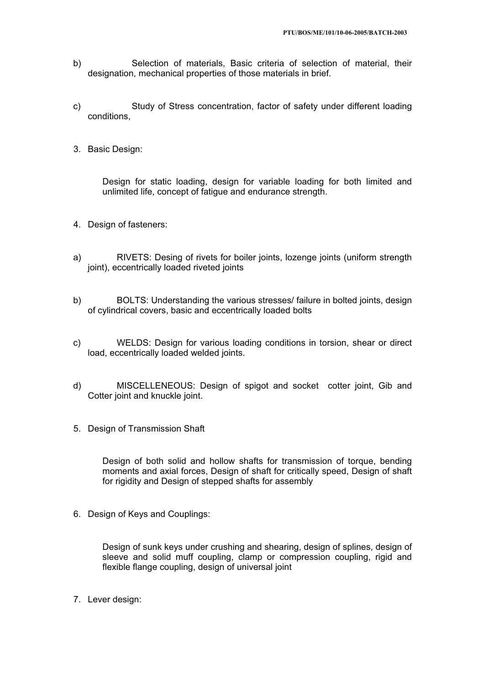- b) Selection of materials, Basic criteria of selection of material, their designation, mechanical properties of those materials in brief.
- c) Study of Stress concentration, factor of safety under different loading conditions,
- 3. Basic Design:

Design for static loading, design for variable loading for both limited and unlimited life, concept of fatigue and endurance strength.

- 4. Design of fasteners:
- a) RIVETS: Desing of rivets for boiler joints, lozenge joints (uniform strength joint), eccentrically loaded riveted joints
- b) BOLTS: Understanding the various stresses/ failure in bolted joints, design of cylindrical covers, basic and eccentrically loaded bolts
- c) WELDS: Design for various loading conditions in torsion, shear or direct load, eccentrically loaded welded joints.
- d) MISCELLENEOUS: Design of spigot and socket cotter joint, Gib and Cotter joint and knuckle joint.
- 5. Design of Transmission Shaft

Design of both solid and hollow shafts for transmission of torque, bending moments and axial forces, Design of shaft for critically speed, Design of shaft for rigidity and Design of stepped shafts for assembly

6. Design of Keys and Couplings:

Design of sunk keys under crushing and shearing, design of splines, design of sleeve and solid muff coupling, clamp or compression coupling, rigid and flexible flange coupling, design of universal joint

7. Lever design: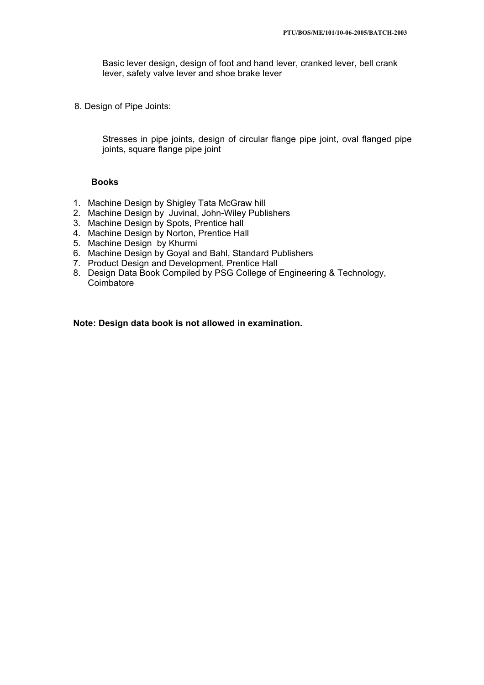Basic lever design, design of foot and hand lever, cranked lever, bell crank lever, safety valve lever and shoe brake lever

8. Design of Pipe Joints:

Stresses in pipe joints, design of circular flange pipe joint, oval flanged pipe joints, square flange pipe joint

### **Books**

- 1. Machine Design by Shigley Tata McGraw hill
- 2. Machine Design by Juvinal, John-Wiley Publishers
- 3. Machine Design by Spots, Prentice hall
- 4. Machine Design by Norton, Prentice Hall
- 5. Machine Design by Khurmi
- 6. Machine Design by Goyal and Bahl, Standard Publishers
- 7. Product Design and Development, Prentice Hall
- 8. Design Data Book Compiled by PSG College of Engineering & Technology, Coimbatore

**Note: Design data book is not allowed in examination.**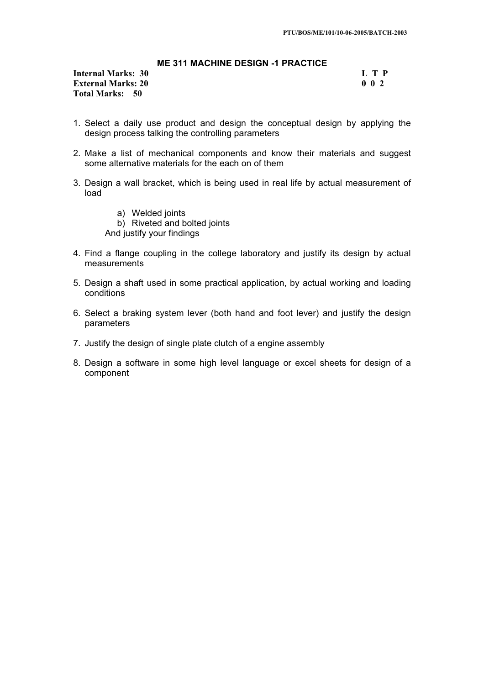# **ME 311 MACHINE DESIGN -1 PRACTICE**

**Internal Marks: 30 L T P I External Marks: 20 0 0 2 Total Marks: 50**

- 1. Select a daily use product and design the conceptual design by applying the design process talking the controlling parameters
- 2. Make a list of mechanical components and know their materials and suggest some alternative materials for the each on of them
- 3. Design a wall bracket, which is being used in real life by actual measurement of load
	- a) Welded joints b) Riveted and bolted joints And justify your findings
- 4. Find a flange coupling in the college laboratory and justify its design by actual measurements
- 5. Design a shaft used in some practical application, by actual working and loading conditions
- 6. Select a braking system lever (both hand and foot lever) and justify the design parameters
- 7. Justify the design of single plate clutch of a engine assembly
- 8. Design a software in some high level language or excel sheets for design of a component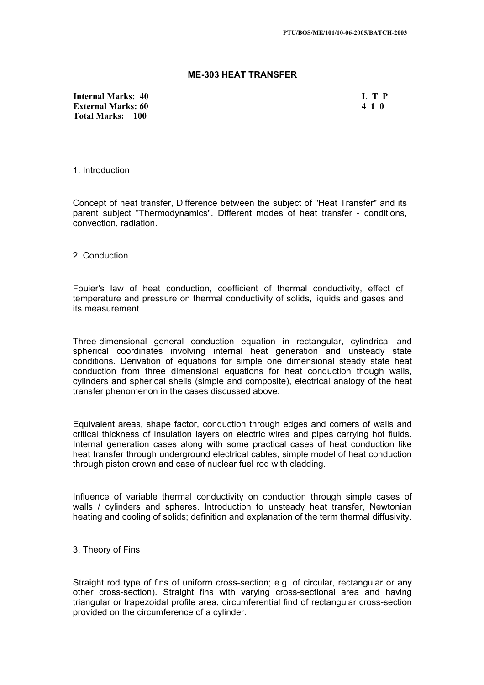### **ME-303 HEAT TRANSFER**

**Internal Marks: 40 L T P L T P External Marks: 60 4 1 0 Total Marks: 100**

1. Introduction

Concept of heat transfer, Difference between the subject of "Heat Transfer" and its parent subject "Thermodynamics". Different modes of heat transfer - conditions, convection, radiation.

2. Conduction

Fouier's law of heat conduction, coefficient of thermal conductivity, effect of temperature and pressure on thermal conductivity of solids, liquids and gases and its measurement.

Three-dimensional general conduction equation in rectangular, cylindrical and spherical coordinates involving internal heat generation and unsteady state conditions. Derivation of equations for simple one dimensional steady state heat conduction from three dimensional equations for heat conduction though walls, cylinders and spherical shells (simple and composite), electrical analogy of the heat transfer phenomenon in the cases discussed above.

Equivalent areas, shape factor, conduction through edges and corners of walls and critical thickness of insulation layers on electric wires and pipes carrying hot fluids. Internal generation cases along with some practical cases of heat conduction like heat transfer through underground electrical cables, simple model of heat conduction through piston crown and case of nuclear fuel rod with cladding.

Influence of variable thermal conductivity on conduction through simple cases of walls / cvlinders and spheres. Introduction to unsteady heat transfer, Newtonian heating and cooling of solids; definition and explanation of the term thermal diffusivity.

### 3. Theory of Fins

Straight rod type of fins of uniform cross-section; e.g. of circular, rectangular or any other cross-section). Straight fins with varying cross-sectional area and having triangular or trapezoidal profile area, circumferential find of rectangular cross-section provided on the circumference of a cylinder.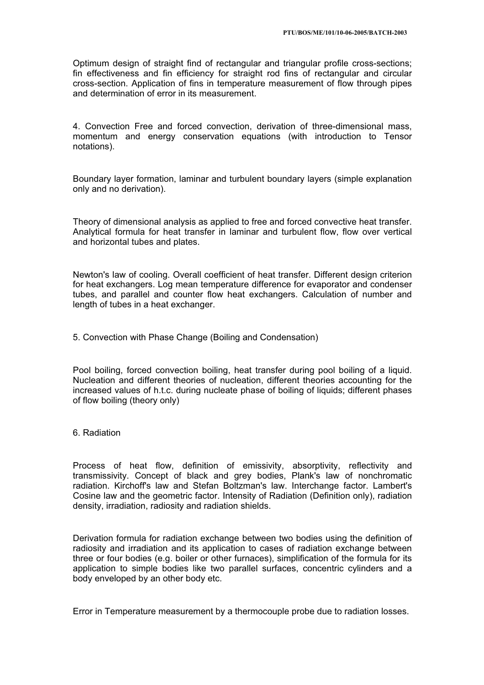Optimum design of straight find of rectangular and triangular profile cross-sections; fin effectiveness and fin efficiency for straight rod fins of rectangular and circular cross-section. Application of fins in temperature measurement of flow through pipes and determination of error in its measurement.

4. Convection Free and forced convection, derivation of three-dimensional mass, momentum and energy conservation equations (with introduction to Tensor notations).

Boundary layer formation, laminar and turbulent boundary layers (simple explanation only and no derivation).

Theory of dimensional analysis as applied to free and forced convective heat transfer. Analytical formula for heat transfer in laminar and turbulent flow, flow over vertical and horizontal tubes and plates.

Newton's law of cooling. Overall coefficient of heat transfer. Different design criterion for heat exchangers. Log mean temperature difference for evaporator and condenser tubes, and parallel and counter flow heat exchangers. Calculation of number and length of tubes in a heat exchanger.

5. Convection with Phase Change (Boiling and Condensation)

Pool boiling, forced convection boiling, heat transfer during pool boiling of a liquid. Nucleation and different theories of nucleation, different theories accounting for the increased values of h.t.c. during nucleate phase of boiling of liquids; different phases of flow boiling (theory only)

6. Radiation

Process of heat flow, definition of emissivity, absorptivity, reflectivity and transmissivity. Concept of black and grey bodies, Plank's law of nonchromatic radiation. Kirchoff's law and Stefan Boltzman's law. Interchange factor. Lambert's Cosine law and the geometric factor. Intensity of Radiation (Definition only), radiation density, irradiation, radiosity and radiation shields.

Derivation formula for radiation exchange between two bodies using the definition of radiosity and irradiation and its application to cases of radiation exchange between three or four bodies (e.g. boiler or other furnaces), simplification of the formula for its application to simple bodies like two parallel surfaces, concentric cylinders and a body enveloped by an other body etc.

Error in Temperature measurement by a thermocouple probe due to radiation losses.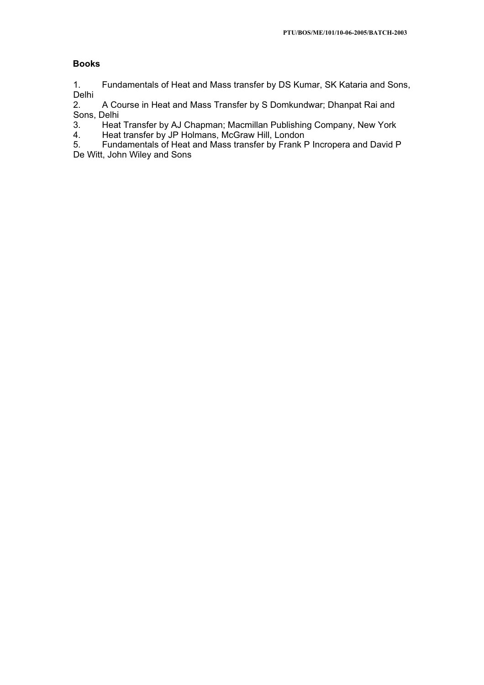# **Books**

1. Fundamentals of Heat and Mass transfer by DS Kumar, SK Kataria and Sons, Delhi<br>2.

2. A Course in Heat and Mass Transfer by S Domkundwar; Dhanpat Rai and Sons, Delhi<br>3. Heat

3. Heat Transfer by AJ Chapman; Macmillan Publishing Company, New York 4.<br>4. Heat transfer by JP Holmans, McGraw Hill, London

4. Heat transfer by JP Holmans, McGraw Hill, London<br>5. Fundamentals of Heat and Mass transfer by Frank F

5. Fundamentals of Heat and Mass transfer by Frank P Incropera and David P De Witt, John Wiley and Sons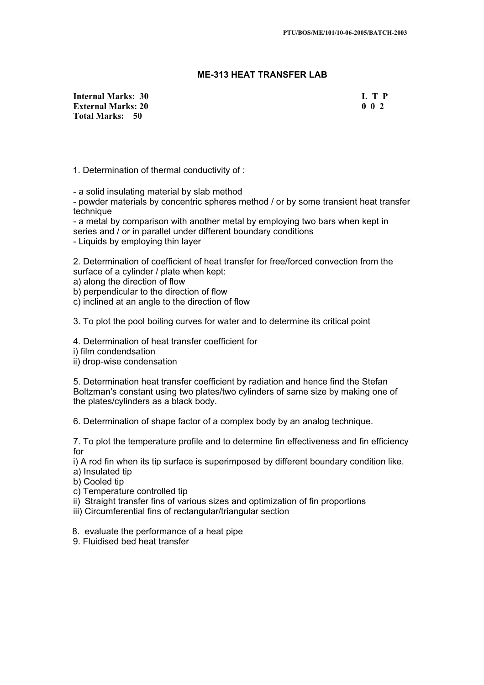# **ME-313 HEAT TRANSFER LAB**

**Internal Marks: 30 L T P L T P L T P External Marks: 20 0 0 2 Total Marks: 50**

1. Determination of thermal conductivity of :

- a solid insulating material by slab method

- powder materials by concentric spheres method / or by some transient heat transfer technique

- a metal by comparison with another metal by employing two bars when kept in series and / or in parallel under different boundary conditions

- Liquids by employing thin layer

2. Determination of coefficient of heat transfer for free/forced convection from the surface of a cylinder / plate when kept:

a) along the direction of flow

b) perpendicular to the direction of flow

c) inclined at an angle to the direction of flow

3. To plot the pool boiling curves for water and to determine its critical point

4. Determination of heat transfer coefficient for

i) film condendsation

ii) drop-wise condensation

5. Determination heat transfer coefficient by radiation and hence find the Stefan Boltzman's constant using two plates/two cylinders of same size by making one of the plates/cylinders as a black body.

6. Determination of shape factor of a complex body by an analog technique.

7. To plot the temperature profile and to determine fin effectiveness and fin efficiency for

i) A rod fin when its tip surface is superimposed by different boundary condition like.

- a) Insulated tip
- b) Cooled tip
- c) Temperature controlled tip
- ii) Straight transfer fins of various sizes and optimization of fin proportions
- iii) Circumferential fins of rectangular/triangular section
- 8. evaluate the performance of a heat pipe
- 9. Fluidised bed heat transfer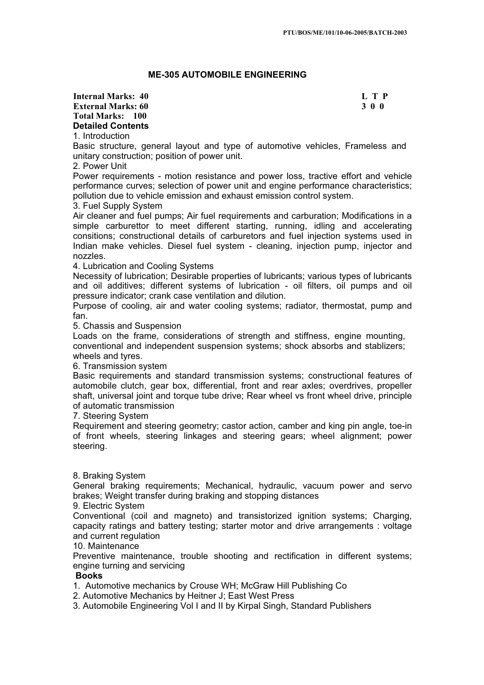## **ME-305 AUTOMOBILE ENGINEERING**

#### **Internal Marks: 40 L T P L T P External Marks: 60 3 0 0 Total Marks: 100 Detailed Contents** 1. Introduction

Basic structure, general layout and type of automotive vehicles, Frameless and unitary construction; position of power unit.

## 2. Power Unit

Power requirements - motion resistance and power loss, tractive effort and vehicle performance curves; selection of power unit and engine performance characteristics; pollution due to vehicle emission and exhaust emission control system.

### 3. Fuel Supply System

Air cleaner and fuel pumps; Air fuel requirements and carburation; Modifications in a simple carburettor to meet different starting, running, idling and accelerating consitions; constructional details of carburetors and fuel injection systems used in Indian make vehicles. Diesel fuel system - cleaning, injection pump, injector and nozzles.

4. Lubrication and Cooling Systems

Necessity of lubrication; Desirable properties of lubricants; various types of lubricants and oil additives; different systems of lubrication - oil filters, oil pumps and oil pressure indicator; crank case ventilation and dilution.

Purpose of cooling, air and water cooling systems; radiator, thermostat, pump and fan.

5. Chassis and Suspension

Loads on the frame, considerations of strength and stiffness, engine mounting, conventional and independent suspension systems; shock absorbs and stablizers; wheels and tyres.

6. Transmission system

Basic requirements and standard transmission systems; constructional features of automobile clutch, gear box, differential, front and rear axles; overdrives, propeller shaft, universal joint and torque tube drive; Rear wheel vs front wheel drive, principle of automatic transmission

7. Steering System

Requirement and steering geometry; castor action, camber and king pin angle, toe-in of front wheels, steering linkages and steering gears; wheel alignment; power steering.

## 8. Braking System

General braking requirements; Mechanical, hydraulic, vacuum power and servo brakes; Weight transfer during braking and stopping distances

9. Electric System

Conventional (coil and magneto) and transistorized ignition systems; Charging, capacity ratings and battery testing; starter motor and drive arrangements : voltage and current regulation

## 10. Maintenance

Preventive maintenance, trouble shooting and rectification in different systems; engine turning and servicing

## **Books**

1. Automotive mechanics by Crouse WH; McGraw Hill Publishing Co

- 2. Automotive Mechanics by Heitner J; East West Press
- 3. Automobile Engineering Vol I and II by Kirpal Singh, Standard Publishers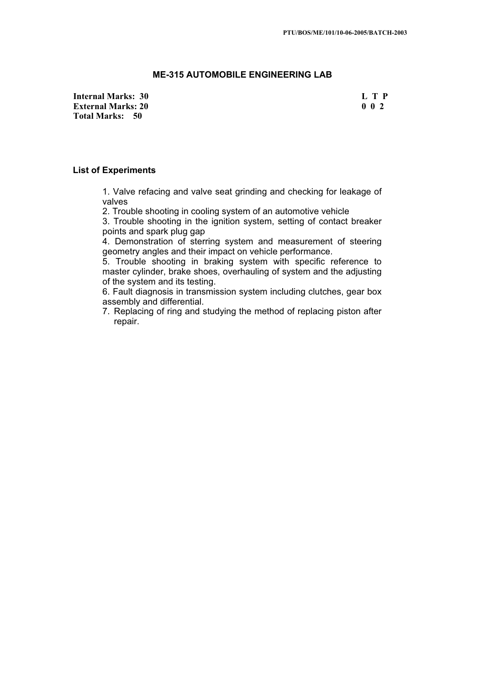## **ME-315 AUTOMOBILE ENGINEERING LAB**

**Internal Marks: 30 L T P I** L T P **External Marks: 20 0 0 2 Total Marks: 50**

#### **List of Experiments**

1. Valve refacing and valve seat grinding and checking for leakage of valves

2. Trouble shooting in cooling system of an automotive vehicle

3. Trouble shooting in the ignition system, setting of contact breaker points and spark plug gap

4. Demonstration of sterring system and measurement of steering geometry angles and their impact on vehicle performance.

5. Trouble shooting in braking system with specific reference to master cylinder, brake shoes, overhauling of system and the adjusting of the system and its testing.

6. Fault diagnosis in transmission system including clutches, gear box assembly and differential.

7. Replacing of ring and studying the method of replacing piston after repair.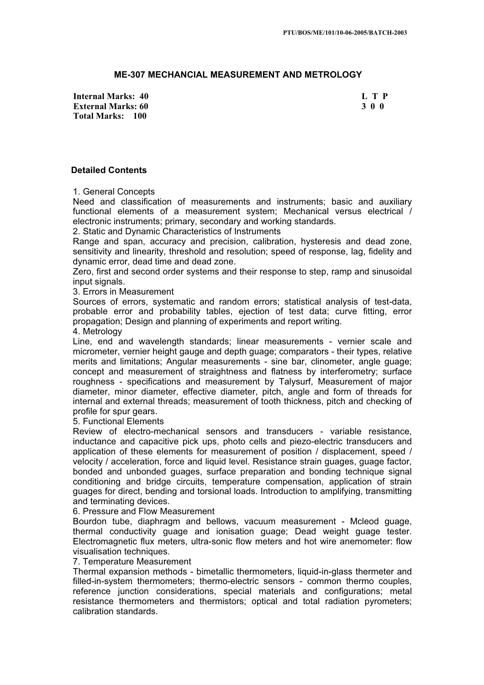## **ME-307 MECHANCIAL MEASUREMENT AND METROLOGY**

**Internal Marks: 40 L T P L T P External Marks: 60 3 0 0 Total Marks: 100**

#### **Detailed Contents**

1. General Concepts

Need and classification of measurements and instruments; basic and auxiliary functional elements of a measurement system; Mechanical versus electrical / electronic instruments; primary, secondary and working standards.

2. Static and Dynamic Characteristics of Instruments

Range and span, accuracy and precision, calibration, hysteresis and dead zone, sensitivity and linearity, threshold and resolution; speed of response, lag, fidelity and dynamic error, dead time and dead zone.

Zero, first and second order systems and their response to step, ramp and sinusoidal input signals.

3. Errors in Measurement

Sources of errors, systematic and random errors; statistical analysis of test-data, probable error and probability tables, ejection of test data; curve fitting, error propagation; Design and planning of experiments and report writing.

4. Metrology

Line, end and wavelength standards; linear measurements - vernier scale and micrometer, vernier height gauge and depth guage; comparators - their types, relative merits and limitations; Angular measurements - sine bar, clinometer, angle guage; concept and measurement of straightness and flatness by interferometry; surface roughness - specifications and measurement by Talysurf, Measurement of major diameter, minor diameter, effective diameter, pitch, angle and form of threads for internal and external threads; measurement of tooth thickness, pitch and checking of profile for spur gears.

5. Functional Elements

Review of electro-mechanical sensors and transducers - variable resistance, inductance and capacitive pick ups, photo cells and piezo-electric transducers and application of these elements for measurement of position / displacement, speed / velocity / acceleration, force and liquid level. Resistance strain guages, guage factor, bonded and unbonded guages, surface preparation and bonding technique signal conditioning and bridge circuits, temperature compensation, application of strain guages for direct, bending and torsional loads. Introduction to amplifying, transmitting and terminating devices.

6. Pressure and Flow Measurement

Bourdon tube, diaphragm and bellows, vacuum measurement - Mcleod guage, thermal conductivity guage and ionisation guage; Dead weight guage tester. Electromagnetic flux meters, ultra-sonic flow meters and hot wire anemometer: flow visualisation techniques.

#### 7. Temperature Measurement

Thermal expansion methods - bimetallic thermometers, liquid-in-glass thermeter and filled-in-system thermometers; thermo-electric sensors - common thermo couples, reference junction considerations, special materials and configurations; metal resistance thermometers and thermistors; optical and total radiation pyrometers; calibration standards.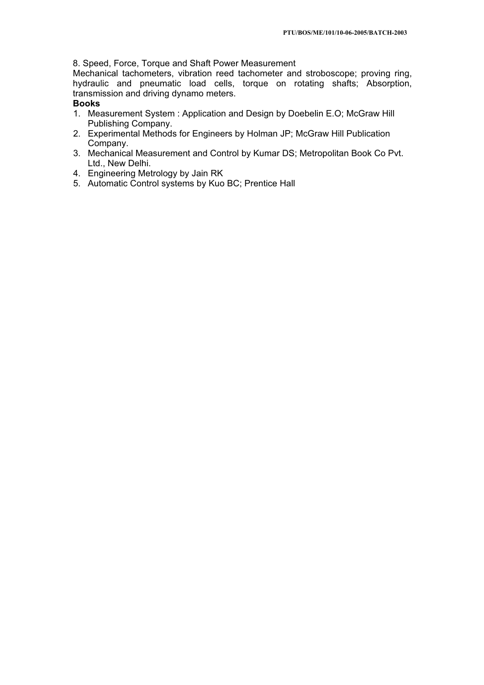8. Speed, Force, Torque and Shaft Power Measurement

Mechanical tachometers, vibration reed tachometer and stroboscope; proving ring, hydraulic and pneumatic load cells, torque on rotating shafts; Absorption, transmission and driving dynamo meters.

# **Books**

- 1. Measurement System : Application and Design by Doebelin E.O; McGraw Hill Publishing Company.
- 2. Experimental Methods for Engineers by Holman JP; McGraw Hill Publication Company.
- 3. Mechanical Measurement and Control by Kumar DS; Metropolitan Book Co Pvt. Ltd., New Delhi.
- 4. Engineering Metrology by Jain RK
- 5. Automatic Control systems by Kuo BC; Prentice Hall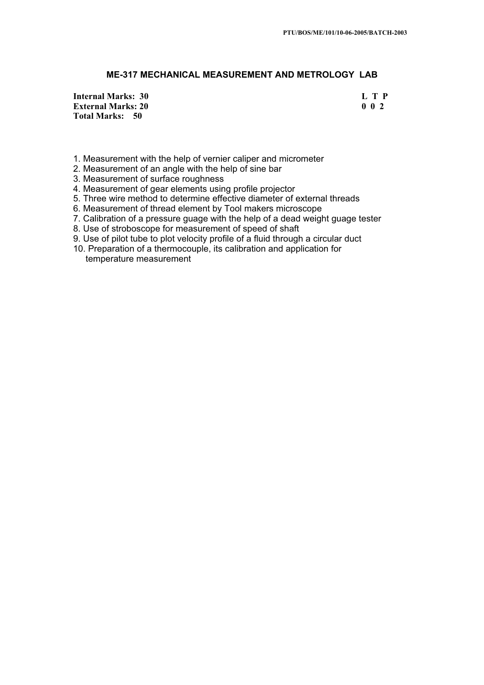## **ME-317 MECHANICAL MEASUREMENT AND METROLOGY LAB**

**Internal Marks: 30 L T P I** L T P **External Marks: 20 0 0 2 Total Marks: 50**

- 1. Measurement with the help of vernier caliper and micrometer
- 2. Measurement of an angle with the help of sine bar
- 3. Measurement of surface roughness
- 4. Measurement of gear elements using profile projector
- 5. Three wire method to determine effective diameter of external threads
- 6. Measurement of thread element by Tool makers microscope
- 7. Calibration of a pressure guage with the help of a dead weight guage tester
- 8. Use of stroboscope for measurement of speed of shaft
- 9. Use of pilot tube to plot velocity profile of a fluid through a circular duct
- 10. Preparation of a thermocouple, its calibration and application for temperature measurement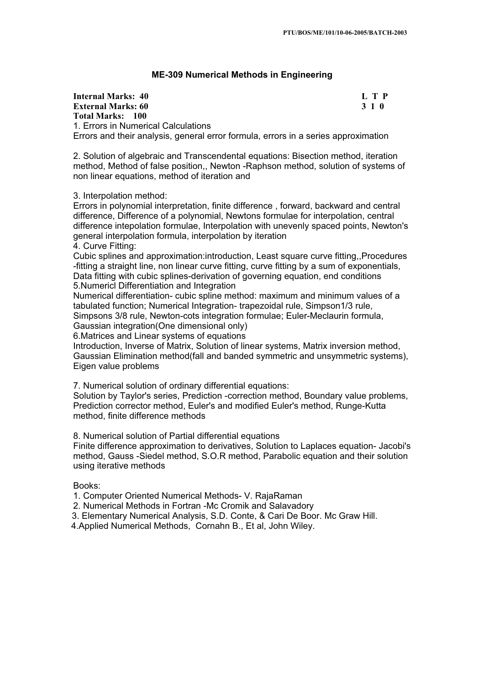## **ME-309 Numerical Methods in Engineering**

| Internal Marks: 40                                                                 | LTP   |
|------------------------------------------------------------------------------------|-------|
| <b>External Marks: 60</b>                                                          | 3 1 0 |
| Total Marks: 100                                                                   |       |
| 1. Errors in Numerical Calculations                                                |       |
| Errors and their analysis, general error formula, errors in a series approximation |       |

2. Solution of algebraic and Transcendental equations: Bisection method, iteration method, Method of false position,, Newton -Raphson method, solution of systems of non linear equations, method of iteration and

3. Interpolation method:

Errors in polynomial interpretation, finite difference , forward, backward and central difference, Difference of a polynomial, Newtons formulae for interpolation, central difference intepolation formulae, Interpolation with unevenly spaced points, Newton's general interpolation formula, interpolation by iteration 4. Curve Fitting:

Cubic splines and approximation:introduction, Least square curve fitting,,Procedures -fitting a straight line, non linear curve fitting, curve fitting by a sum of exponentials, Data fitting with cubic splines-derivation of governing equation, end conditions

5.Numericl Differentiation and Integration

Numerical differentiation- cubic spline method: maximum and minimum values of a tabulated function; Numerical Integration- trapezoidal rule, Simpson1/3 rule, Simpsons 3/8 rule, Newton-cots integration formulae; Euler-Meclaurin formula,

Gaussian integration(One dimensional only)

6.Matrices and Linear systems of equations

Introduction, Inverse of Matrix, Solution of linear systems, Matrix inversion method, Gaussian Elimination method(fall and banded symmetric and unsymmetric systems), Eigen value problems

7. Numerical solution of ordinary differential equations:

Solution by Taylor's series, Prediction -correction method, Boundary value problems, Prediction corrector method, Euler's and modified Euler's method, Runge-Kutta method, finite difference methods

8. Numerical solution of Partial differential equations

Finite difference approximation to derivatives, Solution to Laplaces equation- Jacobi's method, Gauss -Siedel method, S.O.R method, Parabolic equation and their solution using iterative methods

Books:

1. Computer Oriented Numerical Methods- V. RajaRaman

2. Numerical Methods in Fortran -Mc Cromik and Salavadory

3. Elementary Numerical Analysis, S.D. Conte, & Cari De Boor. Mc Graw Hill.

4.Applied Numerical Methods, Cornahn B., Et al, John Wiley.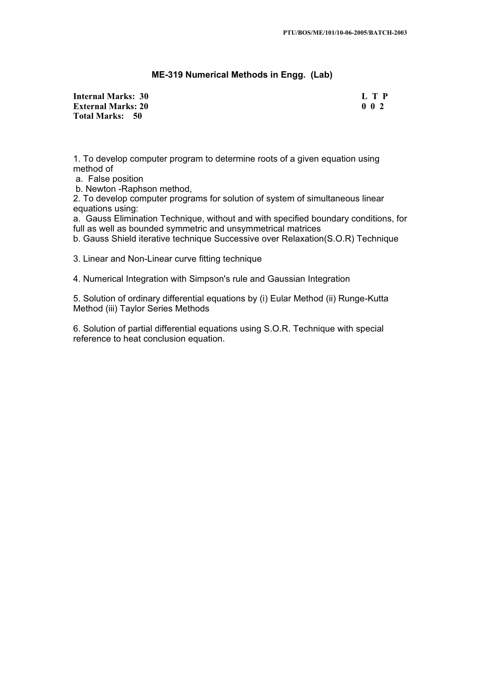## **ME-319 Numerical Methods in Engg. (Lab)**

**Internal Marks: 30 L T P L T P L T P External Marks: 20 0 0 2 Total Marks: 50**

1. To develop computer program to determine roots of a given equation using method of

a. False position

b. Newton -Raphson method,

2. To develop computer programs for solution of system of simultaneous linear equations using:

a. Gauss Elimination Technique, without and with specified boundary conditions, for full as well as bounded symmetric and unsymmetrical matrices

b. Gauss Shield iterative technique Successive over Relaxation(S.O.R) Technique

3. Linear and Non-Linear curve fitting technique

4. Numerical Integration with Simpson's rule and Gaussian Integration

5. Solution of ordinary differential equations by (i) Eular Method (ii) Runge-Kutta Method (iii) Taylor Series Methods

6. Solution of partial differential equations using S.O.R. Technique with special reference to heat conclusion equation.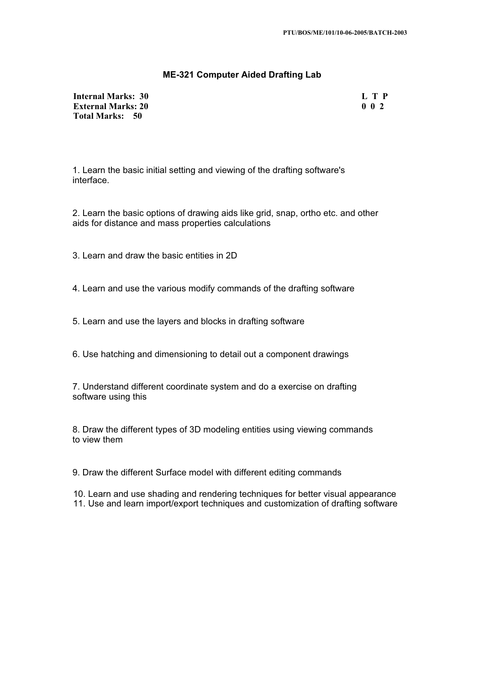# **ME-321 Computer Aided Drafting Lab**

**Internal Marks: 30 L T P I** L T P **External Marks: 20 0 0 2 Total Marks: 50**

1. Learn the basic initial setting and viewing of the drafting software's interface.

2. Learn the basic options of drawing aids like grid, snap, ortho etc. and other aids for distance and mass properties calculations

3. Learn and draw the basic entities in 2D

4. Learn and use the various modify commands of the drafting software

5. Learn and use the layers and blocks in drafting software

6. Use hatching and dimensioning to detail out a component drawings

7. Understand different coordinate system and do a exercise on drafting software using this

8. Draw the different types of 3D modeling entities using viewing commands to view them

9. Draw the different Surface model with different editing commands

10. Learn and use shading and rendering techniques for better visual appearance 11. Use and learn import/export techniques and customization of drafting software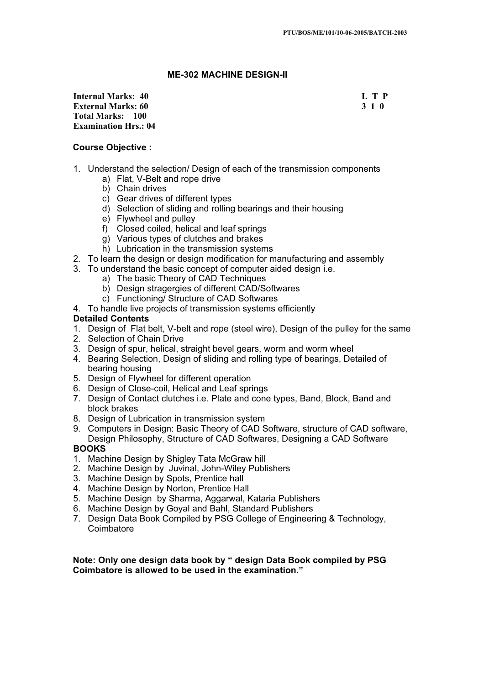## **ME-302 MACHINE DESIGN-II**

**Internal Marks: 40 L T P L T P External Marks: 60 3 1 0 Total Marks: 100 Examination Hrs.: 04** 

## **Course Objective :**

- 1. Understand the selection/ Design of each of the transmission components
	- a) Flat, V-Belt and rope drive
	- b) Chain drives
	- c) Gear drives of different types
	- d) Selection of sliding and rolling bearings and their housing
	- e) Flywheel and pulley
	- f) Closed coiled, helical and leaf springs
	- g) Various types of clutches and brakes
	- h) Lubrication in the transmission systems
- 2. To learn the design or design modification for manufacturing and assembly
- 3. To understand the basic concept of computer aided design i.e.
	- a) The basic Theory of CAD Techniques
	- b) Design stragergies of different CAD/Softwares
	- c) Functioning/ Structure of CAD Softwares
- 4. To handle live projects of transmission systems efficiently

# **Detailed Contents**

- 1. Design of Flat belt, V-belt and rope (steel wire), Design of the pulley for the same
- 2. Selection of Chain Drive
- 3. Design of spur, helical, straight bevel gears, worm and worm wheel
- 4. Bearing Selection, Design of sliding and rolling type of bearings, Detailed of bearing housing
- 5. Design of Flywheel for different operation
- 6. Design of Close-coil, Helical and Leaf springs
- 7. Design of Contact clutches i.e. Plate and cone types, Band, Block, Band and block brakes
- 8. Design of Lubrication in transmission system
- 9. Computers in Design: Basic Theory of CAD Software, structure of CAD software, Design Philosophy, Structure of CAD Softwares, Designing a CAD Software

# **BOOKS**

- 1. Machine Design by Shigley Tata McGraw hill
- 2. Machine Design by Juvinal, John-Wiley Publishers
- 3. Machine Design by Spots, Prentice hall
- 4. Machine Design by Norton, Prentice Hall
- 5. Machine Design by Sharma, Aggarwal, Kataria Publishers
- 6. Machine Design by Goyal and Bahl, Standard Publishers
- 7. Design Data Book Compiled by PSG College of Engineering & Technology, **Coimbatore**

**Note: Only one design data book by " design Data Book compiled by PSG Coimbatore is allowed to be used in the examination."**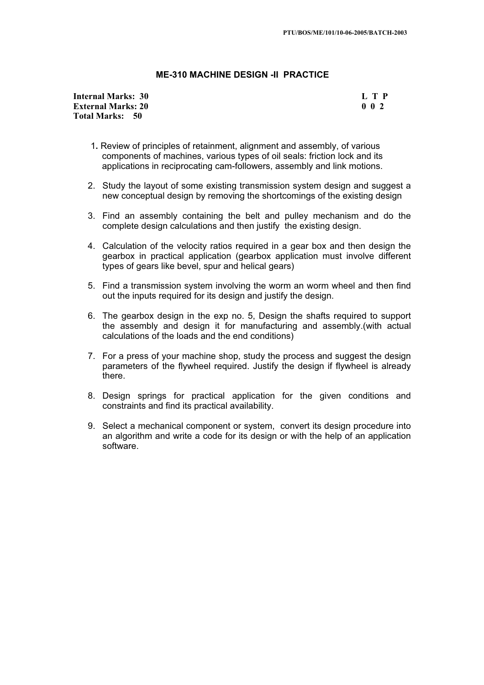### **ME-310 MACHINE DESIGN -II PRACTICE**

**Internal Marks: 30 L T P L T P L T P External Marks: 20 0 0 2 Total Marks: 50**

- 1**.** Review of principles of retainment, alignment and assembly, of various components of machines, various types of oil seals: friction lock and its applications in reciprocating cam-followers, assembly and link motions.
- 2. Study the layout of some existing transmission system design and suggest a new conceptual design by removing the shortcomings of the existing design
- 3. Find an assembly containing the belt and pulley mechanism and do the complete design calculations and then justify the existing design.
- 4. Calculation of the velocity ratios required in a gear box and then design the gearbox in practical application (gearbox application must involve different types of gears like bevel, spur and helical gears)
- 5. Find a transmission system involving the worm an worm wheel and then find out the inputs required for its design and justify the design.
- 6. The gearbox design in the exp no. 5, Design the shafts required to support the assembly and design it for manufacturing and assembly.(with actual calculations of the loads and the end conditions)
- 7. For a press of your machine shop, study the process and suggest the design parameters of the flywheel required. Justify the design if flywheel is already there.
- 8. Design springs for practical application for the given conditions and constraints and find its practical availability.
- 9. Select a mechanical component or system, convert its design procedure into an algorithm and write a code for its design or with the help of an application software.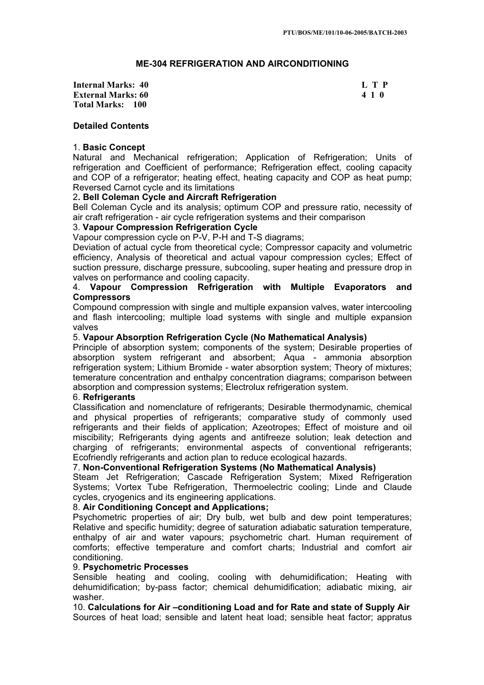# **ME-304 REFRIGERATION AND AIRCONDITIONING**

**Internal Marks: 40 L T P L T P External Marks: 60 4 1 0 Total Marks: 100**

## **Detailed Contents**

## 1. **Basic Concept**

Natural and Mechanical refrigeration; Application of Refrigeration; Units of refrigeration and Coefficient of performance; Refrigeration effect, cooling capacity and COP of a refrigerator; heating effect, heating capacity and COP as heat pump; Reversed Carnot cycle and its limitations

## 2**. Bell Coleman Cycle and Aircraft Refrigeration**

Bell Coleman Cycle and its analysis; optimum COP and pressure ratio, necessity of air craft refrigeration - air cycle refrigeration systems and their comparison

# 3. **Vapour Compression Refrigeration Cycle**

Vapour compression cycle on P-V, P-H and T-S diagrams;

Deviation of actual cycle from theoretical cycle; Compressor capacity and volumetric efficiency, Analysis of theoretical and actual vapour compression cycles; Effect of suction pressure, discharge pressure, subcooling, super heating and pressure drop in valves on performance and cooling capacity.

## 4. **Vapour Compression Refrigeration with Multiple Evaporators and Compressors**

Compound compression with single and multiple expansion valves, water intercooling and flash intercooling; multiple load systems with single and multiple expansion valves

## 5. **Vapour Absorption Refrigeration Cycle (No Mathematical Analysis)**

Principle of absorption system; components of the system; Desirable properties of absorption system refrigerant and absorbent; Aqua - ammonia absorption refrigeration system; Lithium Bromide - water absorption system; Theory of mixtures; temerature concentration and enthalpy concentration diagrams; comparison between absorption and compression systems; Electrolux refrigeration system.

## 6. **Refrigerants**

Classification and nomenclature of refrigerants; Desirable thermodynamic, chemical and physical properties of refrigerants; comparative study of commonly used refrigerants and their fields of application; Azeotropes; Effect of moisture and oil miscibility; Refrigerants dying agents and antifreeze solution; leak detection and charging of refrigerants; environmental aspects of conventional refrigerants; Ecofriendly refrigerants and action plan to reduce ecological hazards.

## 7. **Non-Conventional Refrigeration Systems (No Mathematical Analysis)**

Steam Jet Refrigeration; Cascade Refrigeration System; Mixed Refrigeration Systems; Vortex Tube Refrigeration, Thermoelectric cooling; Linde and Claude cycles, cryogenics and its engineering applications.

## 8. **Air Conditioning Concept and Applications;**

Psychometric properties of air; Dry bulb, wet bulb and dew point temperatures; Relative and specific humidity; degree of saturation adiabatic saturation temperature, enthalpy of air and water vapours; psychometric chart. Human requirement of comforts; effective temperature and comfort charts; Industrial and comfort air conditioning.

## 9. **Psychometric Processes**

Sensible heating and cooling, cooling with dehumidification; Heating with dehumidification; by-pass factor; chemical dehumidification; adiabatic mixing, air washer.

10. **Calculations for Air –conditioning Load and for Rate and state of Supply Air**  Sources of heat load; sensible and latent heat load; sensible heat factor; appratus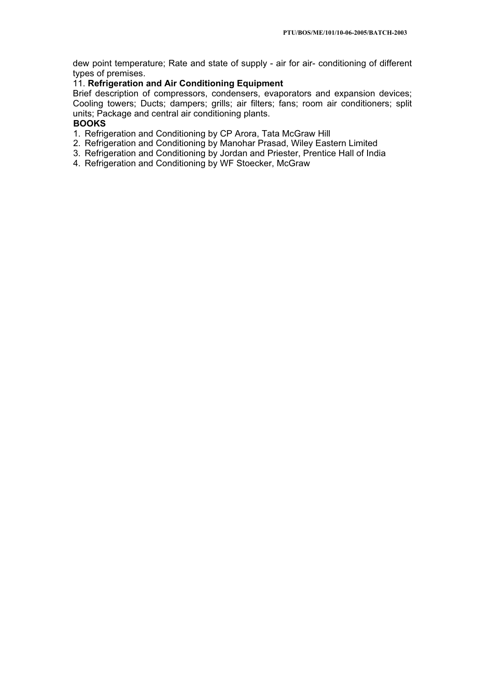dew point temperature; Rate and state of supply - air for air- conditioning of different types of premises.

# 11. **Refrigeration and Air Conditioning Equipment**

Brief description of compressors, condensers, evaporators and expansion devices; Cooling towers; Ducts; dampers; grills; air filters; fans; room air conditioners; split units; Package and central air conditioning plants.

# **BOOKS**

- 1. Refrigeration and Conditioning by CP Arora, Tata McGraw Hill
- 2. Refrigeration and Conditioning by Manohar Prasad, Wiley Eastern Limited
- 3. Refrigeration and Conditioning by Jordan and Priester, Prentice Hall of India
- 4. Refrigeration and Conditioning by WF Stoecker, McGraw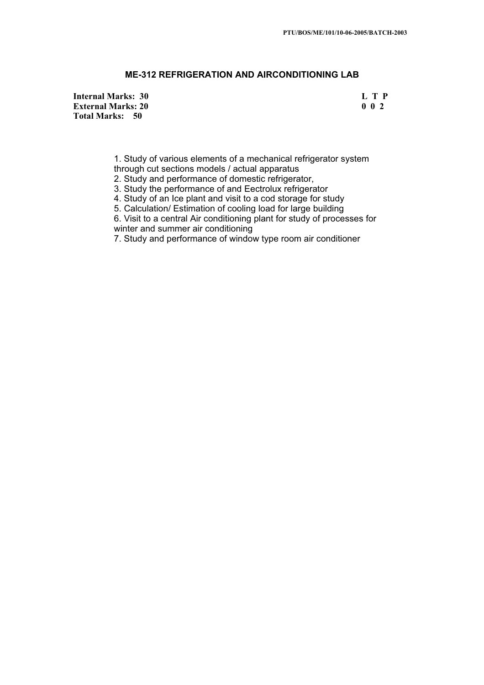# **ME-312 REFRIGERATION AND AIRCONDITIONING LAB**

**Internal Marks: 30 L T P L L T P External Marks: 20 0 0 2 Total Marks: 50**

1. Study of various elements of a mechanical refrigerator system

through cut sections models / actual apparatus

2. Study and performance of domestic refrigerator,

3. Study the performance of and Eectrolux refrigerator

4. Study of an Ice plant and visit to a cod storage for study

5. Calculation/ Estimation of cooling load for large building

6. Visit to a central Air conditioning plant for study of processes for winter and summer air conditioning

7. Study and performance of window type room air conditioner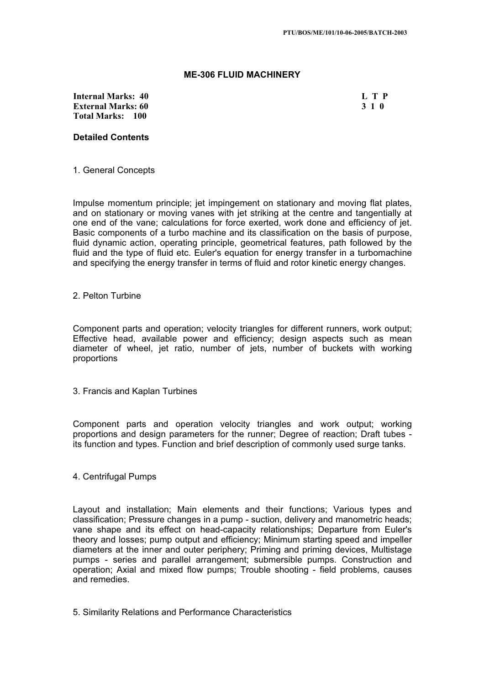## **ME-306 FLUID MACHINERY**

**Internal Marks: 40 L T P L T P External Marks: 60 3 1 0 Total Marks: 100**

## **Detailed Contents**

### 1. General Concepts

Impulse momentum principle; jet impingement on stationary and moving flat plates, and on stationary or moving vanes with jet striking at the centre and tangentially at one end of the vane; calculations for force exerted, work done and efficiency of jet. Basic components of a turbo machine and its classification on the basis of purpose, fluid dynamic action, operating principle, geometrical features, path followed by the fluid and the type of fluid etc. Euler's equation for energy transfer in a turbomachine and specifying the energy transfer in terms of fluid and rotor kinetic energy changes.

#### 2. Pelton Turbine

Component parts and operation; velocity triangles for different runners, work output; Effective head, available power and efficiency; design aspects such as mean diameter of wheel, jet ratio, number of jets, number of buckets with working proportions

3. Francis and Kaplan Turbines

Component parts and operation velocity triangles and work output; working proportions and design parameters for the runner; Degree of reaction; Draft tubes its function and types. Function and brief description of commonly used surge tanks.

## 4. Centrifugal Pumps

Layout and installation; Main elements and their functions; Various types and classification; Pressure changes in a pump - suction, delivery and manometric heads; vane shape and its effect on head-capacity relationships; Departure from Euler's theory and losses; pump output and efficiency; Minimum starting speed and impeller diameters at the inner and outer periphery; Priming and priming devices, Multistage pumps - series and parallel arrangement; submersible pumps. Construction and operation; Axial and mixed flow pumps; Trouble shooting - field problems, causes and remedies.

5. Similarity Relations and Performance Characteristics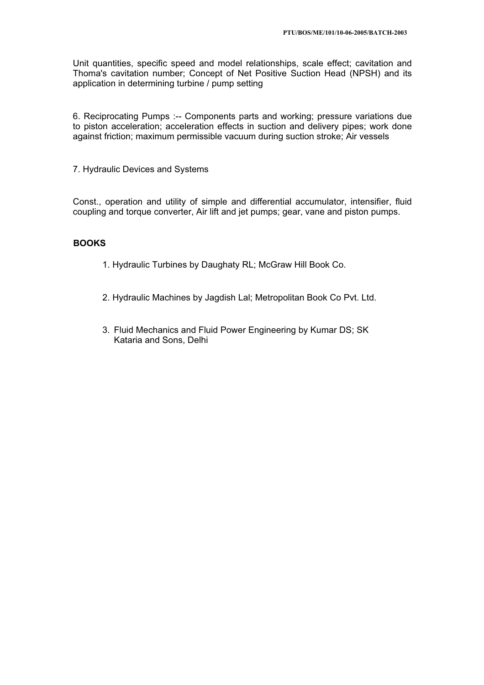Unit quantities, specific speed and model relationships, scale effect; cavitation and Thoma's cavitation number; Concept of Net Positive Suction Head (NPSH) and its application in determining turbine / pump setting

6. Reciprocating Pumps :-- Components parts and working; pressure variations due to piston acceleration; acceleration effects in suction and delivery pipes; work done against friction; maximum permissible vacuum during suction stroke; Air vessels

7. Hydraulic Devices and Systems

Const., operation and utility of simple and differential accumulator, intensifier, fluid coupling and torque converter, Air lift and jet pumps; gear, vane and piston pumps.

# **BOOKS**

- 1. Hydraulic Turbines by Daughaty RL; McGraw Hill Book Co.
- 2. Hydraulic Machines by Jagdish Lal; Metropolitan Book Co Pvt. Ltd.
- 3. Fluid Mechanics and Fluid Power Engineering by Kumar DS; SK Kataria and Sons, Delhi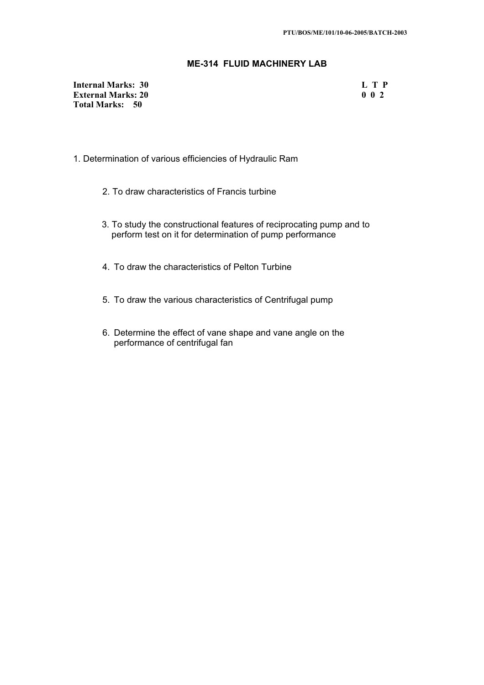# **ME-314 FLUID MACHINERY LAB**

**Internal Marks: 30 L T P L T P External Marks: 20 0 0 2 Total Marks: 50**

- 1. Determination of various efficiencies of Hydraulic Ram
	- 2. To draw characteristics of Francis turbine
	- 3. To study the constructional features of reciprocating pump and to perform test on it for determination of pump performance
	- 4. To draw the characteristics of Pelton Turbine
	- 5. To draw the various characteristics of Centrifugal pump
	- 6. Determine the effect of vane shape and vane angle on the performance of centrifugal fan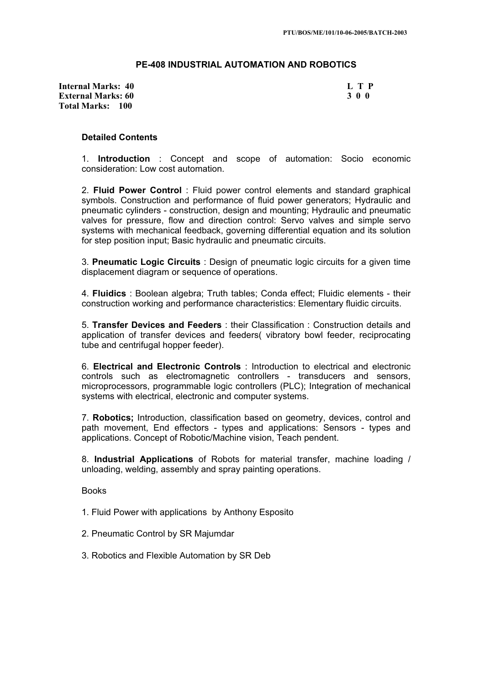## **PE-408 INDUSTRIAL AUTOMATION AND ROBOTICS**

**Internal Marks: 40 L T P L T P External Marks: 60 3 0 0 Total Marks: 100**

#### **Detailed Contents**

1. **Introduction** : Concept and scope of automation: Socio economic consideration: Low cost automation.

2. **Fluid Power Control** : Fluid power control elements and standard graphical symbols. Construction and performance of fluid power generators; Hydraulic and pneumatic cylinders - construction, design and mounting; Hydraulic and pneumatic valves for pressure, flow and direction control: Servo valves and simple servo systems with mechanical feedback, governing differential equation and its solution for step position input; Basic hydraulic and pneumatic circuits.

3. **Pneumatic Logic Circuits** : Design of pneumatic logic circuits for a given time displacement diagram or sequence of operations.

4. **Fluidics** : Boolean algebra; Truth tables; Conda effect; Fluidic elements - their construction working and performance characteristics: Elementary fluidic circuits.

5. **Transfer Devices and Feeders** : their Classification : Construction details and application of transfer devices and feeders( vibratory bowl feeder, reciprocating tube and centrifugal hopper feeder).

6. **Electrical and Electronic Controls** : Introduction to electrical and electronic controls such as electromagnetic controllers - transducers and sensors, microprocessors, programmable logic controllers (PLC); Integration of mechanical systems with electrical, electronic and computer systems.

7. **Robotics;** Introduction, classification based on geometry, devices, control and path movement, End effectors - types and applications: Sensors - types and applications. Concept of Robotic/Machine vision, Teach pendent.

8. **Industrial Applications** of Robots for material transfer, machine loading / unloading, welding, assembly and spray painting operations.

Books

1. Fluid Power with applications by Anthony Esposito

- 2. Pneumatic Control by SR Majumdar
- 3. Robotics and Flexible Automation by SR Deb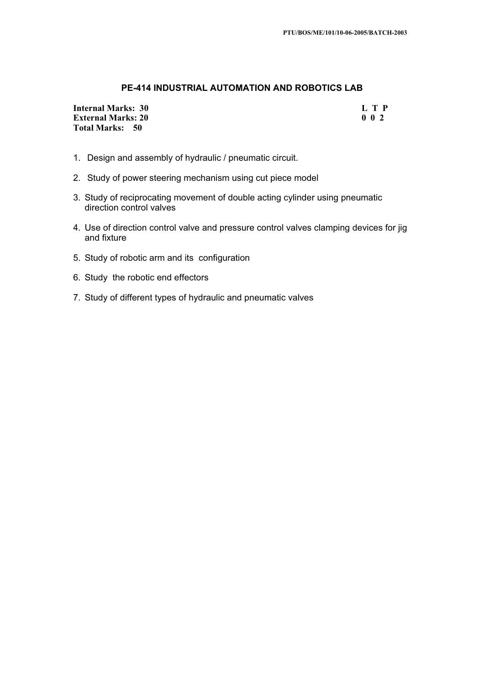# **PE-414 INDUSTRIAL AUTOMATION AND ROBOTICS LAB**

**Internal Marks: 30 L T P L** T P **External Marks: 20 0 0 2 Total Marks: 50**

- 1. Design and assembly of hydraulic / pneumatic circuit.
- 2. Study of power steering mechanism using cut piece model
- 3. Study of reciprocating movement of double acting cylinder using pneumatic direction control valves
- 4. Use of direction control valve and pressure control valves clamping devices for jig and fixture
- 5. Study of robotic arm and its configuration
- 6. Study the robotic end effectors
- 7. Study of different types of hydraulic and pneumatic valves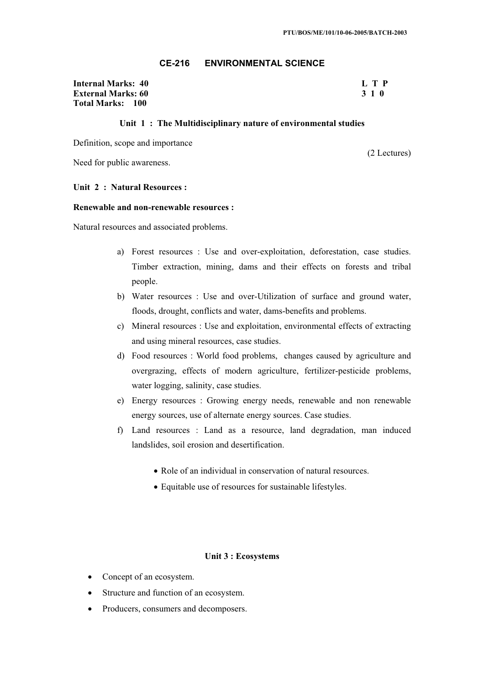# **CE-216 ENVIRONMENTAL SCIENCE**

**Internal Marks: 40 L T P External Marks: 60 3 1 0 Total Marks: 100**

#### **Unit 1 : The Multidisciplinary nature of environmental studies**

Definition, scope and importance

Need for public awareness.

(2 Lectures)

#### **Unit 2 : Natural Resources :**

#### **Renewable and non-renewable resources :**

Natural resources and associated problems.

- a) Forest resources : Use and over-exploitation, deforestation, case studies. Timber extraction, mining, dams and their effects on forests and tribal people.
- b) Water resources : Use and over-Utilization of surface and ground water, floods, drought, conflicts and water, dams-benefits and problems.
- c) Mineral resources : Use and exploitation, environmental effects of extracting and using mineral resources, case studies.
- d) Food resources : World food problems, changes caused by agriculture and overgrazing, effects of modern agriculture, fertilizer-pesticide problems, water logging, salinity, case studies.
- e) Energy resources : Growing energy needs, renewable and non renewable energy sources, use of alternate energy sources. Case studies.
- f) Land resources : Land as a resource, land degradation, man induced landslides, soil erosion and desertification.
	- Role of an individual in conservation of natural resources.
	- Equitable use of resources for sustainable lifestyles.

#### **Unit 3 : Ecosystems**

- $\bullet$  Concept of an ecosystem.
- Structure and function of an ecosystem.
- Producers, consumers and decomposers.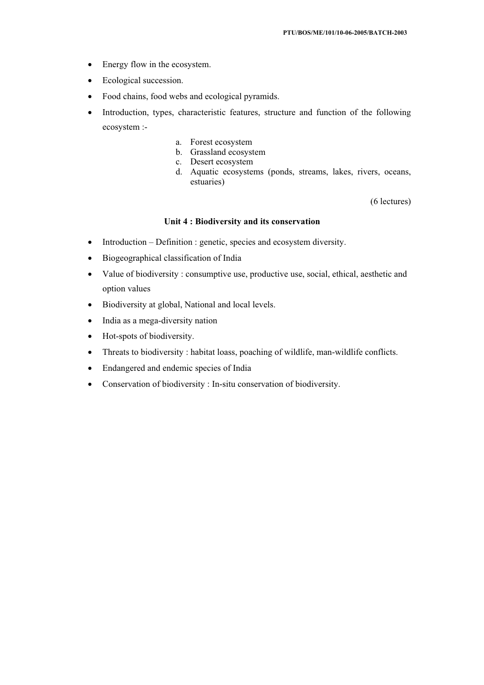- Energy flow in the ecosystem.
- $\bullet$  Ecological succession.
- Food chains, food webs and ecological pyramids.
- Introduction, types, characteristic features, structure and function of the following ecosystem :
	- a. Forest ecosystem
	- b. Grassland ecosystem
	- c. Desert ecosystem
	- d. Aquatic ecosystems (ponds, streams, lakes, rivers, oceans, estuaries)

(6 lectures)

### **Unit 4 : Biodiversity and its conservation**

- Introduction Definition : genetic, species and ecosystem diversity.
- Biogeographical classification of India
- Value of biodiversity : consumptive use, productive use, social, ethical, aesthetic and option values
- Biodiversity at global, National and local levels.
- x India as a mega-diversity nation
- $\bullet$  Hot-spots of biodiversity.
- Threats to biodiversity : habitat loass, poaching of wildlife, man-wildlife conflicts.
- Endangered and endemic species of India
- Conservation of biodiversity : In-situ conservation of biodiversity.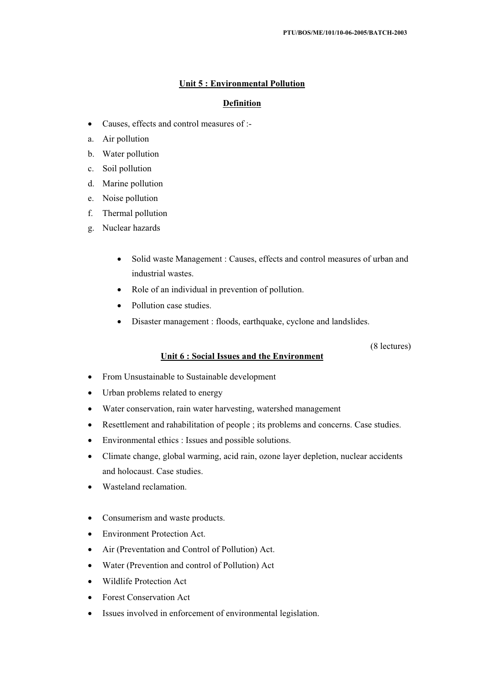## **Unit 5 : Environmental Pollution**

# **Definition**

- Causes, effects and control measures of :-
- a. Air pollution
- b. Water pollution
- c. Soil pollution
- d. Marine pollution
- e. Noise pollution
- f. Thermal pollution
- g. Nuclear hazards
	- Solid waste Management : Causes, effects and control measures of urban and industrial wastes.
	- Role of an individual in prevention of pollution.
	- Pollution case studies.
	- Disaster management : floods, earthquake, cyclone and landslides.

(8 lectures)

## **Unit 6 : Social Issues and the Environment**

- From Unsustainable to Sustainable development
- Urban problems related to energy
- Water conservation, rain water harvesting, watershed management
- Resettlement and rahabilitation of people ; its problems and concerns. Case studies.
- Environmental ethics : Issues and possible solutions.
- Climate change, global warming, acid rain, ozone layer depletion, nuclear accidents and holocaust. Case studies.
- x Wasteland reclamation.
- Consumerism and waste products.
- Environment Protection Act.
- Air (Preventation and Control of Pollution) Act.
- Water (Prevention and control of Pollution) Act
- Wildlife Protection Act
- Forest Conservation Act
- Issues involved in enforcement of environmental legislation.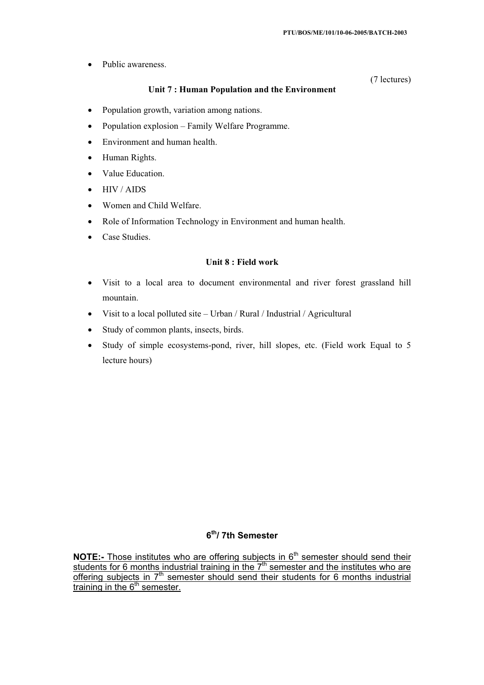Public awareness.

## **Unit 7 : Human Population and the Environment**

(7 lectures)

- Population growth, variation among nations.
- Population explosion Family Welfare Programme.
- Environment and human health.
- Human Rights.
- Value Education.
- x HIV / AIDS
- Women and Child Welfare.
- Role of Information Technology in Environment and human health.
- Case Studies.

## **Unit 8 : Field work**

- Visit to a local area to document environmental and river forest grassland hill mountain.
- x Visit to a local polluted site Urban / Rural / Industrial / Agricultural
- Study of common plants, insects, birds.
- $\bullet$  Study of simple ecosystems-pond, river, hill slopes, etc. (Field work Equal to 5 lecture hours)

# **6th/ 7th Semester**

**NOTE:-** Those institutes who are offering subjects in 6<sup>th</sup> semester should send their students for 6 months industrial training in the  $7<sup>th</sup>$  semester and the institutes who are offering subjects in  $7<sup>th</sup>$  semester should send their students for 6 months industrial training in the  $6<sup>th</sup>$  semester.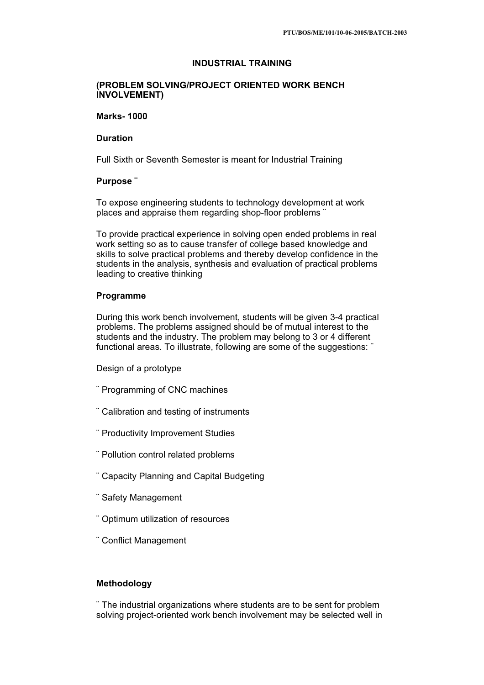# **INDUSTRIAL TRAINING**

## **(PROBLEM SOLVING/PROJECT ORIENTED WORK BENCH INVOLVEMENT)**

#### **Marks- 1000**

# **Duration**

Full Sixth or Seventh Semester is meant for Industrial Training

## **Purpose ¨**

To expose engineering students to technology development at work places and appraise them regarding shop-floor problems ¨

To provide practical experience in solving open ended problems in real work setting so as to cause transfer of college based knowledge and skills to solve practical problems and thereby develop confidence in the students in the analysis, synthesis and evaluation of practical problems leading to creative thinking

### **Programme**

During this work bench involvement, students will be given 3-4 practical problems. The problems assigned should be of mutual interest to the students and the industry. The problem may belong to 3 or 4 different functional areas. To illustrate, following are some of the suggestions: "

Design of a prototype

- ¨ Programming of CNC machines
- ¨ Calibration and testing of instruments
- ¨ Productivity Improvement Studies
- ¨ Pollution control related problems
- ¨ Capacity Planning and Capital Budgeting
- ¨ Safety Management
- ¨ Optimum utilization of resources
- ¨ Conflict Management

# **Methodology**

¨ The industrial organizations where students are to be sent for problem solving project-oriented work bench involvement may be selected well in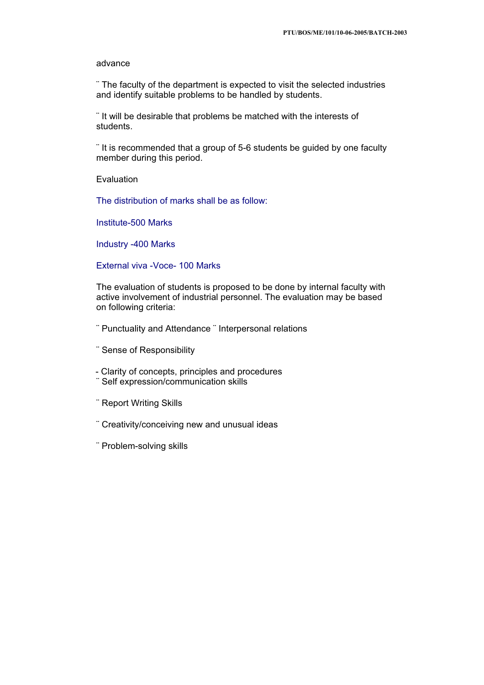#### advance

¨ The faculty of the department is expected to visit the selected industries and identify suitable problems to be handled by students.

¨ It will be desirable that problems be matched with the interests of students.

¨ It is recommended that a group of 5-6 students be guided by one faculty member during this period.

Evaluation

The distribution of marks shall be as follow:

Institute-500 Marks

Industry -400 Marks

External viva -Voce- 100 Marks

The evaluation of students is proposed to be done by internal faculty with active involvement of industrial personnel. The evaluation may be based on following criteria:

¨ Punctuality and Attendance ¨ Interpersonal relations

¨ Sense of Responsibility

- Clarity of concepts, principles and procedures

- ¨ Self expression/communication skills
- ¨ Report Writing Skills
- ¨ Creativity/conceiving new and unusual ideas
- ¨ Problem-solving skills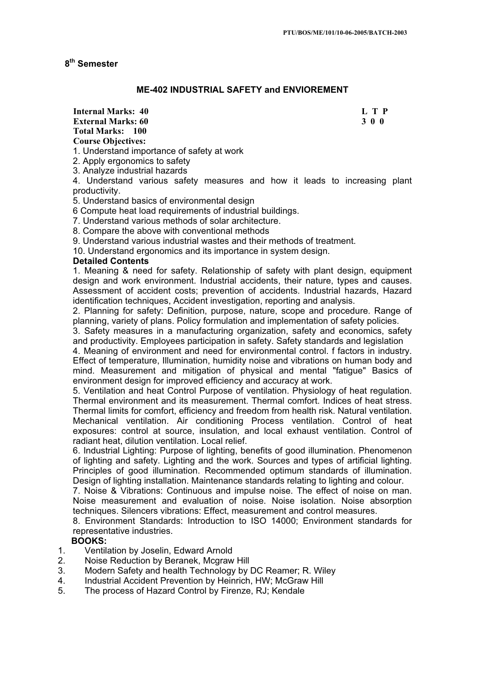## **8th Semester**

# **ME-402 INDUSTRIAL SAFETY and ENVIOREMENT**

**Internal Marks: 40 L T P L T P L T P** 

**Total Marks: 100 Course Objectives:**

**External Marks: 60 3 0 0** 

1. Understand importance of safety at work

2. Apply ergonomics to safety

3. Analyze industrial hazards

4. Understand various safety measures and how it leads to increasing plant productivity.

5. Understand basics of environmental design

6 Compute heat load requirements of industrial buildings.

7. Understand various methods of solar architecture.

8. Compare the above with conventional methods

9. Understand various industrial wastes and their methods of treatment.

10. Understand ergonomics and its importance in system design.

## **Detailed Contents**

1. Meaning & need for safety. Relationship of safety with plant design, equipment design and work environment. Industrial accidents, their nature, types and causes. Assessment of accident costs; prevention of accidents. Industrial hazards, Hazard identification techniques, Accident investigation, reporting and analysis.

2. Planning for safety: Definition, purpose, nature, scope and procedure. Range of planning, variety of plans. Policy formulation and implementation of safety policies.

3. Safety measures in a manufacturing organization, safety and economics, safety and productivity. Employees participation in safety. Safety standards and legislation

4. Meaning of environment and need for environmental control. f factors in industry. Effect of temperature, Illumination, humidity noise and vibrations on human body and mind. Measurement and mitigation of physical and mental "fatigue" Basics of environment design for improved efficiency and accuracy at work.

5. Ventilation and heat Control Purpose of ventilation. Physiology of heat regulation. Thermal environment and its measurement. Thermal comfort. Indices of heat stress. Thermal limits for comfort, efficiency and freedom from health risk. Natural ventilation. Mechanical ventilation. Air conditioning Process ventilation. Control of heat exposures: control at source, insulation, and local exhaust ventilation. Control of radiant heat, dilution ventilation. Local relief.

6. Industrial Lighting: Purpose of lighting, benefits of good illumination. Phenomenon of lighting and safety. Lighting and the work. Sources and types of artificial lighting. Principles of good illumination. Recommended optimum standards of illumination. Design of lighting installation. Maintenance standards relating to lighting and colour.

7. Noise & Vibrations: Continuous and impulse noise. The effect of noise on man. Noise measurement and evaluation of noise. Noise isolation. Noise absorption techniques. Silencers vibrations: Effect, measurement and control measures.

8. Environment Standards: Introduction to ISO 14000; Environment standards for representative industries.

## **BOOKS:**

- 1. Ventilation by Joselin, Edward Arnold<br>2. Noise Reduction by Beranek, Mcgraw
- 2. Noise Reduction by Beranek, Mcgraw Hill
- 3. Modern Safety and health Technology by DC Reamer; R. Wiley<br>4. Industrial Accident Prevention by Heinrich HW: McGraw Hill
- 4. Industrial Accident Prevention by Heinrich, HW; McGraw Hill
- 5. The process of Hazard Control by Firenze, RJ; Kendale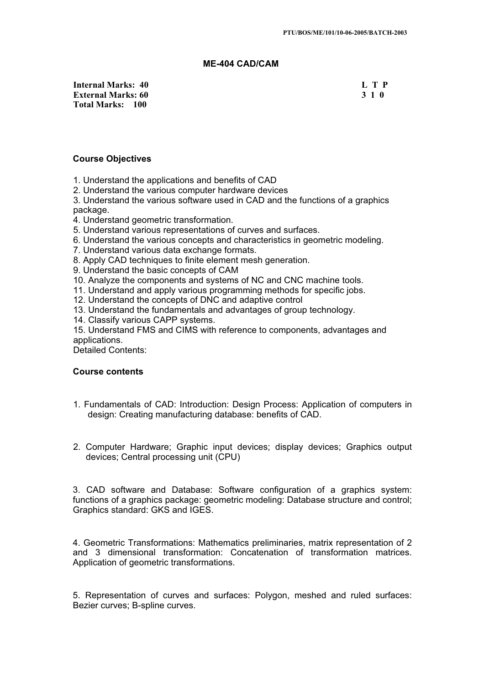## **ME-404 CAD/CAM**

**Internal Marks: 40 L T P L T P External Marks: 60 3 1 0 3 2 3 3 4 6 3 3 4 6 3 4 6 3 4 7 6 3 4 7 7 8 7 7 8 7 7 8 7 7 8 7 7 8 7 7 8 7 7 8 7 7 8 7 7 8 7 7 8 7 7 8 7 7 8 7 7 8 7 7 8 7 7 8 7 7 8 7 7 8 7 7 8 7 7 8 7 7 8 7 7 8 7 7 8 7 7 8 7 7 8 7 7 8 7 7 8 7 Total Marks: 100**

## **Course Objectives**

- 1. Understand the applications and benefits of CAD
- 2. Understand the various computer hardware devices

3. Understand the various software used in CAD and the functions of a graphics package.

- 4. Understand geometric transformation.
- 5. Understand various representations of curves and surfaces.
- 6. Understand the various concepts and characteristics in geometric modeling.
- 7. Understand various data exchange formats.
- 8. Apply CAD techniques to finite element mesh generation.
- 9. Understand the basic concepts of CAM
- 10. Analyze the components and systems of NC and CNC machine tools.
- 11. Understand and apply various programming methods for specific jobs.
- 12. Understand the concepts of DNC and adaptive control
- 13. Understand the fundamentals and advantages of group technology.
- 14. Classify various CAPP systems.

15. Understand FMS and CIMS with reference to components, advantages and applications.

Detailed Contents:

### **Course contents**

- 1. Fundamentals of CAD: Introduction: Design Process: Application of computers in design: Creating manufacturing database: benefits of CAD.
- 2. Computer Hardware; Graphic input devices; display devices; Graphics output devices; Central processing unit (CPU)

3. CAD software and Database: Software configuration of a graphics system: functions of a graphics package: geometric modeling: Database structure and control; Graphics standard: GKS and IGES.

4. Geometric Transformations: Mathematics preliminaries, matrix representation of 2 and 3 dimensional transformation: Concatenation of transformation matrices. Application of geometric transformations.

5. Representation of curves and surfaces: Polygon, meshed and ruled surfaces: Bezier curves; B-spline curves.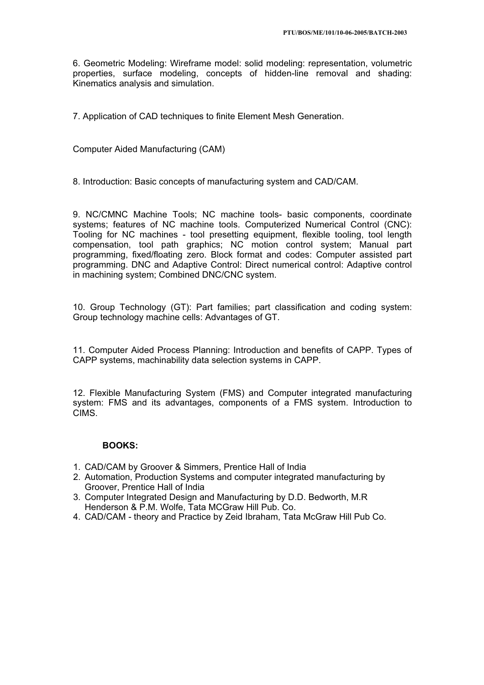6. Geometric Modeling: Wireframe model: solid modeling: representation, volumetric properties, surface modeling, concepts of hidden-line removal and shading: Kinematics analysis and simulation.

7. Application of CAD techniques to finite Element Mesh Generation.

Computer Aided Manufacturing (CAM)

8. Introduction: Basic concepts of manufacturing system and CAD/CAM.

9. NC/CMNC Machine Tools; NC machine tools- basic components, coordinate systems; features of NC machine tools. Computerized Numerical Control (CNC): Tooling for NC machines - tool presetting equipment, flexible tooling, tool length compensation, tool path graphics; NC motion control system; Manual part programming, fixed/floating zero. Block format and codes: Computer assisted part programming. DNC and Adaptive Control: Direct numerical control: Adaptive control in machining system; Combined DNC/CNC system.

10. Group Technology (GT): Part families; part classification and coding system: Group technology machine cells: Advantages of GT.

11. Computer Aided Process Planning: Introduction and benefits of CAPP. Types of CAPP systems, machinability data selection systems in CAPP.

12. Flexible Manufacturing System (FMS) and Computer integrated manufacturing system: FMS and its advantages, components of a FMS system. Introduction to CIMS.

# **BOOKS:**

- 1. CAD/CAM by Groover & Simmers, Prentice Hall of India
- 2. Automation, Production Systems and computer integrated manufacturing by Groover, Prentice Hall of India
- 3. Computer Integrated Design and Manufacturing by D.D. Bedworth, M.R Henderson & P.M. Wolfe, Tata MCGraw Hill Pub. Co.
- 4. CAD/CAM theory and Practice by Zeid Ibraham, Tata McGraw Hill Pub Co.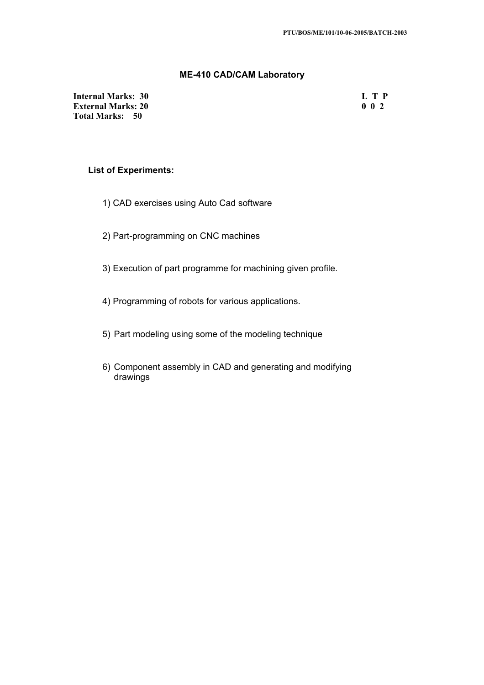## **ME-410 CAD/CAM Laboratory**

**Internal Marks: 30 L T P L T P External Marks: 20 0 0 2 Total Marks: 50**

# **List of Experiments:**

- 1) CAD exercises using Auto Cad software
- 2) Part-programming on CNC machines
- 3) Execution of part programme for machining given profile.
- 4) Programming of robots for various applications.
- 5) Part modeling using some of the modeling technique
- 6) Component assembly in CAD and generating and modifying drawings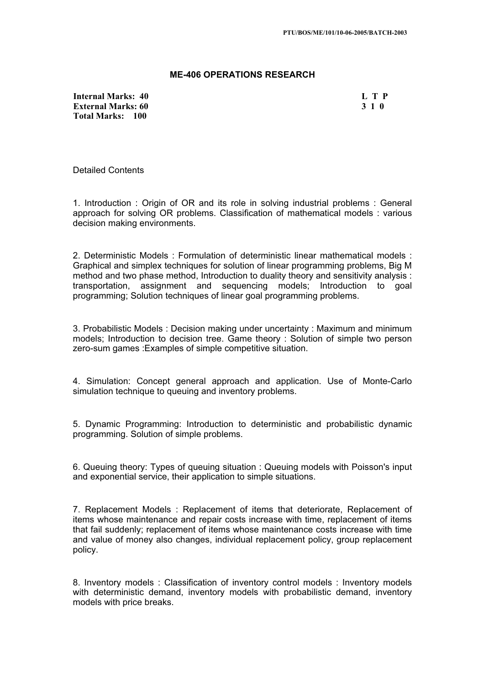#### **ME-406 OPERATIONS RESEARCH**

**Internal Marks: 40 L T P L T P External Marks: 60 3 1 0 Total Marks: 100**

Detailed Contents

1. Introduction : Origin of OR and its role in solving industrial problems : General approach for solving OR problems. Classification of mathematical models : various decision making environments.

2. Deterministic Models : Formulation of deterministic linear mathematical models : Graphical and simplex techniques for solution of linear programming problems, Big M method and two phase method, Introduction to duality theory and sensitivity analysis : transportation, assignment and sequencing models; Introduction to goal programming; Solution techniques of linear goal programming problems.

3. Probabilistic Models : Decision making under uncertainty : Maximum and minimum models; Introduction to decision tree. Game theory : Solution of simple two person zero-sum games :Examples of simple competitive situation.

4. Simulation: Concept general approach and application. Use of Monte-Carlo simulation technique to queuing and inventory problems.

5. Dynamic Programming: Introduction to deterministic and probabilistic dynamic programming. Solution of simple problems.

6. Queuing theory: Types of queuing situation : Queuing models with Poisson's input and exponential service, their application to simple situations.

7. Replacement Models : Replacement of items that deteriorate, Replacement of items whose maintenance and repair costs increase with time, replacement of items that fail suddenly; replacement of items whose maintenance costs increase with time and value of money also changes, individual replacement policy, group replacement policy.

8. Inventory models : Classification of inventory control models : Inventory models with deterministic demand, inventory models with probabilistic demand, inventory models with price breaks.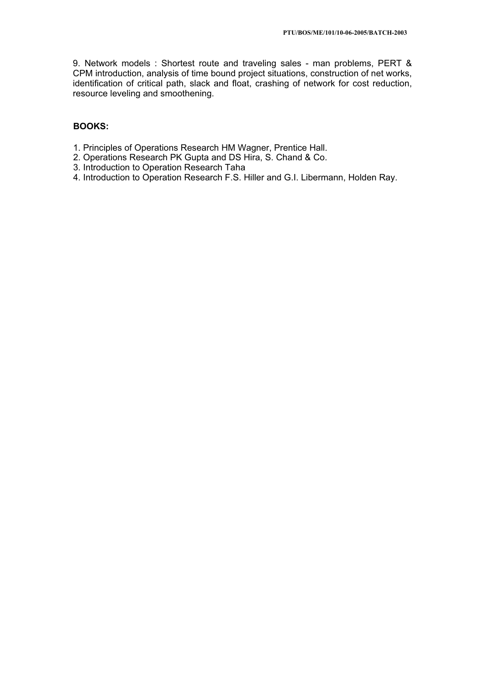9. Network models : Shortest route and traveling sales - man problems, PERT & CPM introduction, analysis of time bound project situations, construction of net works, identification of critical path, slack and float, crashing of network for cost reduction, resource leveling and smoothening.

### **BOOKS:**

- 1. Principles of Operations Research HM Wagner, Prentice Hall.
- 2. Operations Research PK Gupta and DS Hira, S. Chand & Co.
- 3. Introduction to Operation Research Taha
- 4. Introduction to Operation Research F.S. Hiller and G.I. Libermann, Holden Ray.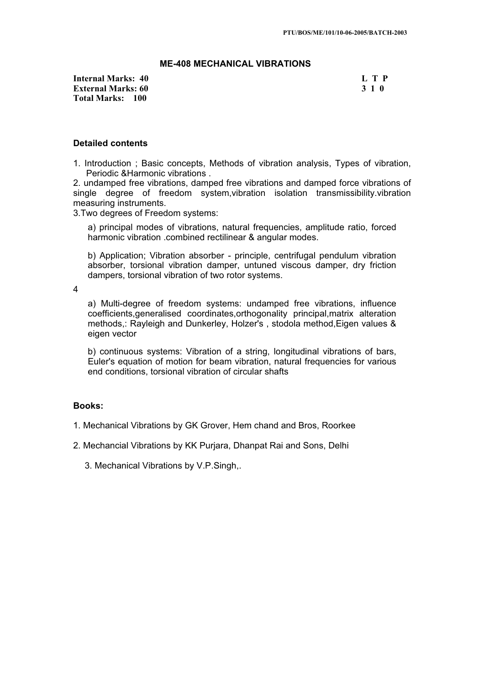# **ME-408 MECHANICAL VIBRATIONS**

**Internal Marks: 40 L T P L T P External Marks: 60 3 1 0 Total Marks: 100**

#### **Detailed contents**

1. Introduction ; Basic concepts, Methods of vibration analysis, Types of vibration, Periodic &Harmonic vibrations .

2. undamped free vibrations, damped free vibrations and damped force vibrations of single degree of freedom system,vibration isolation transmissibility.vibration measuring instruments.

3.Two degrees of Freedom systems:

a) principal modes of vibrations, natural frequencies, amplitude ratio, forced harmonic vibration .combined rectilinear & angular modes.

b) Application; Vibration absorber - principle, centrifugal pendulum vibration absorber, torsional vibration damper, untuned viscous damper, dry friction dampers, torsional vibration of two rotor systems.

4

a) Multi-degree of freedom systems: undamped free vibrations, influence coefficients,generalised coordinates,orthogonality principal,matrix alteration methods,: Rayleigh and Dunkerley, Holzer's , stodola method,Eigen values & eigen vector

b) continuous systems: Vibration of a string, longitudinal vibrations of bars, Euler's equation of motion for beam vibration, natural frequencies for various end conditions, torsional vibration of circular shafts

## **Books:**

1. Mechanical Vibrations by GK Grover, Hem chand and Bros, Roorkee

2. Mechancial Vibrations by KK Purjara, Dhanpat Rai and Sons, Delhi

3. Mechanical Vibrations by V.P.Singh,.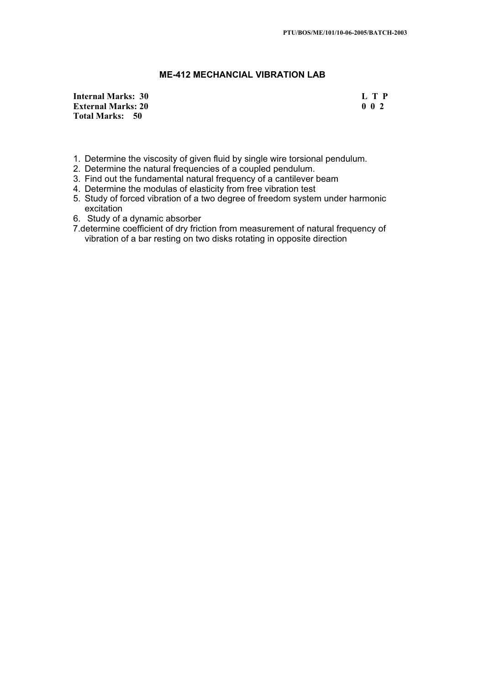# **ME-412 MECHANCIAL VIBRATION LAB**

**Internal Marks: 30 L T P L L T P External Marks: 20 0 0 2 Total Marks: 50**

- 1. Determine the viscosity of given fluid by single wire torsional pendulum.
- 2. Determine the natural frequencies of a coupled pendulum.
- 3. Find out the fundamental natural frequency of a cantilever beam
- 4. Determine the modulas of elasticity from free vibration test
- 5. Study of forced vibration of a two degree of freedom system under harmonic excitation
- 6. Study of a dynamic absorber
- 7.determine coefficient of dry friction from measurement of natural frequency of vibration of a bar resting on two disks rotating in opposite direction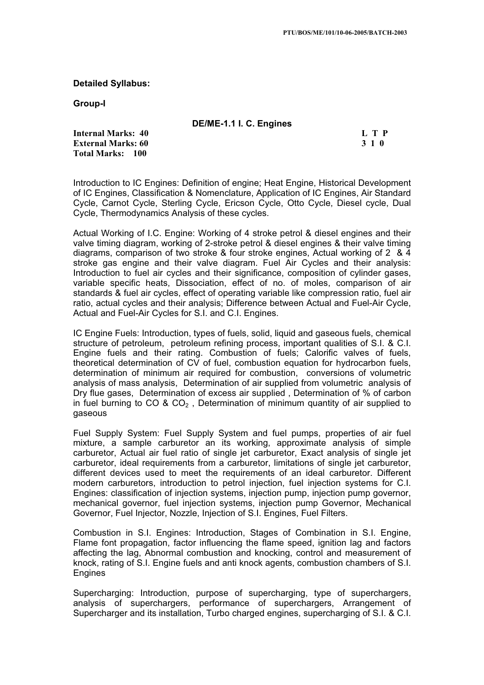**Detailed Syllabus:**

**Group-I**

| DE/ME-1.1 I. C. Engines |  |
|-------------------------|--|
|-------------------------|--|

**Internal Marks: 40 L T P L L T P External Marks: 60 3 1 0 Total Marks: 100**

Introduction to IC Engines: Definition of engine; Heat Engine, Historical Development of IC Engines, Classification & Nomenclature, Application of IC Engines, Air Standard Cycle, Carnot Cycle, Sterling Cycle, Ericson Cycle, Otto Cycle, Diesel cycle, Dual Cycle, Thermodynamics Analysis of these cycles.

Actual Working of I.C. Engine: Working of 4 stroke petrol & diesel engines and their valve timing diagram, working of 2-stroke petrol & diesel engines & their valve timing diagrams, comparison of two stroke & four stroke engines, Actual working of 2 & 4 stroke gas engine and their valve diagram. Fuel Air Cycles and their analysis: Introduction to fuel air cycles and their significance, composition of cylinder gases, variable specific heats, Dissociation, effect of no. of moles, comparison of air standards & fuel air cycles, effect of operating variable like compression ratio, fuel air ratio, actual cycles and their analysis; Difference between Actual and Fuel-Air Cycle, Actual and Fuel-Air Cycles for S.I. and C.I. Engines.

IC Engine Fuels: Introduction, types of fuels, solid, liquid and gaseous fuels, chemical structure of petroleum, petroleum refining process, important qualities of S.I. & C.I. Engine fuels and their rating. Combustion of fuels; Calorific valves of fuels, theoretical determination of CV of fuel, combustion equation for hydrocarbon fuels, determination of minimum air required for combustion, conversions of volumetric analysis of mass analysis, Determination of air supplied from volumetric analysis of Dry flue gases, Determination of excess air supplied , Determination of % of carbon in fuel burning to  $CO & CO<sub>2</sub>$ . Determination of minimum quantity of air supplied to gaseous

Fuel Supply System: Fuel Supply System and fuel pumps, properties of air fuel mixture, a sample carburetor an its working, approximate analysis of simple carburetor, Actual air fuel ratio of single jet carburetor, Exact analysis of single jet carburetor, ideal requirements from a carburetor, limitations of single jet carburetor, different devices used to meet the requirements of an ideal carburetor. Different modern carburetors, introduction to petrol injection, fuel injection systems for C.I. Engines: classification of injection systems, injection pump, injection pump governor, mechanical governor, fuel injection systems, injection pump Governor, Mechanical Governor, Fuel Injector, Nozzle, Injection of S.I. Engines, Fuel Filters.

Combustion in S.I. Engines: Introduction, Stages of Combination in S.I. Engine, Flame font propagation, factor influencing the flame speed, ignition lag and factors affecting the lag, Abnormal combustion and knocking, control and measurement of knock, rating of S.I. Engine fuels and anti knock agents, combustion chambers of S.I. Engines

Supercharging: Introduction, purpose of supercharging, type of superchargers, analysis of superchargers, performance of superchargers, Arrangement of Supercharger and its installation, Turbo charged engines, supercharging of S.I. & C.I.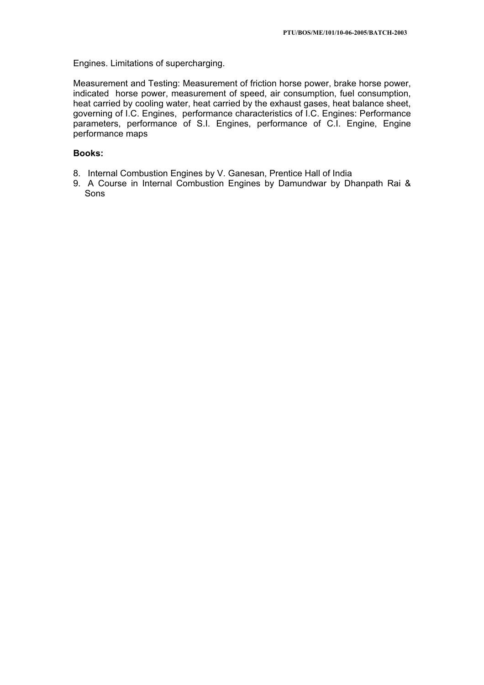Engines. Limitations of supercharging.

Measurement and Testing: Measurement of friction horse power, brake horse power, indicated horse power, measurement of speed, air consumption, fuel consumption, heat carried by cooling water, heat carried by the exhaust gases, heat balance sheet, governing of I.C. Engines, performance characteristics of I.C. Engines: Performance parameters, performance of S.I. Engines, performance of C.I. Engine, Engine performance maps

## **Books:**

- 8. Internal Combustion Engines by V. Ganesan, Prentice Hall of India
- 9. A Course in Internal Combustion Engines by Damundwar by Dhanpath Rai & Sons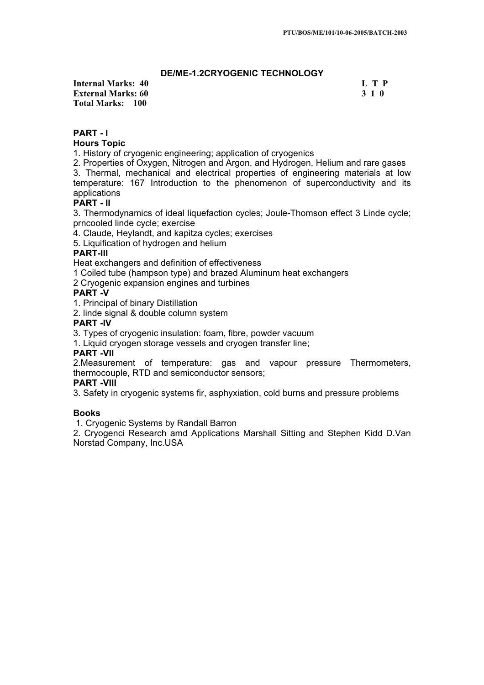# **DE/ME-1.2CRYOGENIC TECHNOLOGY**

**Internal Marks: 40 L T P L T P External Marks: 60 3 1 0 Total Marks: 100**

# **PART - I**

## **Hours Topic**

1. History of cryogenic engineering; application of cryogenics

2. Properties of Oxygen, Nitrogen and Argon, and Hydrogen, Helium and rare gases

3. Thermal, mechanical and electrical properties of engineering materials at low temperature: 167 Introduction to the phenomenon of superconductivity and its applications

# **PART - II**

3. Thermodynamics of ideal liquefaction cycles; Joule-Thomson effect 3 Linde cycle; prncooled linde cycle; exercise

4. Claude, Heylandt, and kapitza cycles; exercises

5. Liquification of hydrogen and helium

# **PART-III**

Heat exchangers and definition of effectiveness

1 Coiled tube (hampson type) and brazed Aluminum heat exchangers

2 Cryogenic expansion engines and turbines

# **PART -V**

1. Principal of binary Distillation

2. linde signal & double column system

# **PART -IV**

3. Types of cryogenic insulation: foam, fibre, powder vacuum

1. Liquid cryogen storage vessels and cryogen transfer line;

## **PART -VII**

2.Measurement of temperature: gas and vapour pressure Thermometers, thermocouple, RTD and semiconductor sensors;

## **PART -VIII**

3. Safety in cryogenic systems fir, asphyxiation, cold burns and pressure problems

## **Books**

1. Cryogenic Systems by Randall Barron

2. Cryogenci Research amd Applications Marshall Sitting and Stephen Kidd D.Van Norstad Company, Inc.USA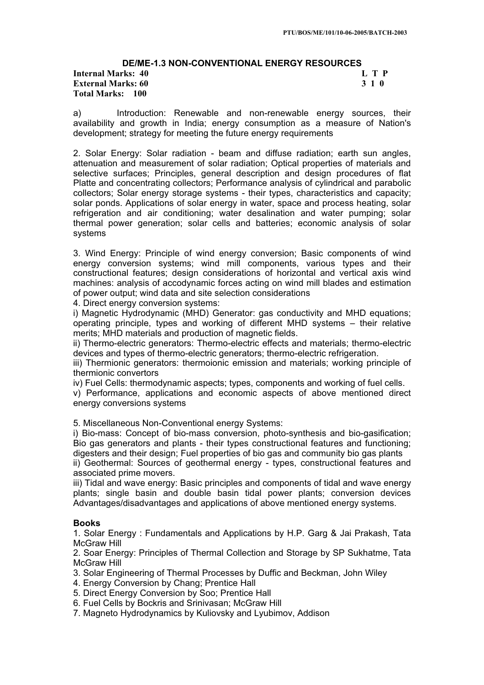# **DE/ME-1.3 NON-CONVENTIONAL ENERGY RESOURCES Internal Marks: 40 External Marks: 60 3 1 0 Total Marks: 100**

a) Introduction: Renewable and non-renewable energy sources, their availability and growth in India; energy consumption as a measure of Nation's development; strategy for meeting the future energy requirements

2. Solar Energy: Solar radiation - beam and diffuse radiation; earth sun angles, attenuation and measurement of solar radiation; Optical properties of materials and selective surfaces; Principles, general description and design procedures of flat Platte and concentrating collectors; Performance analysis of cylindrical and parabolic collectors; Solar energy storage systems - their types, characteristics and capacity; solar ponds. Applications of solar energy in water, space and process heating, solar refrigeration and air conditioning; water desalination and water pumping; solar thermal power generation; solar cells and batteries; economic analysis of solar systems

3. Wind Energy: Principle of wind energy conversion; Basic components of wind energy conversion systems; wind mill components, various types and their constructional features; design considerations of horizontal and vertical axis wind machines: analysis of accodynamic forces acting on wind mill blades and estimation of power output; wind data and site selection considerations

4. Direct energy conversion systems:

i) Magnetic Hydrodynamic (MHD) Generator: gas conductivity and MHD equations; operating principle, types and working of different MHD systems – their relative merits; MHD materials and production of magnetic fields.

ii) Thermo-electric generators: Thermo-electric effects and materials; thermo-electric devices and types of thermo-electric generators; thermo-electric refrigeration.

iii) Thermionic generators: thermoionic emission and materials; working principle of thermionic convertors

iv) Fuel Cells: thermodynamic aspects; types, components and working of fuel cells.

v) Performance, applications and economic aspects of above mentioned direct energy conversions systems

5. Miscellaneous Non-Conventional energy Systems:

i) Bio-mass: Concept of bio-mass conversion, photo-synthesis and bio-gasification; Bio gas generators and plants - their types constructional features and functioning; digesters and their design; Fuel properties of bio gas and community bio gas plants ii) Geothermal: Sources of geothermal energy - types, constructional features and associated prime movers.

iii) Tidal and wave energy: Basic principles and components of tidal and wave energy plants; single basin and double basin tidal power plants; conversion devices Advantages/disadvantages and applications of above mentioned energy systems.

## **Books**

1. Solar Energy : Fundamentals and Applications by H.P. Garg & Jai Prakash, Tata McGraw Hill

2. Soar Energy: Principles of Thermal Collection and Storage by SP Sukhatme, Tata McGraw Hill

3. Solar Engineering of Thermal Processes by Duffic and Beckman, John Wiley

- 4. Energy Conversion by Chang; Prentice Hall
- 5. Direct Energy Conversion by Soo; Prentice Hall
- 6. Fuel Cells by Bockris and Srinivasan; McGraw Hill
- 7. Magneto Hydrodynamics by Kuliovsky and Lyubimov, Addison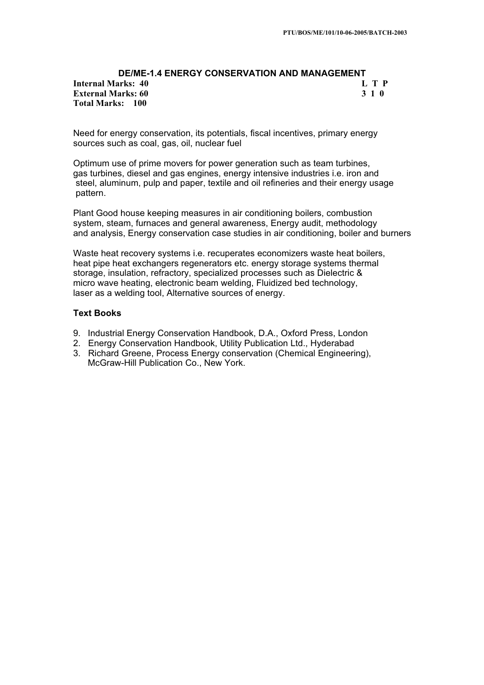### **DE/ME-1.4 ENERGY CONSERVATION AND MANAGEMENT Internal Marks: 40 L T P L T P External Marks: 60 3 1 0 Total Marks: 100**

Need for energy conservation, its potentials, fiscal incentives, primary energy sources such as coal, gas, oil, nuclear fuel

Optimum use of prime movers for power generation such as team turbines, gas turbines, diesel and gas engines, energy intensive industries i.e. iron and steel, aluminum, pulp and paper, textile and oil refineries and their energy usage pattern.

Plant Good house keeping measures in air conditioning boilers, combustion system, steam, furnaces and general awareness, Energy audit, methodology and analysis, Energy conservation case studies in air conditioning, boiler and burners

Waste heat recovery systems i.e. recuperates economizers waste heat boilers, heat pipe heat exchangers regenerators etc. energy storage systems thermal storage, insulation, refractory, specialized processes such as Dielectric & micro wave heating, electronic beam welding, Fluidized bed technology, laser as a welding tool, Alternative sources of energy.

## **Text Books**

- 9. Industrial Energy Conservation Handbook, D.A., Oxford Press, London
- 2. Energy Conservation Handbook, Utility Publication Ltd., Hyderabad
- 3. Richard Greene, Process Energy conservation (Chemical Engineering), McGraw-Hill Publication Co., New York.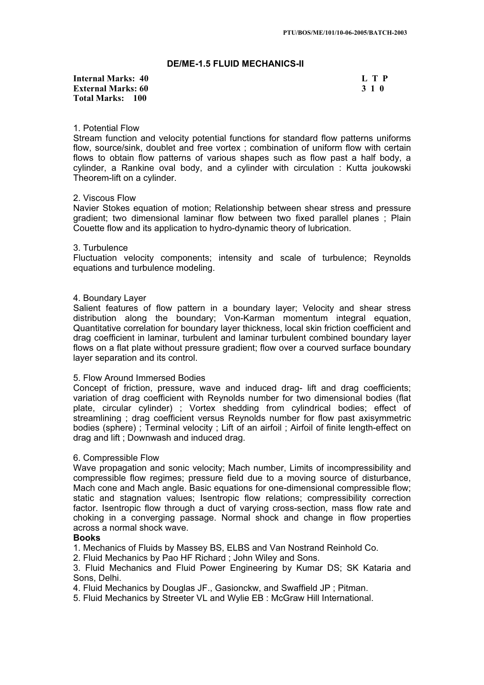## **DE/ME-1.5 FLUID MECHANICS-II**

## **Internal Marks: 40 L T P L T P External Marks: 60 3 1 0 Total Marks: 100**

## 1. Potential Flow

Stream function and velocity potential functions for standard flow patterns uniforms flow, source/sink, doublet and free vortex ; combination of uniform flow with certain flows to obtain flow patterns of various shapes such as flow past a half body, a cylinder, a Rankine oval body, and a cylinder with circulation : Kutta joukowski Theorem-lift on a cylinder.

### 2. Viscous Flow

Navier Stokes equation of motion; Relationship between shear stress and pressure gradient; two dimensional laminar flow between two fixed parallel planes ; Plain Couette flow and its application to hydro-dynamic theory of lubrication.

### 3. Turbulence

Fluctuation velocity components; intensity and scale of turbulence; Reynolds equations and turbulence modeling.

## 4. Boundary Layer

Salient features of flow pattern in a boundary layer; Velocity and shear stress distribution along the boundary; Von-Karman momentum integral equation, Quantitative correlation for boundary layer thickness, local skin friction coefficient and drag coefficient in laminar, turbulent and laminar turbulent combined boundary layer flows on a flat plate without pressure gradient; flow over a courved surface boundary layer separation and its control.

## 5. Flow Around Immersed Bodies

Concept of friction, pressure, wave and induced drag- lift and drag coefficients; variation of drag coefficient with Reynolds number for two dimensional bodies (flat plate, circular cylinder) ; Vortex shedding from cylindrical bodies; effect of streamlining ; drag coefficient versus Reynolds number for flow past axisymmetric bodies (sphere) ; Terminal velocity ; Lift of an airfoil ; Airfoil of finite length-effect on drag and lift ; Downwash and induced drag.

## 6. Compressible Flow

Wave propagation and sonic velocity; Mach number, Limits of incompressibility and compressible flow regimes; pressure field due to a moving source of disturbance, Mach cone and Mach angle. Basic equations for one-dimensional compressible flow; static and stagnation values; Isentropic flow relations; compressibility correction factor. Isentropic flow through a duct of varying cross-section, mass flow rate and choking in a converging passage. Normal shock and change in flow properties across a normal shock wave.

## **Books**

1. Mechanics of Fluids by Massey BS, ELBS and Van Nostrand Reinhold Co.

2. Fluid Mechanics by Pao HF Richard ; John Wiley and Sons.

3. Fluid Mechanics and Fluid Power Engineering by Kumar DS; SK Kataria and Sons, Delhi.

4. Fluid Mechanics by Douglas JF., Gasionckw, and Swaffield JP ; Pitman.

5. Fluid Mechanics by Streeter VL and Wylie EB : McGraw Hill International.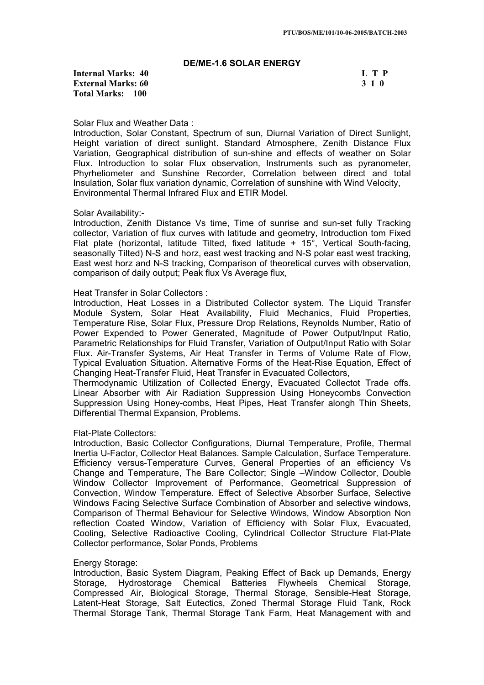## **DE/ME-1.6 SOLAR ENERGY**

**Internal Marks: 40 L T P I** L T P **External Marks: 60 3 1 0 Total Marks: 100**

#### Solar Flux and Weather Data :

Introduction, Solar Constant, Spectrum of sun, Diurnal Variation of Direct Sunlight, Height variation of direct sunlight. Standard Atmosphere, Zenith Distance Flux Variation, Geographical distribution of sun-shine and effects of weather on Solar Flux. Introduction to solar Flux observation, Instruments such as pyranometer, Phyrheliometer and Sunshine Recorder, Correlation between direct and total Insulation, Solar flux variation dynamic, Correlation of sunshine with Wind Velocity, Environmental Thermal Infrared Flux and ETIR Model.

### Solar Availability:-

Introduction, Zenith Distance Vs time, Time of sunrise and sun-set fully Tracking collector, Variation of flux curves with latitude and geometry, Introduction tom Fixed Flat plate (horizontal, latitude Tilted, fixed latitude + 15°, Vertical South-facing, seasonally Tilted) N-S and horz, east west tracking and N-S polar east west tracking, East west horz and N-S tracking, Comparison of theoretical curves with observation, comparison of daily output; Peak flux Vs Average flux,

### Heat Transfer in Solar Collectors :

Introduction, Heat Losses in a Distributed Collector system. The Liquid Transfer Module System, Solar Heat Availability, Fluid Mechanics, Fluid Properties, Temperature Rise, Solar Flux, Pressure Drop Relations, Reynolds Number, Ratio of Power Expended to Power Generated, Magnitude of Power Output/Input Ratio, Parametric Relationships for Fluid Transfer, Variation of Output/Input Ratio with Solar Flux. Air-Transfer Systems, Air Heat Transfer in Terms of Volume Rate of Flow, Typical Evaluation Situation. Alternative Forms of the Heat-Rise Equation, Effect of Changing Heat-Transfer Fluid, Heat Transfer in Evacuated Collectors,

Thermodynamic Utilization of Collected Energy, Evacuated Collectot Trade offs. Linear Absorber with Air Radiation Suppression Using Honeycombs Convection Suppression Using Honey-combs, Heat Pipes, Heat Transfer alongh Thin Sheets, Differential Thermal Expansion, Problems.

### Flat-Plate Collectors:

Introduction, Basic Collector Configurations, Diurnal Temperature, Profile, Thermal Inertia U-Factor, Collector Heat Balances. Sample Calculation, Surface Temperature. Efficiency versus-Temperature Curves, General Properties of an efficiency Vs Change and Temperature, The Bare Collector; Single –Window Collector, Double Window Collector Improvement of Performance, Geometrical Suppression of Convection, Window Temperature. Effect of Selective Absorber Surface, Selective Windows Facing Selective Surface Combination of Absorber and selective windows, Comparison of Thermal Behaviour for Selective Windows, Window Absorption Non reflection Coated Window, Variation of Efficiency with Solar Flux, Evacuated, Cooling, Selective Radioactive Cooling, Cylindrical Collector Structure Flat-Plate Collector performance, Solar Ponds, Problems

### Energy Storage:

Introduction, Basic System Diagram, Peaking Effect of Back up Demands, Energy Storage, Hydrostorage Chemical Batteries Flywheels Chemical Storage, Compressed Air, Biological Storage, Thermal Storage, Sensible-Heat Storage, Latent-Heat Storage, Salt Eutectics, Zoned Thermal Storage Fluid Tank, Rock Thermal Storage Tank, Thermal Storage Tank Farm, Heat Management with and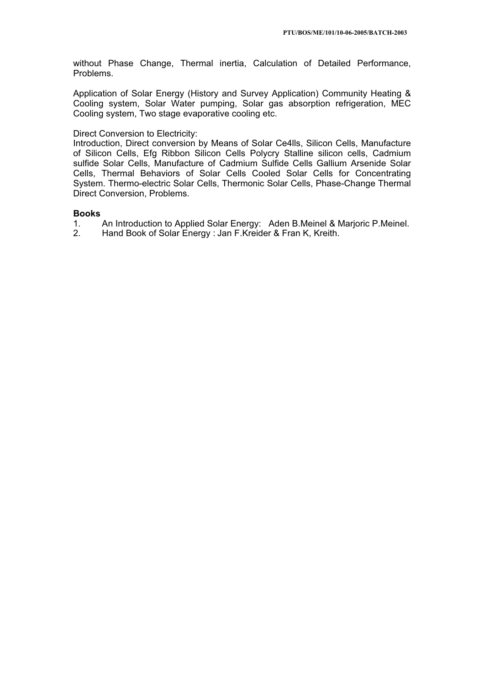without Phase Change, Thermal inertia, Calculation of Detailed Performance, Problems.

Application of Solar Energy (History and Survey Application) Community Heating & Cooling system, Solar Water pumping, Solar gas absorption refrigeration, MEC Cooling system, Two stage evaporative cooling etc.

## Direct Conversion to Electricity:

Introduction, Direct conversion by Means of Solar Ce4lls, Silicon Cells, Manufacture of Silicon Cells, Efg Ribbon Silicon Cells Polycry Stalline silicon cells, Cadmium sulfide Solar Cells, Manufacture of Cadmium Sulfide Cells Gallium Arsenide Solar Cells, Thermal Behaviors of Solar Cells Cooled Solar Cells for Concentrating System. Thermo-electric Solar Cells, Thermonic Solar Cells, Phase-Change Thermal Direct Conversion, Problems.

## **Books**

- 1. An Introduction to Applied Solar Energy: Aden B.Meinel & Marjoric P.Meinel.
- 2. Hand Book of Solar Energy : Jan F.Kreider & Fran K, Kreith.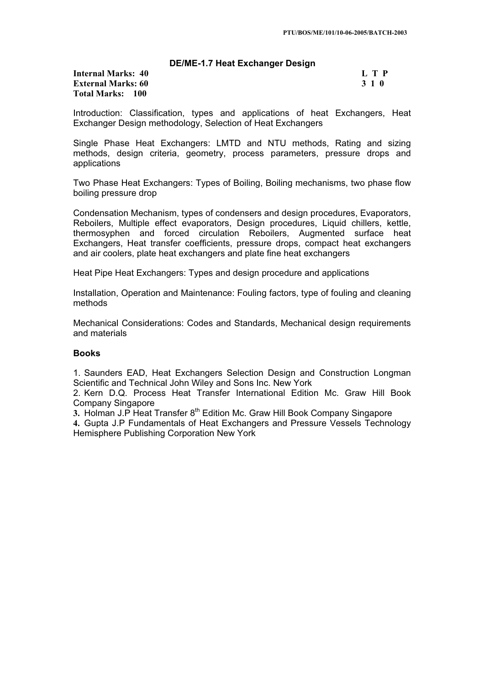## **DE/ME-1.7 Heat Exchanger Design**

| <b>Internal Marks: 40</b> |  |
|---------------------------|--|
| <b>External Marks: 60</b> |  |
| Total Marks: 100          |  |

| Internal Marks: 40        | $\mathbf{L} \mathbf{T} \mathbf{P}$ |
|---------------------------|------------------------------------|
| <b>External Marks: 60</b> | 3 1 0                              |
| Total Marke, 100          |                                    |

Introduction: Classification, types and applications of heat Exchangers, Heat Exchanger Design methodology, Selection of Heat Exchangers

Single Phase Heat Exchangers: LMTD and NTU methods, Rating and sizing methods, design criteria, geometry, process parameters, pressure drops and applications

Two Phase Heat Exchangers: Types of Boiling, Boiling mechanisms, two phase flow boiling pressure drop

Condensation Mechanism, types of condensers and design procedures, Evaporators, Reboilers, Multiple effect evaporators, Design procedures, Liquid chillers, kettle, thermosyphen and forced circulation Reboilers, Augmented surface heat Exchangers, Heat transfer coefficients, pressure drops, compact heat exchangers and air coolers, plate heat exchangers and plate fine heat exchangers

Heat Pipe Heat Exchangers: Types and design procedure and applications

Installation, Operation and Maintenance: Fouling factors, type of fouling and cleaning methods

Mechanical Considerations: Codes and Standards, Mechanical design requirements and materials

## **Books**

1. Saunders EAD, Heat Exchangers Selection Design and Construction Longman Scientific and Technical John Wiley and Sons Inc. New York

2. Kern D.Q. Process Heat Transfer International Edition Mc. Graw Hill Book Company Singapore

**3.** Holman J.P Heat Transfer 8th Edition Mc. Graw Hill Book Company Singapore

**4.** Gupta J.P Fundamentals of Heat Exchangers and Pressure Vessels Technology Hemisphere Publishing Corporation New York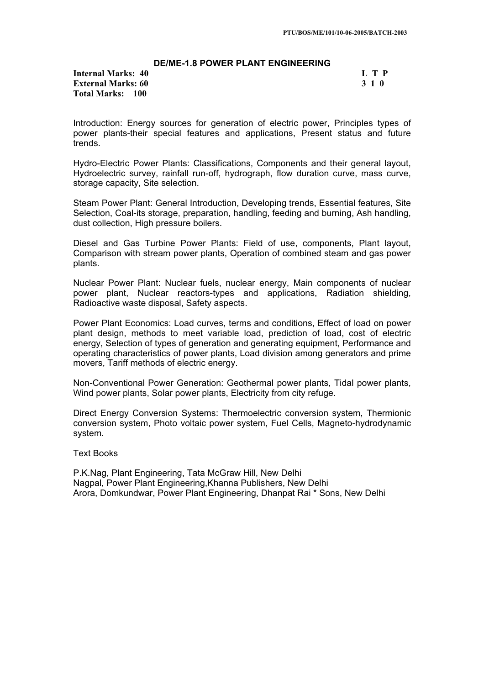## **DE/ME-1.8 POWER PLANT ENGINEERING**

**Internal Marks: 40 L T P L T P External Marks: 60 3 1 0 Total Marks: 100**

Introduction: Energy sources for generation of electric power, Principles types of power plants-their special features and applications, Present status and future trends.

Hydro-Electric Power Plants: Classifications, Components and their general layout, Hydroelectric survey, rainfall run-off, hydrograph, flow duration curve, mass curve, storage capacity, Site selection.

Steam Power Plant: General Introduction, Developing trends, Essential features, Site Selection, Coal-its storage, preparation, handling, feeding and burning, Ash handling, dust collection, High pressure boilers.

Diesel and Gas Turbine Power Plants: Field of use, components, Plant layout, Comparison with stream power plants, Operation of combined steam and gas power plants.

Nuclear Power Plant: Nuclear fuels, nuclear energy, Main components of nuclear power plant, Nuclear reactors-types and applications, Radiation shielding, Radioactive waste disposal, Safety aspects.

Power Plant Economics: Load curves, terms and conditions, Effect of load on power plant design, methods to meet variable load, prediction of load, cost of electric energy, Selection of types of generation and generating equipment, Performance and operating characteristics of power plants, Load division among generators and prime movers, Tariff methods of electric energy.

Non-Conventional Power Generation: Geothermal power plants, Tidal power plants, Wind power plants, Solar power plants, Electricity from city refuge.

Direct Energy Conversion Systems: Thermoelectric conversion system, Thermionic conversion system, Photo voltaic power system, Fuel Cells, Magneto-hydrodynamic system.

Text Books

P.K.Nag, Plant Engineering, Tata McGraw Hill, New Delhi Nagpal, Power Plant Engineering,Khanna Publishers, New Delhi Arora, Domkundwar, Power Plant Engineering, Dhanpat Rai \* Sons, New Delhi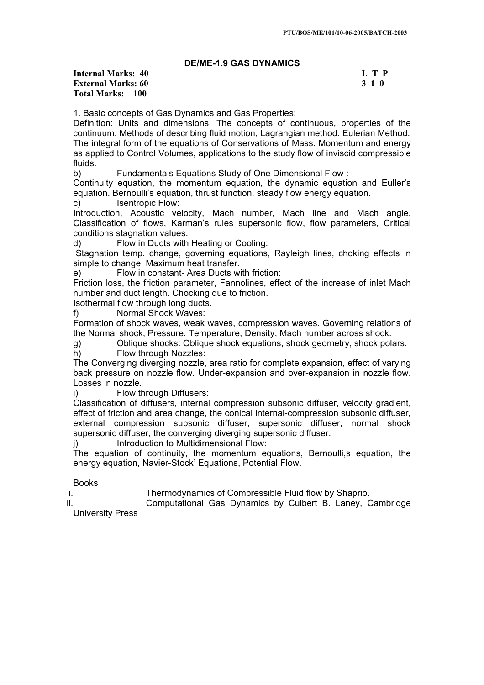## **DE/ME-1.9 GAS DYNAMICS**

**Internal Marks: 40 L T P I** L T P **External Marks: 60 3 1 0 Total Marks: 100**

1. Basic concepts of Gas Dynamics and Gas Properties:

Definition: Units and dimensions. The concepts of continuous, properties of the continuum. Methods of describing fluid motion, Lagrangian method. Eulerian Method. The integral form of the equations of Conservations of Mass. Momentum and energy as applied to Control Volumes, applications to the study flow of inviscid compressible fluids.

b) Fundamentals Equations Study of One Dimensional Flow :

Continuity equation, the momentum equation, the dynamic equation and Euller's equation. Bernoulli's equation, thrust function, steady flow energy equation.

c) Isentropic Flow:

Introduction, Acoustic velocity, Mach number, Mach line and Mach angle. Classification of flows, Karman's rules supersonic flow, flow parameters, Critical conditions stagnation values.

d) Flow in Ducts with Heating or Cooling:

Stagnation temp. change, governing equations, Rayleigh lines, choking effects in simple to change. Maximum heat transfer.

e) Flow in constant- Area Ducts with friction:

Friction loss, the friction parameter, Fannolines, effect of the increase of inlet Mach number and duct length. Chocking due to friction.

Isothermal flow through long ducts.

f) Normal Shock Waves:

Formation of shock waves, weak waves, compression waves. Governing relations of the Normal shock, Pressure. Temperature, Density, Mach number across shock.

g) Oblique shocks: Oblique shock equations, shock geometry, shock polars.

h) Flow through Nozzles:

The Converging diverging nozzle, area ratio for complete expansion, effect of varying back pressure on nozzle flow. Under-expansion and over-expansion in nozzle flow. Losses in nozzle.

i) Flow through Diffusers:

Classification of diffusers, internal compression subsonic diffuser, velocity gradient, effect of friction and area change, the conical internal-compression subsonic diffuser, external compression subsonic diffuser, supersonic diffuser, normal shock supersonic diffuser, the converging diverging supersonic diffuser.

j) Introduction to Multidimensional Flow:

The equation of continuity, the momentum equations, Bernoulli,s equation, the energy equation, Navier-Stock' Equations, Potential Flow.

Books

i. Thermodynamics of Compressible Fluid flow by Shaprio.

ii. Computational Gas Dynamics by Culbert B. Laney, Cambridge University Press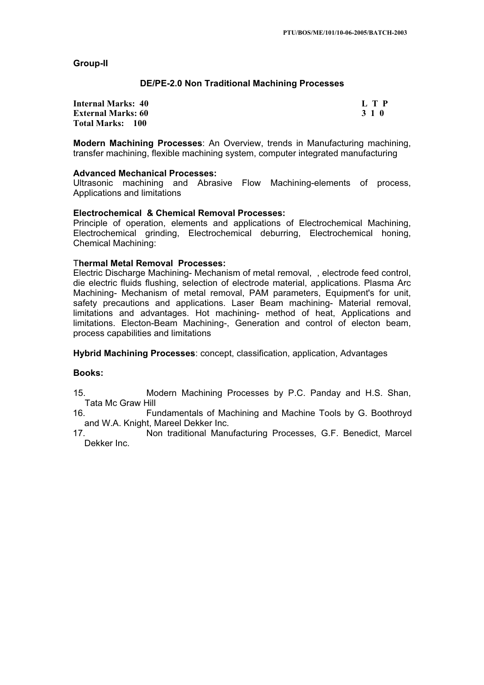## **Group-II**

## **DE/PE-2.0 Non Traditional Machining Processes**

| <b>Internal Marks: 40</b> | L T P |
|---------------------------|-------|
| <b>External Marks: 60</b> | 3 1 0 |
| Total Marks: 100          |       |

**Modern Machining Processes**: An Overview, trends in Manufacturing machining, transfer machining, flexible machining system, computer integrated manufacturing

## **Advanced Mechanical Processes:**

Ultrasonic machining and Abrasive Flow Machining-elements of process, Applications and limitations

## **Electrochemical & Chemical Removal Processes:**

Principle of operation, elements and applications of Electrochemical Machining, Electrochemical grinding, Electrochemical deburring, Electrochemical honing, Chemical Machining:

# T**hermal Metal Removal Processes:**

Electric Discharge Machining- Mechanism of metal removal, , electrode feed control, die electric fluids flushing, selection of electrode material, applications. Plasma Arc Machining- Mechanism of metal removal, PAM parameters, Equipment's for unit, safety precautions and applications. Laser Beam machining- Material removal, limitations and advantages. Hot machining- method of heat, Applications and limitations. Electon-Beam Machining-, Generation and control of electon beam, process capabilities and limitations

**Hybrid Machining Processes**: concept, classification, application, Advantages

## **Books:**

15. Modern Machining Processes by P.C. Panday and H.S. Shan, Tata Mc Graw Hill<br>16. Tu

16. Fundamentals of Machining and Machine Tools by G. Boothroyd and W.A. Knight, Mareel Dekker Inc.<br>Ann traditional Manu

17. Non traditional Manufacturing Processes, G.F. Benedict, Marcel Dekker Inc.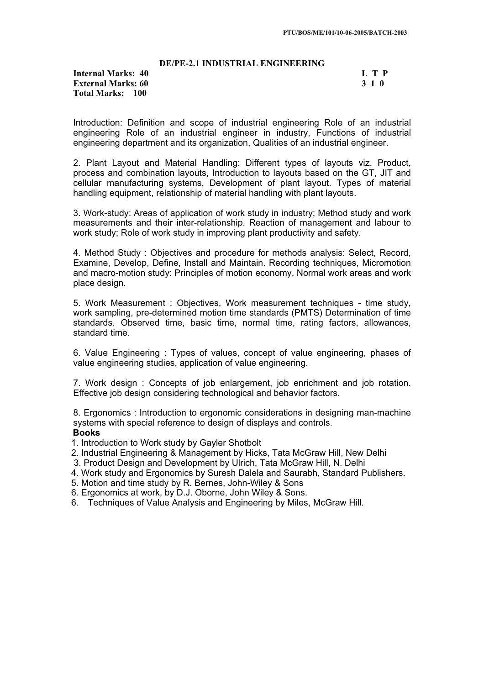### **DE/PE-2.1 INDUSTRIAL ENGINEERING**

## **Internal Marks: 40 L T P L T P External Marks: 60 3 1 0 Total Marks: 100**

Introduction: Definition and scope of industrial engineering Role of an industrial engineering Role of an industrial engineer in industry, Functions of industrial engineering department and its organization, Qualities of an industrial engineer.

2. Plant Layout and Material Handling: Different types of layouts viz. Product, process and combination layouts, Introduction to layouts based on the GT, JIT and cellular manufacturing systems, Development of plant layout. Types of material handling equipment, relationship of material handling with plant layouts.

3. Work-study: Areas of application of work study in industry; Method study and work measurements and their inter-relationship. Reaction of management and labour to work study; Role of work study in improving plant productivity and safety.

4. Method Study : Objectives and procedure for methods analysis: Select, Record, Examine, Develop, Define, Install and Maintain. Recording techniques, Micromotion and macro-motion study: Principles of motion economy, Normal work areas and work place design.

5. Work Measurement : Objectives, Work measurement techniques - time study, work sampling, pre-determined motion time standards (PMTS) Determination of time standards. Observed time, basic time, normal time, rating factors, allowances, standard time.

6. Value Engineering : Types of values, concept of value engineering, phases of value engineering studies, application of value engineering.

7. Work design : Concepts of job enlargement, job enrichment and job rotation. Effective job design considering technological and behavior factors.

8. Ergonomics : Introduction to ergonomic considerations in designing man-machine systems with special reference to design of displays and controls.

## **Books**

- 1. Introduction to Work study by Gayler Shotbolt
- 2. Industrial Engineering & Management by Hicks, Tata McGraw Hill, New Delhi
- 3. Product Design and Development by Ulrich, Tata McGraw Hill, N. Delhi
- 4. Work study and Ergonomics by Suresh Dalela and Saurabh, Standard Publishers.
- 5. Motion and time study by R. Bernes, John-Wiley & Sons
- 6. Ergonomics at work, by D.J. Oborne, John Wiley & Sons.
- 6. Techniques of Value Analysis and Engineering by Miles, McGraw Hill.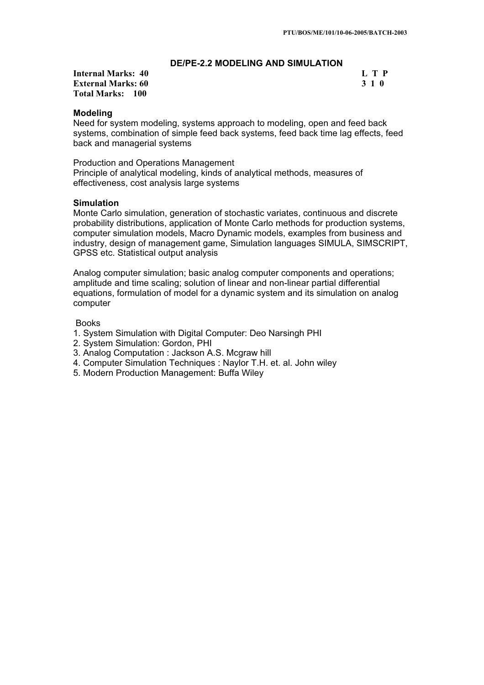## **DE/PE-2.2 MODELING AND SIMULATION**

**Internal Marks: 40 L T P L T P External Marks: 60 3 1 0 Total Marks: 100**

### **Modeling**

Need for system modeling, systems approach to modeling, open and feed back systems, combination of simple feed back systems, feed back time lag effects, feed back and managerial systems

Production and Operations Management Principle of analytical modeling, kinds of analytical methods, measures of effectiveness, cost analysis large systems

#### **Simulation**

Monte Carlo simulation, generation of stochastic variates, continuous and discrete probability distributions, application of Monte Carlo methods for production systems, computer simulation models, Macro Dynamic models, examples from business and industry, design of management game, Simulation languages SIMULA, SIMSCRIPT, GPSS etc. Statistical output analysis

Analog computer simulation; basic analog computer components and operations; amplitude and time scaling; solution of linear and non-linear partial differential equations, formulation of model for a dynamic system and its simulation on analog computer

#### Books

- 1. System Simulation with Digital Computer: Deo Narsingh PHI
- 2. System Simulation: Gordon, PHI
- 3. Analog Computation : Jackson A.S. Mcgraw hill
- 4. Computer Simulation Techniques : Naylor T.H. et. al. John wiley
- 5. Modern Production Management: Buffa Wiley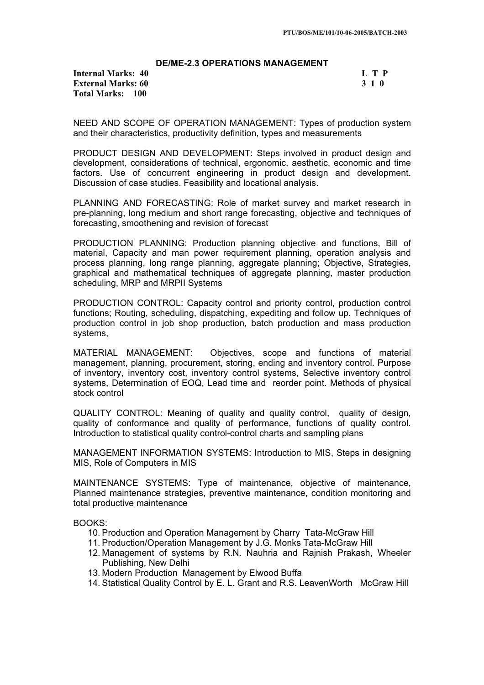## **DE/ME-2.3 OPERATIONS MANAGEMENT**

**Internal Marks: 40 L T P L T P External Marks: 60 3 1 0 Total Marks: 100**

NEED AND SCOPE OF OPERATION MANAGEMENT: Types of production system and their characteristics, productivity definition, types and measurements

PRODUCT DESIGN AND DEVELOPMENT: Steps involved in product design and development, considerations of technical, ergonomic, aesthetic, economic and time factors. Use of concurrent engineering in product design and development. Discussion of case studies. Feasibility and locational analysis.

PLANNING AND FORECASTING: Role of market survey and market research in pre-planning, long medium and short range forecasting, objective and techniques of forecasting, smoothening and revision of forecast

PRODUCTION PLANNING: Production planning objective and functions, Bill of material, Capacity and man power requirement planning, operation analysis and process planning, long range planning, aggregate planning; Objective, Strategies, graphical and mathematical techniques of aggregate planning, master production scheduling, MRP and MRPII Systems

PRODUCTION CONTROL: Capacity control and priority control, production control functions; Routing, scheduling, dispatching, expediting and follow up. Techniques of production control in job shop production, batch production and mass production systems,

MATERIAL MANAGEMENT: Objectives, scope and functions of material management, planning, procurement, storing, ending and inventory control. Purpose of inventory, inventory cost, inventory control systems, Selective inventory control systems, Determination of EOQ, Lead time and reorder point. Methods of physical stock control

QUALITY CONTROL: Meaning of quality and quality control, quality of design, quality of conformance and quality of performance, functions of quality control. Introduction to statistical quality control-control charts and sampling plans

MANAGEMENT INFORMATION SYSTEMS: Introduction to MIS, Steps in designing MIS, Role of Computers in MIS

MAINTENANCE SYSTEMS: Type of maintenance, objective of maintenance, Planned maintenance strategies, preventive maintenance, condition monitoring and total productive maintenance

BOOKS:

- 10. Production and Operation Management by Charry Tata-McGraw Hill
- 11. Production/Operation Management by J.G. Monks Tata-McGraw Hill
- 12. Management of systems by R.N. Nauhria and Rajnish Prakash, Wheeler Publishing, New Delhi
- 13. Modern Production Management by Elwood Buffa
- 14. Statistical Quality Control by E. L. Grant and R.S. LeavenWorth McGraw Hill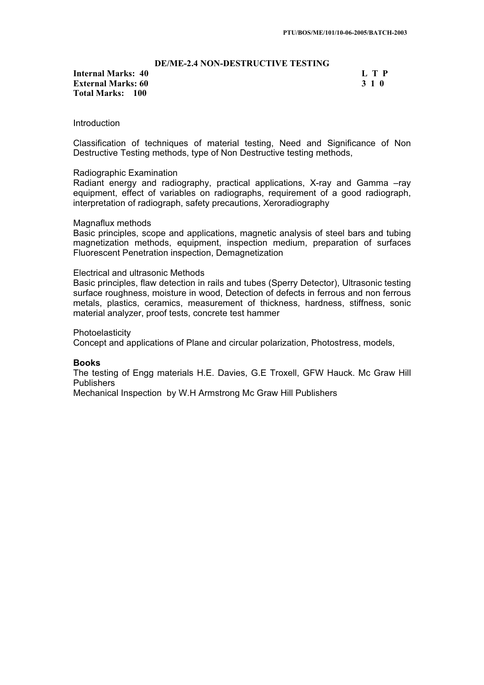### **DE/ME-2.4 NON-DESTRUCTIVE TESTING**

**Internal Marks: 40 L T P L T P External Marks: 60 3 1 0 Total Marks: 100**

#### **Introduction**

Classification of techniques of material testing, Need and Significance of Non Destructive Testing methods, type of Non Destructive testing methods,

#### Radiographic Examination

Radiant energy and radiography, practical applications, X-ray and Gamma –ray equipment, effect of variables on radiographs, requirement of a good radiograph, interpretation of radiograph, safety precautions, Xeroradiography

#### Magnaflux methods

Basic principles, scope and applications, magnetic analysis of steel bars and tubing magnetization methods, equipment, inspection medium, preparation of surfaces Fluorescent Penetration inspection, Demagnetization

### Electrical and ultrasonic Methods

Basic principles, flaw detection in rails and tubes (Sperry Detector), Ultrasonic testing surface roughness, moisture in wood, Detection of defects in ferrous and non ferrous metals, plastics, ceramics, measurement of thickness, hardness, stiffness, sonic material analyzer, proof tests, concrete test hammer

#### Photoelasticity

Concept and applications of Plane and circular polarization, Photostress, models,

#### **Books**

The testing of Engg materials H.E. Davies, G.E Troxell, GFW Hauck. Mc Graw Hill **Publishers** 

Mechanical Inspection by W.H Armstrong Mc Graw Hill Publishers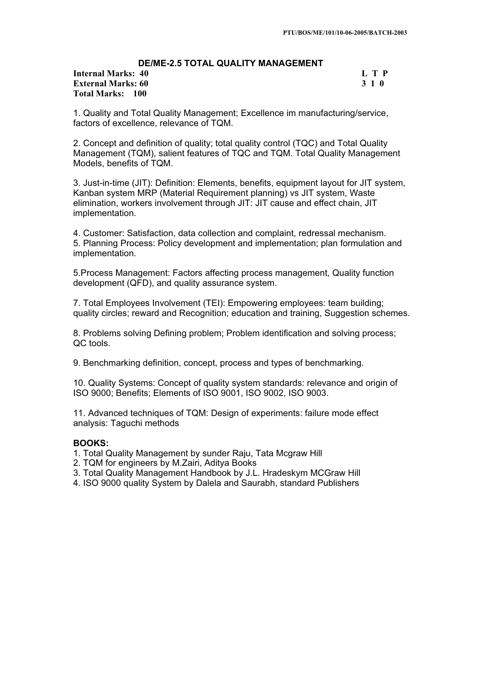## **DE/ME-2.5 TOTAL QUALITY MANAGEMENT**

**Internal Marks: 40 L T P L T P External Marks: 60 3 1 0 Total Marks: 100**

1. Quality and Total Quality Management; Excellence im manufacturing/service, factors of excellence, relevance of TQM.

2. Concept and definition of quality; total quality control (TQC) and Total Quality Management (TQM), salient features of TQC and TQM. Total Quality Management Models, benefits of TQM.

3. Just-in-time (JIT): Definition: Elements, benefits, equipment layout for JIT system, Kanban system MRP (Material Requirement planning) vs JIT system, Waste elimination, workers involvement through JIT: JIT cause and effect chain, JIT implementation.

4. Customer: Satisfaction, data collection and complaint, redressal mechanism. 5. Planning Process: Policy development and implementation; plan formulation and implementation.

5.Process Management: Factors affecting process management, Quality function development (QFD), and quality assurance system.

7. Total Employees Involvement (TEI): Empowering employees: team building; quality circles; reward and Recognition; education and training, Suggestion schemes.

8. Problems solving Defining problem; Problem identification and solving process; QC tools.

9. Benchmarking definition, concept, process and types of benchmarking.

10. Quality Systems: Concept of quality system standards: relevance and origin of ISO 9000; Benefits; Elements of ISO 9001, ISO 9002, ISO 9003.

11. Advanced techniques of TQM: Design of experiments: failure mode effect analysis: Taguchi methods

## **BOOKS:**

- 1. Total Quality Management by sunder Raju, Tata Mcgraw Hill
- 2. TQM for engineers by M.Zairi, Aditya Books
- 3. Total Quality Management Handbook by J.L. Hradeskym MCGraw Hill
- 4. ISO 9000 quality System by Dalela and Saurabh, standard Publishers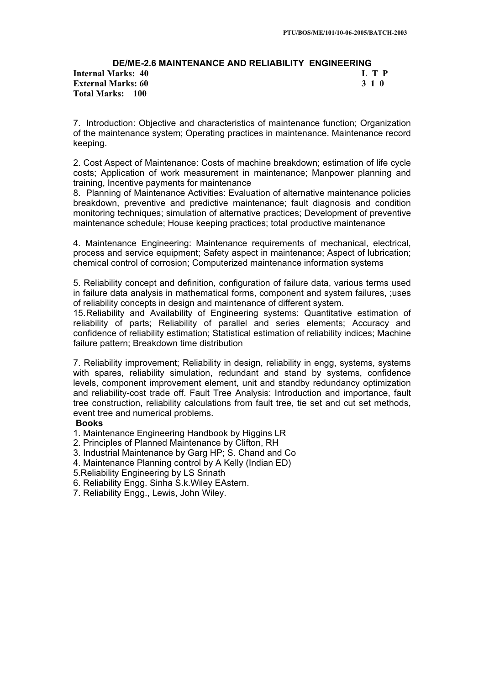# **DE/ME-2.6 MAINTENANCE AND RELIABILITY ENGINEERING Internal Marks: 40 External Marks: 60 3 1 0 Total Marks: 100**

7. Introduction: Objective and characteristics of maintenance function; Organization of the maintenance system; Operating practices in maintenance. Maintenance record keeping.

2. Cost Aspect of Maintenance: Costs of machine breakdown; estimation of life cycle costs; Application of work measurement in maintenance; Manpower planning and training, Incentive payments for maintenance

8. Planning of Maintenance Activities: Evaluation of alternative maintenance policies breakdown, preventive and predictive maintenance; fault diagnosis and condition monitoring techniques; simulation of alternative practices; Development of preventive maintenance schedule; House keeping practices; total productive maintenance

4. Maintenance Engineering: Maintenance requirements of mechanical, electrical, process and service equipment; Safety aspect in maintenance; Aspect of lubrication; chemical control of corrosion; Computerized maintenance information systems

5. Reliability concept and definition, configuration of failure data, various terms used in failure data analysis in mathematical forms, component and system failures, ;uses of reliability concepts in design and maintenance of different system.

15.Reliability and Availability of Engineering systems: Quantitative estimation of reliability of parts; Reliability of parallel and series elements; Accuracy and confidence of reliability estimation; Statistical estimation of reliability indices; Machine failure pattern; Breakdown time distribution

7. Reliability improvement; Reliability in design, reliability in engg, systems, systems with spares, reliability simulation, redundant and stand by systems, confidence levels, component improvement element, unit and standby redundancy optimization and reliability-cost trade off. Fault Tree Analysis: Introduction and importance, fault tree construction, reliability calculations from fault tree, tie set and cut set methods, event tree and numerical problems.

## **Books**

- 1. Maintenance Engineering Handbook by Higgins LR
- 2. Principles of Planned Maintenance by Clifton, RH
- 3. Industrial Maintenance by Garg HP; S. Chand and Co
- 4. Maintenance Planning control by A Kelly (Indian ED)
- 5.Reliability Engineering by LS Srinath
- 6. Reliability Engg. Sinha S.k.Wiley EAstern.
- 7. Reliability Engg., Lewis, John Wiley.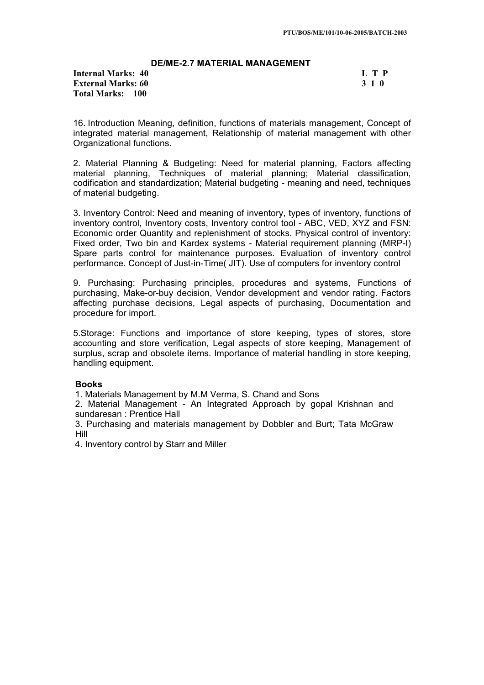## **DE/ME-2.7 MATERIAL MANAGEMENT**

**Internal Marks: 40 L T P L T P External Marks: 60 3 1 0 Total Marks: 100**

16. Introduction Meaning, definition, functions of materials management, Concept of integrated material management, Relationship of material management with other Organizational functions.

2. Material Planning & Budgeting: Need for material planning, Factors affecting material planning, Techniques of material planning; Material classification, codification and standardization; Material budgeting - meaning and need, techniques of material budgeting.

3. Inventory Control: Need and meaning of inventory, types of inventory, functions of inventory control, Inventory costs, Inventory control tool - ABC, VED, XYZ and FSN: Economic order Quantity and replenishment of stocks. Physical control of inventory: Fixed order, Two bin and Kardex systems - Material requirement planning (MRP-I) Spare parts control for maintenance purposes. Evaluation of inventory control performance. Concept of Just-in-Time( JIT). Use of computers for inventory control

9. Purchasing: Purchasing principles, procedures and systems, Functions of purchasing, Make-or-buy decision, Vendor development and vendor rating. Factors affecting purchase decisions, Legal aspects of purchasing, Documentation and procedure for import.

5.Storage: Functions and importance of store keeping, types of stores, store accounting and store verification, Legal aspects of store keeping, Management of surplus, scrap and obsolete items. Importance of material handling in store keeping, handling equipment.

## **Books**

1. Materials Management by M.M Verma, S. Chand and Sons

2. Material Management - An Integrated Approach by gopal Krishnan and sundaresan : Prentice Hall

3. Purchasing and materials management by Dobbler and Burt; Tata McGraw Hill

4. Inventory control by Starr and Miller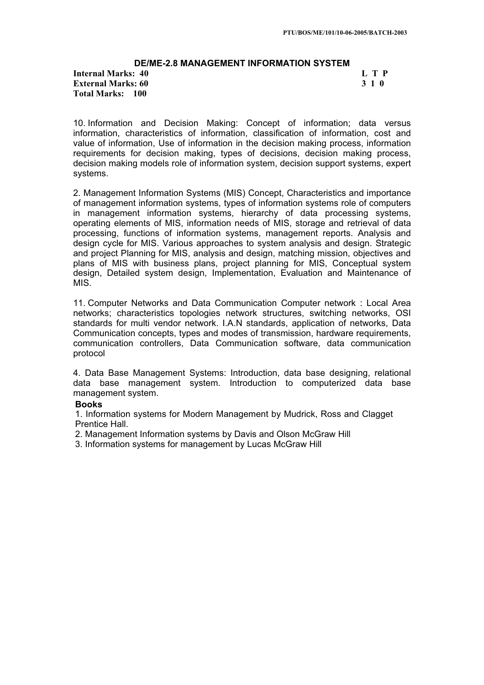#### **DE/ME-2.8 MANAGEMENT INFORMATION SYSTEM Internal Marks: 40 L T P L T P**

**External Marks: 60 3 1 0 Total Marks: 100**

10. Information and Decision Making: Concept of information; data versus information, characteristics of information, classification of information, cost and value of information, Use of information in the decision making process, information requirements for decision making, types of decisions, decision making process, decision making models role of information system, decision support systems, expert systems.

2. Management Information Systems (MIS) Concept, Characteristics and importance of management information systems, types of information systems role of computers in management information systems, hierarchy of data processing systems, operating elements of MIS, information needs of MIS, storage and retrieval of data processing, functions of information systems, management reports. Analysis and design cycle for MIS. Various approaches to system analysis and design. Strategic and project Planning for MIS, analysis and design, matching mission, objectives and plans of MIS with business plans, project planning for MIS, Conceptual system design, Detailed system design, Implementation, Evaluation and Maintenance of MIS.

11. Computer Networks and Data Communication Computer network : Local Area networks; characteristics topologies network structures, switching networks, OSI standards for multi vendor network. I.A.N standards, application of networks, Data Communication concepts, types and modes of transmission, hardware requirements, communication controllers, Data Communication software, data communication protocol

4. Data Base Management Systems: Introduction, data base designing, relational data base management system. Introduction to computerized data base management system.

## **Books**

1. Information systems for Modern Management by Mudrick, Ross and Clagget Prentice Hall.

2. Management Information systems by Davis and Olson McGraw Hill

3. Information systems for management by Lucas McGraw Hill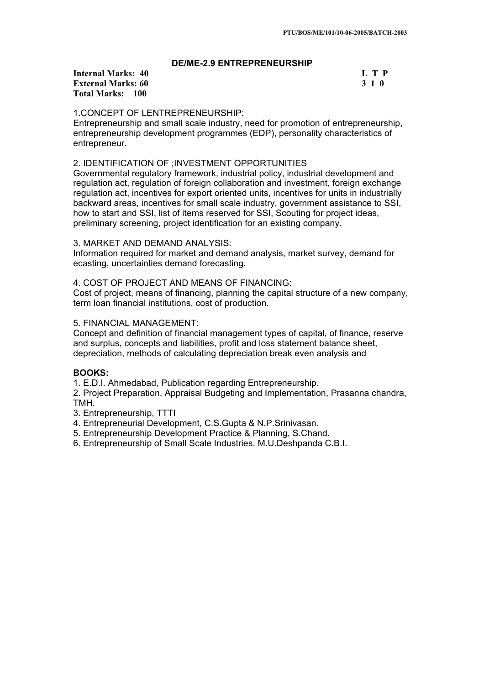## **DE/ME-2.9 ENTREPRENEURSHIP**

**Internal Marks: 40 L T P L T P External Marks: 60 3 1 0 Total Marks: 100**

## 1.CONCEPT OF LENTREPRENEURSHIP:

Entrepreneurship and small scale industry, need for promotion of entrepreneurship, entrepreneurship development programmes (EDP), personality characteristics of entrepreneur.

## 2. IDENTIFICATION OF ;INVESTMENT OPPORTUNITIES

Governmental regulatory framework, industrial policy, industrial development and regulation act, regulation of foreign collaboration and investment, foreign exchange regulation act, incentives for export oriented units, incentives for units in industrially backward areas, incentives for small scale industry, government assistance to SSI, how to start and SSI, list of items reserved for SSI, Scouting for project ideas, preliminary screening, project identification for an existing company.

## 3. MARKET AND DEMAND ANALYSIS:

Information required for market and demand analysis, market survey, demand for ecasting, uncertainties demand forecasting.

## 4. COST OF PROJECT AND MEANS OF FINANCING:

Cost of project, means of financing, planning the capital structure of a new company, term loan financial institutions, cost of production.

## 5. FINANCIAL MANAGEMENT:

Concept and definition of financial management types of capital, of finance, reserve and surplus, concepts and liabilities, profit and loss statement balance sheet, depreciation, methods of calculating depreciation break even analysis and

## **BOOKS:**

1. E.D.I. Ahmedabad, Publication regarding Entrepreneurship.

2. Project Preparation, Appraisal Budgeting and Implementation, Prasanna chandra, TMH.

- 3. Entrepreneurship, TTTI
- 4. Entrepreneurial Development, C.S.Gupta & N.P.Srinivasan.
- 5. Entrepreneurship Development Practice & Planning, S.Chand.
- 6. Entrepreneurship of Small Scale Industries. M.U.Deshpanda C.B.I.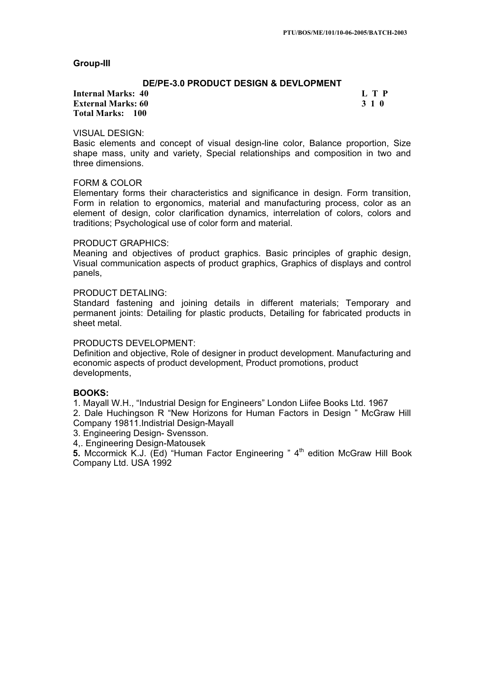### **Group-III**

## **DE/PE-3.0 PRODUCT DESIGN & DEVLOPMENT**

**Internal Marks: 40 L T P L T P External Marks: 60 3 1 0 Total Marks: 100**

### VISUAL DESIGN:

Basic elements and concept of visual design-line color, Balance proportion, Size shape mass, unity and variety, Special relationships and composition in two and three dimensions.

### FORM & COLOR

Elementary forms their characteristics and significance in design. Form transition, Form in relation to ergonomics, material and manufacturing process, color as an element of design, color clarification dynamics, interrelation of colors, colors and traditions; Psychological use of color form and material.

#### PRODUCT GRAPHICS:

Meaning and objectives of product graphics. Basic principles of graphic design, Visual communication aspects of product graphics, Graphics of displays and control panels,

### PRODUCT DETALING:

Standard fastening and joining details in different materials; Temporary and permanent joints: Detailing for plastic products, Detailing for fabricated products in sheet metal.

## PRODUCTS DEVELOPMENT:

Definition and objective, Role of designer in product development. Manufacturing and economic aspects of product development, Product promotions, product developments,

## **BOOKS:**

1. Mayall W.H., "Industrial Design for Engineers" London Liifee Books Ltd. 1967

2. Dale Huchingson R "New Horizons for Human Factors in Design " McGraw Hill Company 19811.Indistrial Design-Mayall

3. Engineering Design- Svensson.

4,. Engineering Design-Matousek

**5.** Mccormick K.J. (Ed) "Human Factor Engineering " 4<sup>th</sup> edition McGraw Hill Book Company Ltd. USA 1992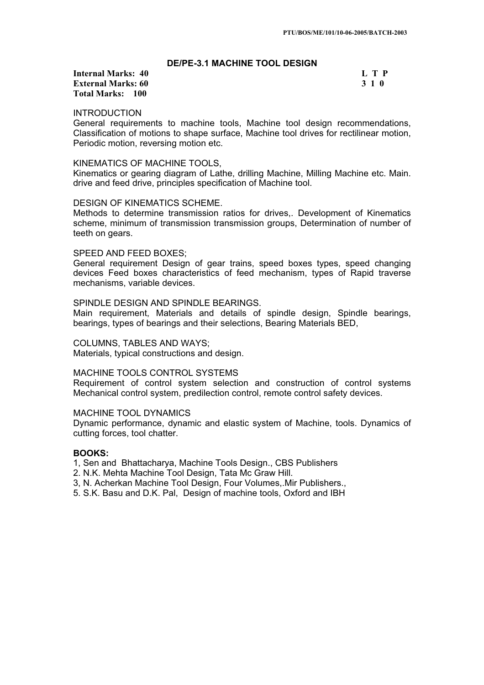### **DE/PE-3.1 MACHINE TOOL DESIGN**

## **Internal Marks: 40 L T P L T P External Marks: 60 3 1 0 Total Marks: 100**

## INTRODUCTION

General requirements to machine tools, Machine tool design recommendations, Classification of motions to shape surface, Machine tool drives for rectilinear motion, Periodic motion, reversing motion etc.

### KINEMATICS OF MACHINE TOOLS,

Kinematics or gearing diagram of Lathe, drilling Machine, Milling Machine etc. Main. drive and feed drive, principles specification of Machine tool.

### DESIGN OF KINEMATICS SCHEME.

Methods to determine transmission ratios for drives,. Development of Kinematics scheme, minimum of transmission transmission groups, Determination of number of teeth on gears.

### SPEED AND FEED BOXES;

General requirement Design of gear trains, speed boxes types, speed changing devices Feed boxes characteristics of feed mechanism, types of Rapid traverse mechanisms, variable devices.

### SPINDLE DESIGN AND SPINDLE BEARINGS.

Main requirement, Materials and details of spindle design, Spindle bearings, bearings, types of bearings and their selections, Bearing Materials BED,

### COLUMNS, TABLES AND WAYS;

Materials, typical constructions and design.

## MACHINE TOOLS CONTROL SYSTEMS

Requirement of control system selection and construction of control systems Mechanical control system, predilection control, remote control safety devices.

## MACHINE TOOL DYNAMICS

Dynamic performance, dynamic and elastic system of Machine, tools. Dynamics of cutting forces, tool chatter.

## **BOOKS:**

- 1, Sen and Bhattacharya, Machine Tools Design., CBS Publishers
- 2. N.K. Mehta Machine Tool Design, Tata Mc Graw Hill.
- 3, N. Acherkan Machine Tool Design, Four Volumes,.Mir Publishers.,
- 5. S.K. Basu and D.K. Pal, Design of machine tools, Oxford and IBH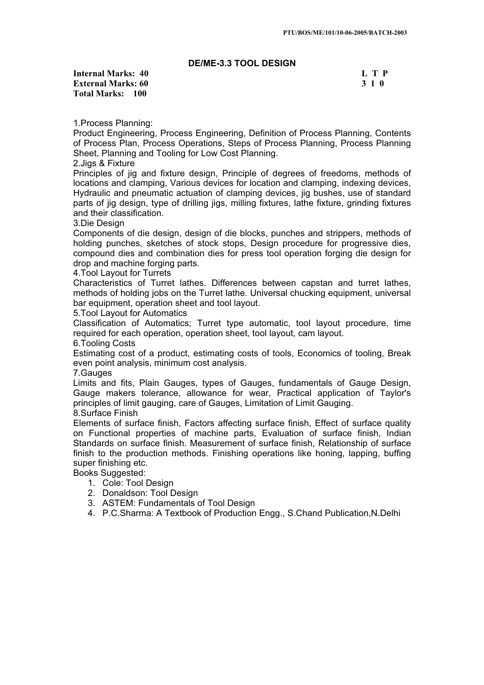## **DE/ME-3.3 TOOL DESIGN**

**Internal Marks: 40 L T P I** L T P **External Marks: 60 3 1 0 3 2 3 3 4 6 3 3 4 6 3 4 6 3 4 7 6 3 4 7 7 8 7 7 8 7 7 7 8 7 7 8 7 7 8 7 7 8 7 7 8 7 8 7 7 8 7 7 8 7 7 8 7 7 8 7 7 8 7 7 8 7 7 8 7 7 8 7 7 8 7 7 8 7 7 8 7 7 8 7 7 8 7 7 8 7 7 8 7 7 8 7 7 8 7 7 8 7 Total Marks: 100**

1.Process Planning:

Product Engineering, Process Engineering, Definition of Process Planning, Contents of Process Plan, Process Operations, Steps of Process Planning, Process Planning Sheet, Planning and Tooling for Low Cost Planning.

2.Jigs & Fixture

Principles of jig and fixture design, Principle of degrees of freedoms, methods of locations and clamping, Various devices for location and clamping, indexing devices, Hydraulic and pneumatic actuation of clamping devices, jig bushes, use of standard parts of jig design, type of drilling jigs, milling fixtures, lathe fixture, grinding fixtures and their classification.

3.Die Design

Components of die design, design of die blocks, punches and strippers, methods of holding punches, sketches of stock stops, Design procedure for progressive dies, compound dies and combination dies for press tool operation forging die design for drop and machine forging parts.

4.Tool Layout for Turrets

Characteristics of Turret lathes. Differences between capstan and turret lathes, methods of holding jobs on the Turret lathe. Universal chucking equipment, universal bar equipment, operation sheet and tool layout.

5.Tool Layout for Automatics

Classification of Automatics; Turret type automatic, tool layout procedure, time required for each operation, operation sheet, tool layout, cam layout.

6.Tooling Costs

Estimating cost of a product, estimating costs of tools, Economics of tooling, Break even point analysis, minimum cost analysis.

7.Gauges

Limits and fits, Plain Gauges, types of Gauges, fundamentals of Gauge Design, Gauge makers tolerance, allowance for wear, Practical application of Taylor's principles of limit gauging, care of Gauges, Limitation of Limit Gauging. 8.Surface Finish

Elements of surface finish, Factors affecting surface finish, Effect of surface quality on Functional properties of machine parts, Evaluation of surface finish, Indian Standards on surface finish. Measurement of surface finish, Relationship of surface finish to the production methods. Finishing operations like honing, lapping, buffing super finishing etc.

Books Suggested:

- 1. Cole: Tool Design
- 2. Donaldson: Tool Design
- 3. ASTEM: Fundamentals of Tool Design
- 4. P.C.Sharma: A Textbook of Production Engg., S.Chand Publication,N.Delhi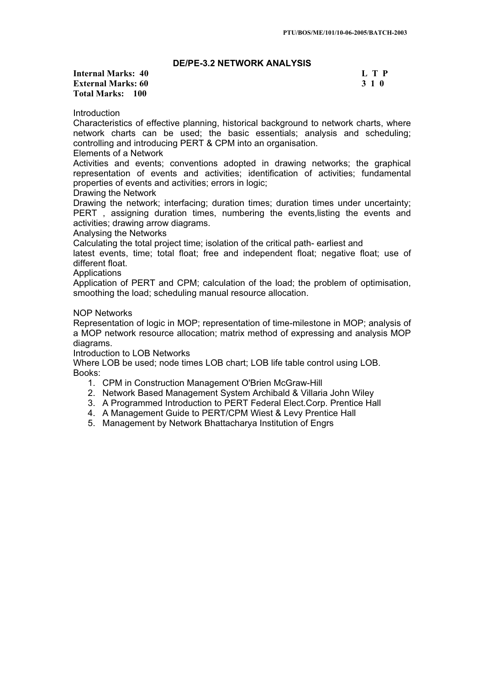## **DE/PE-3.2 NETWORK ANALYSIS**

## **Internal Marks: 40 L T P L T P External Marks: 60 3 1 0 3 2 3 3 4 6 3 3 4 6 3 4 6 3 4 7 6 3 4 7 7 8 7 7 8 7 7 7 8 7 7 8 7 7 8 7 7 8 7 7 8 7 8 7 7 8 7 7 8 7 7 8 7 7 8 7 7 8 7 7 8 7 7 8 7 7 8 7 7 8 7 7 8 7 7 8 7 7 8 7 7 8 7 7 8 7 7 8 7 7 8 7 7 8 7 7 8 7 Total Marks: 100**

Introduction

Characteristics of effective planning, historical background to network charts, where network charts can be used; the basic essentials; analysis and scheduling; controlling and introducing PERT & CPM into an organisation.

### Elements of a Network

Activities and events; conventions adopted in drawing networks; the graphical representation of events and activities; identification of activities; fundamental properties of events and activities; errors in logic;

## Drawing the Network

Drawing the network; interfacing; duration times; duration times under uncertainty; PERT , assigning duration times, numbering the events,listing the events and activities; drawing arrow diagrams.

### Analysing the Networks

Calculating the total project time; isolation of the critical path- earliest and

latest events, time; total float; free and independent float; negative float; use of different float.

### **Applications**

Application of PERT and CPM; calculation of the load; the problem of optimisation, smoothing the load; scheduling manual resource allocation.

### NOP Networks

Representation of logic in MOP; representation of time-milestone in MOP; analysis of a MOP network resource allocation; matrix method of expressing and analysis MOP diagrams.

Introduction to LOB Networks

Where LOB be used; node times LOB chart; LOB life table control using LOB. Books:

- 1. CPM in Construction Management O'Brien McGraw-Hill
- 2. Network Based Management System Archibald & Villaria John Wiley
- 3. A Programmed Introduction to PERT Federal Elect.Corp. Prentice Hall
- 4. A Management Guide to PERT/CPM Wiest & Levy Prentice Hall
- 5. Management by Network Bhattacharya Institution of Engrs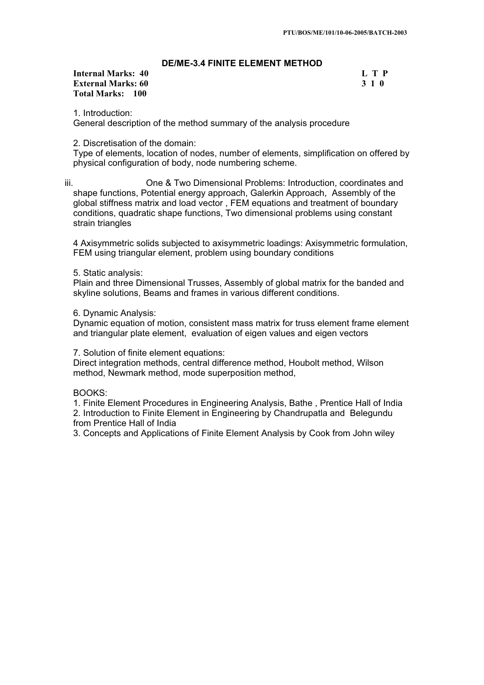## **DE/ME-3.4 FINITE ELEMENT METHOD**

## **Internal Marks: 40 L T P L T P External Marks: 60 3 1 0 Total Marks: 100**

1. Introduction: General description of the method summary of the analysis procedure

## 2. Discretisation of the domain:

Type of elements, location of nodes, number of elements, simplification on offered by physical configuration of body, node numbering scheme.

iii. One & Two Dimensional Problems: Introduction, coordinates and shape functions, Potential energy approach, Galerkin Approach, Assembly of the global stiffness matrix and load vector , FEM equations and treatment of boundary conditions, quadratic shape functions, Two dimensional problems using constant strain triangles

4 Axisymmetric solids subjected to axisymmetric loadings: Axisymmetric formulation, FEM using triangular element, problem using boundary conditions

5. Static analysis:

Plain and three Dimensional Trusses, Assembly of global matrix for the banded and skyline solutions, Beams and frames in various different conditions.

### 6. Dynamic Analysis:

Dynamic equation of motion, consistent mass matrix for truss element frame element and triangular plate element, evaluation of eigen values and eigen vectors

7. Solution of finite element equations:

Direct integration methods, central difference method, Houbolt method, Wilson method, Newmark method, mode superposition method,

### BOOKS:

1. Finite Element Procedures in Engineering Analysis, Bathe , Prentice Hall of India 2. Introduction to Finite Element in Engineering by Chandrupatla and Belegundu from Prentice Hall of India

3. Concepts and Applications of Finite Element Analysis by Cook from John wiley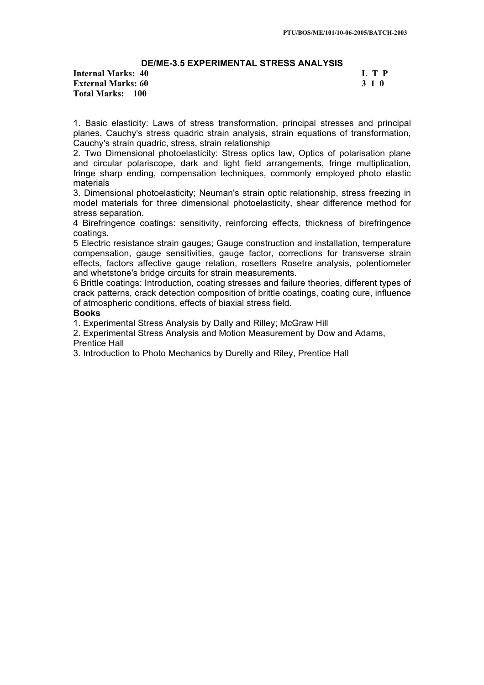# **DE/ME-3.5 EXPERIMENTAL STRESS ANALYSIS**

**Internal Marks: 40 L T P L T P External Marks: 60 3 1 0 Total Marks: 100**

1. Basic elasticity: Laws of stress transformation, principal stresses and principal planes. Cauchy's stress quadric strain analysis, strain equations of transformation, Cauchy's strain quadric, stress, strain relationship

2. Two Dimensional photoelasticity: Stress optics law, Optics of polarisation plane and circular polariscope, dark and light field arrangements, fringe multiplication, fringe sharp ending, compensation techniques, commonly employed photo elastic materials

3. Dimensional photoelasticity; Neuman's strain optic relationship, stress freezing in model materials for three dimensional photoelasticity, shear difference method for stress separation.

4 Birefringence coatings: sensitivity, reinforcing effects, thickness of birefringence coatings.

5 Electric resistance strain gauges; Gauge construction and installation, temperature compensation, gauge sensitivities, gauge factor, corrections for transverse strain effects, factors affective gauge relation, rosetters Rosetre analysis, potentiometer and whetstone's bridge circuits for strain measurements.

6 Brittle coatings: Introduction, coating stresses and failure theories, different types of crack patterns, crack detection composition of brittle coatings, coating cure, influence of atmospheric conditions, effects of biaxial stress field.

## **Books**

1. Experimental Stress Analysis by Dally and Rilley; McGraw Hill

2. Experimental Stress Analysis and Motion Measurement by Dow and Adams,

Prentice Hall

3. Introduction to Photo Mechanics by Durelly and Riley, Prentice Hall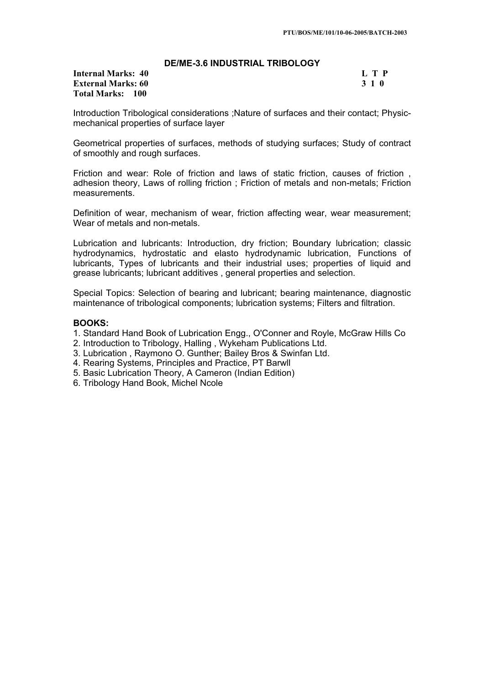## **DE/ME-3.6 INDUSTRIAL TRIBOLOGY**

**Internal Marks: 40 L T P L T P External Marks: 60 3 1 0 Total Marks: 100**

Introduction Tribological considerations ;Nature of surfaces and their contact; Physicmechanical properties of surface layer

Geometrical properties of surfaces, methods of studying surfaces; Study of contract of smoothly and rough surfaces.

Friction and wear: Role of friction and laws of static friction, causes of friction , adhesion theory, Laws of rolling friction ; Friction of metals and non-metals; Friction measurements.

Definition of wear, mechanism of wear, friction affecting wear, wear measurement; Wear of metals and non-metals.

Lubrication and lubricants: Introduction, dry friction; Boundary lubrication; classic hydrodynamics, hydrostatic and elasto hydrodynamic lubrication, Functions of lubricants, Types of lubricants and their industrial uses; properties of liquid and grease lubricants; lubricant additives , general properties and selection.

Special Topics: Selection of bearing and lubricant; bearing maintenance, diagnostic maintenance of tribological components; lubrication systems; Filters and filtration.

## **BOOKS:**

- 1. Standard Hand Book of Lubrication Engg., O'Conner and Royle, McGraw Hills Co
- 2. Introduction to Tribology, Halling , Wykeham Publications Ltd.
- 3. Lubrication , Raymono O. Gunther; Bailey Bros & Swinfan Ltd.
- 4. Rearing Systems, Principles and Practice, PT Barwll
- 5. Basic Lubrication Theory, A Cameron (Indian Edition)
- 6. Tribology Hand Book, Michel Ncole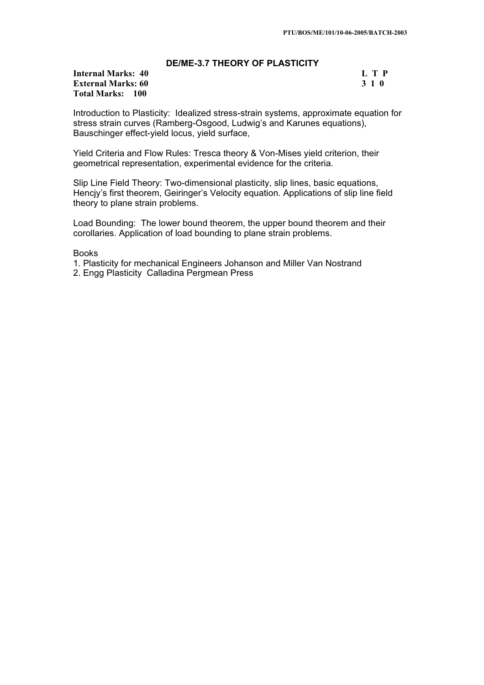## **DE/ME-3.7 THEORY OF PLASTICITY**

# **Internal Marks: 40 L T P I** L T P **External Marks: 60 3 1 0 Total Marks: 100**

Introduction to Plasticity: Idealized stress-strain systems, approximate equation for stress strain curves (Ramberg-Osgood, Ludwig's and Karunes equations), Bauschinger effect-yield locus, yield surface,

Yield Criteria and Flow Rules: Tresca theory & Von-Mises yield criterion, their geometrical representation, experimental evidence for the criteria.

Slip Line Field Theory: Two-dimensional plasticity, slip lines, basic equations, Hencjy's first theorem, Geiringer's Velocity equation. Applications of slip line field theory to plane strain problems.

Load Bounding: The lower bound theorem, the upper bound theorem and their corollaries. Application of load bounding to plane strain problems.

Books

1. Plasticity for mechanical Engineers Johanson and Miller Van Nostrand

2. Engg Plasticity Calladina Pergmean Press